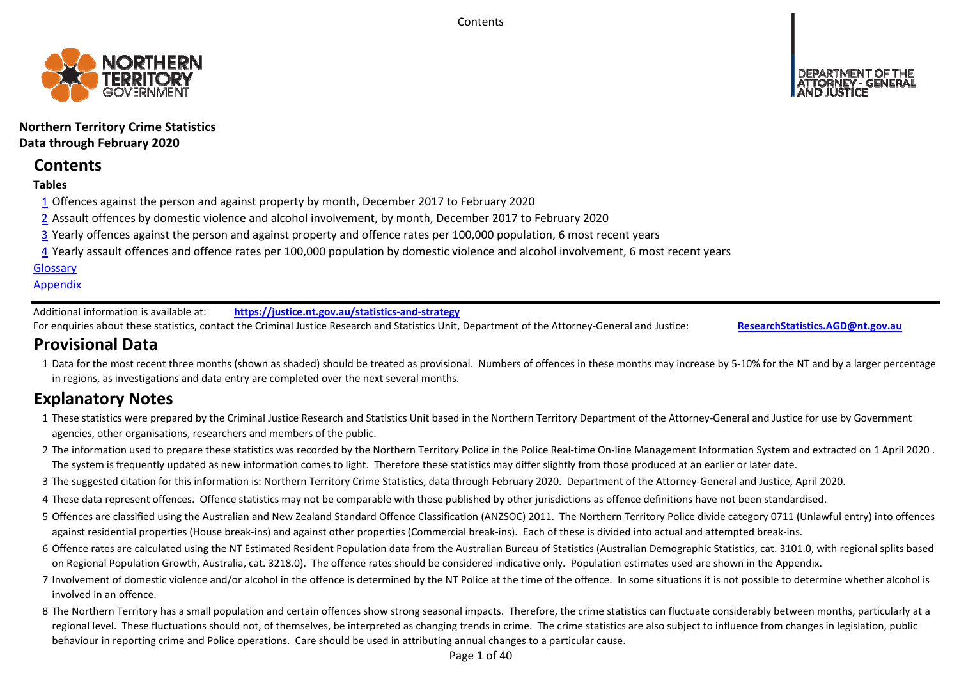**Contents** 



**Northern Territory Crime Statistics Data through February 2020**

# **Contents**

# **Tables**

- 1 Offences against the person and against property by month, December 2017 to February 2020
- 2 Assault offences by domestic violence and alcohol involvement, by month, December 2017 to February 2020
- 3 Yearly offences against the person and against property and offence rates per 100,000 population, 6 most recent years
- 4 Yearly assault offences and offence rates per 100,000 population by domestic violence and alcohol involvement, 6 most recent years

### **Glossary**

### **Appendix**

Additional information is available at:**https://justice.nt.gov.au/statistics‐and‐strategy**

For enquiries about these statistics, contact the Criminal Justice Research and Statistics Unit, Department of the Attorney‐General and Justice: **ResearchStatistics.AGD@nt.gov.au**

# **Provisional Data**

1 Data for the most recent three months (shown as shaded) should be treated as provisional. Numbers of offences in these months may increase by 5‐10% for the NT and by a larger percentage in regions, as investigations and data entry are completed over the next several months.

# **Explanatory Notes**

- 1These statistics were prepared by the Criminal Justice Research and Statistics Unit based in the Northern Territory Department of the Attorney‐General and Justice for use by Government agencies, other organisations, researchers and members of the public.
- 2 The information used to prepare these statistics was recorded by the Northern Territory Police in the Police Real‐time On‐line Management Information System and extracted on 1 April 2020 . The system is frequently updated as new information comes to light. Therefore these statistics may differ slightly from those produced at an earlier or later date.
- 3 The suggested citation for this information is: Northern Territory Crime Statistics, data through February 2020. Department of the Attorney‐General and Justice, April 2020.
- 4These data represent offences. Offence statistics may not be comparable with those published by other jurisdictions as offence definitions have not been standardised.
- 5 Offences are classified using the Australian and New Zealand Standard Offence Classification (ANZSOC) 2011. The Northern Territory Police divide category 0711 (Unlawful entry) into offences against residential properties (House break‐ins) and against other properties (Commercial break‐ins). Each of these is divided into actual and attempted break‐ins.
- 6 Offence rates are calculated using the NT Estimated Resident Population data from the Australian Bureau of Statistics (Australian Demographic Statistics, cat. 3101.0, with regional splits based on Regional Population Growth, Australia, cat. 3218.0). The offence rates should be considered indicative only. Population estimates used are shown in the Appendix.
- 7 Involvement of domestic violence and/or alcohol in the offence is determined by the NT Police at the time of the offence. In some situations it is not possible to determine whether alcohol is involved in an offence.
- 8 The Northern Territory has a small population and certain offences show strong seasonal impacts. Therefore, the crime statistics can fluctuate considerably between months, particularly at a regional level. These fluctuations should not, of themselves, be interpreted as changing trends in crime. The crime statistics are also subject to influence from changes in legislation, public behaviour in reporting crime and Police operations. Care should be used in attributing annual changes to a particular cause.

Page 1 of 40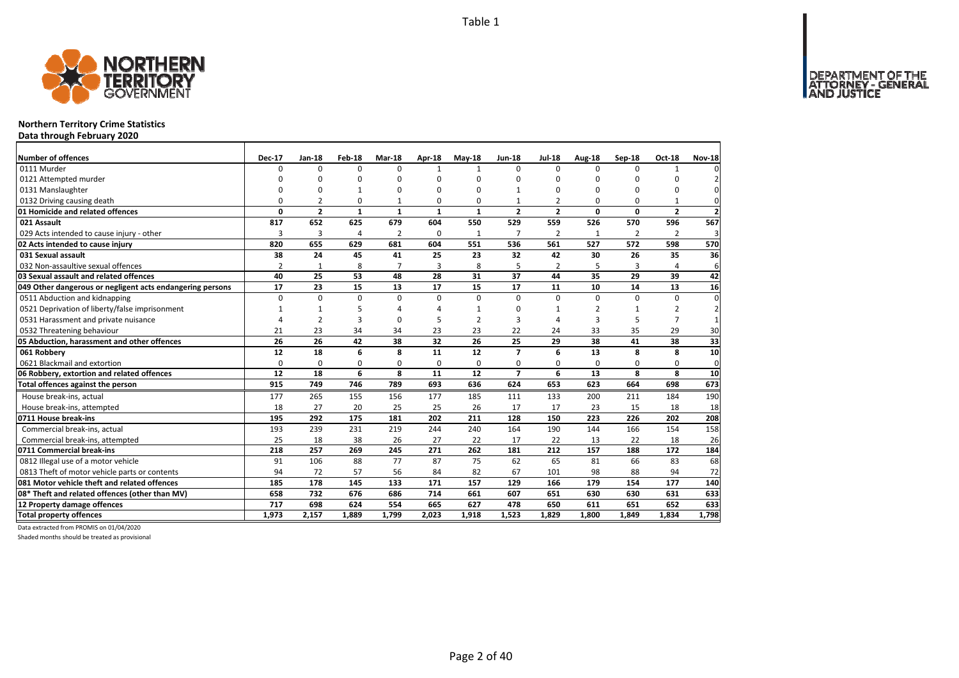

### **Northern Territory Crime Statistics**

**Data through February 2020**

| Number of offences                                        | <b>Dec-17</b>  | Jan-18         | Feb-18       | Mar-18         | Apr-18       | $May-18$       | <b>Jun-18</b>            | <b>Jul-18</b>            | Aug-18         | Sep-18       | Oct-18         | <b>Nov-18</b>  |
|-----------------------------------------------------------|----------------|----------------|--------------|----------------|--------------|----------------|--------------------------|--------------------------|----------------|--------------|----------------|----------------|
| 0111 Murder                                               | 0              | 0              | $\Omega$     | $\Omega$       | $\mathbf{1}$ | $\mathbf{1}$   | $\Omega$                 | $\Omega$                 | $\Omega$       | $\Omega$     | 1              |                |
| 0121 Attempted murder                                     | $\Omega$       | 0              | 0            | $\Omega$       |              | $\Omega$       | O                        | ŋ                        | $\Omega$       |              | 0              |                |
| 0131 Manslaughter                                         | 0              | 0              | $\mathbf{1}$ | 0              |              | $\Omega$       | $\mathbf{1}$             | O                        | $\Omega$       | $\Omega$     | 0              | 0              |
| 0132 Driving causing death                                | $\Omega$       | $\mathfrak{p}$ | $\Omega$     | 1              | $\Omega$     | $\Omega$       | 1                        | $\overline{\phantom{a}}$ | $\Omega$       | $\Omega$     | 1              | 0              |
| 01 Homicide and related offences                          | 0              | $\overline{2}$ | $\mathbf{1}$ | $\mathbf{1}$   | $\mathbf{1}$ | $\mathbf{1}$   | $\overline{2}$           | $\overline{2}$           | $\mathbf 0$    | $\Omega$     | $\overline{2}$ | $\overline{2}$ |
| 021 Assault                                               | 817            | 652            | 625          | 679            | 604          | 550            | 529                      | 559                      | 526            | 570          | 596            | 567            |
| 029 Acts intended to cause injury - other                 | 3              | $\overline{3}$ | 4            | $\overline{2}$ | $\Omega$     | $\mathbf{1}$   | $\overline{7}$           | $\overline{2}$           | 1              | 2            | $\overline{2}$ | 3              |
| 02 Acts intended to cause injury                          | 820            | 655            | 629          | 681            | 604          | 551            | 536                      | 561                      | 527            | 572          | 598            | 570            |
| 031 Sexual assault                                        | 38             | 24             | 45           | 41             | 25           | 23             | 32                       | 42                       | 30             | 26           | 35             | 36             |
| 032 Non-assaultive sexual offences                        | $\overline{2}$ | $\mathbf{1}$   | 8            | $\overline{7}$ | 3            | 8              | 5                        | 2                        | 5              | 3            | 4              | 6              |
| 03 Sexual assault and related offences                    | 40             | 25             | 53           | 48             | 28           | 31             | 37                       | 44                       | 35             | 29           | 39             | 42             |
| 049 Other dangerous or negligent acts endangering persons | 17             | 23             | 15           | 13             | 17           | 15             | 17                       | 11                       | 10             | 14           | 13             | 16             |
| 0511 Abduction and kidnapping                             | $\Omega$       | $\Omega$       | $\mathbf 0$  | $\Omega$       | $\Omega$     | $\Omega$       | $\Omega$                 | $\Omega$                 | $\Omega$       | $\Omega$     | $\Omega$       | $\Omega$       |
| 0521 Deprivation of liberty/false imprisonment            | 1              | $\mathbf{1}$   | 5            | $\Delta$       |              | $\mathbf{1}$   | ŋ                        |                          | $\overline{2}$ | $\mathbf{1}$ | $\overline{2}$ | 2              |
| 0531 Harassment and private nuisance                      | Δ              | $\overline{2}$ | 3            | $\Omega$       |              | $\mathfrak{p}$ | 3                        | Δ                        | $\overline{3}$ | 5            | $\overline{7}$ |                |
| 0532 Threatening behaviour                                | 21             | 23             | 34           | 34             | 23           | 23             | 22                       | 24                       | 33             | 35           | 29             | 30             |
| 05 Abduction, harassment and other offences               | 26             | 26             | 42           | 38             | 32           | 26             | 25                       | 29                       | 38             | 41           | 38             | 33             |
| 061 Robberv                                               | 12             | 18             | 6            | 8              | 11           | 12             | $\overline{\phantom{a}}$ | 6                        | 13             | 8            | 8              | 10             |
| 0621 Blackmail and extortion                              | 0              | 0              | 0            | 0              | 0            | 0              | 0                        | 0                        | 0              | 0            | 0              | $\mathbf 0$    |
| 06 Robbery, extortion and related offences                | 12             | 18             | 6            | 8              | 11           | 12             | $\overline{\phantom{a}}$ | 6                        | 13             | 8            | 8              | 10             |
| Total offences against the person                         | 915            | 749            | 746          | 789            | 693          | 636            | 624                      | 653                      | 623            | 664          | 698            | 673            |
| House break-ins, actual                                   | 177            | 265            | 155          | 156            | 177          | 185            | 111                      | 133                      | 200            | 211          | 184            | 190            |
| House break-ins, attempted                                | 18             | 27             | 20           | 25             | 25           | 26             | 17                       | 17                       | 23             | 15           | 18             | 18             |
| 0711 House break-ins                                      | 195            | 292            | 175          | 181            | 202          | 211            | 128                      | 150                      | 223            | 226          | 202            | 208            |
| Commercial break-ins, actual                              | 193            | 239            | 231          | 219            | 244          | 240            | 164                      | 190                      | 144            | 166          | 154            | 158            |
| Commercial break-ins, attempted                           | 25             | 18             | 38           | 26             | 27           | 22             | 17                       | 22                       | 13             | 22           | 18             | 26             |
| 0711 Commercial break-ins                                 | 218            | 257            | 269          | 245            | 271          | 262            | 181                      | 212                      | 157            | 188          | 172            | 184            |
| 0812 Illegal use of a motor vehicle                       | 91             | 106            | 88           | 77             | 87           | 75             | 62                       | 65                       | 81             | 66           | 83             | 68             |
| 0813 Theft of motor vehicle parts or contents             | 94             | 72             | 57           | 56             | 84           | 82             | 67                       | 101                      | 98             | 88           | 94             | 72             |
| 081 Motor vehicle theft and related offences              | 185            | 178            | 145          | 133            | 171          | 157            | 129                      | 166                      | 179            | 154          | 177            | 140            |
| 08* Theft and related offences (other than MV)            | 658            | 732            | 676          | 686            | 714          | 661            | 607                      | 651                      | 630            | 630          | 631            | 633            |
| 12 Property damage offences                               | 717            | 698            | 624          | 554            | 665          | 627            | 478                      | 650                      | 611            | 651          | 652            | 633            |
| <b>Total property offences</b>                            | 1.973          | 2.157          | 1.889        | 1.799          | 2.023        | 1.918          | 1,523                    | 1,829                    | 1.800          | 1.849        | 1.834          | 1,798          |

Data extracted from PROMIS on 01/04/2020

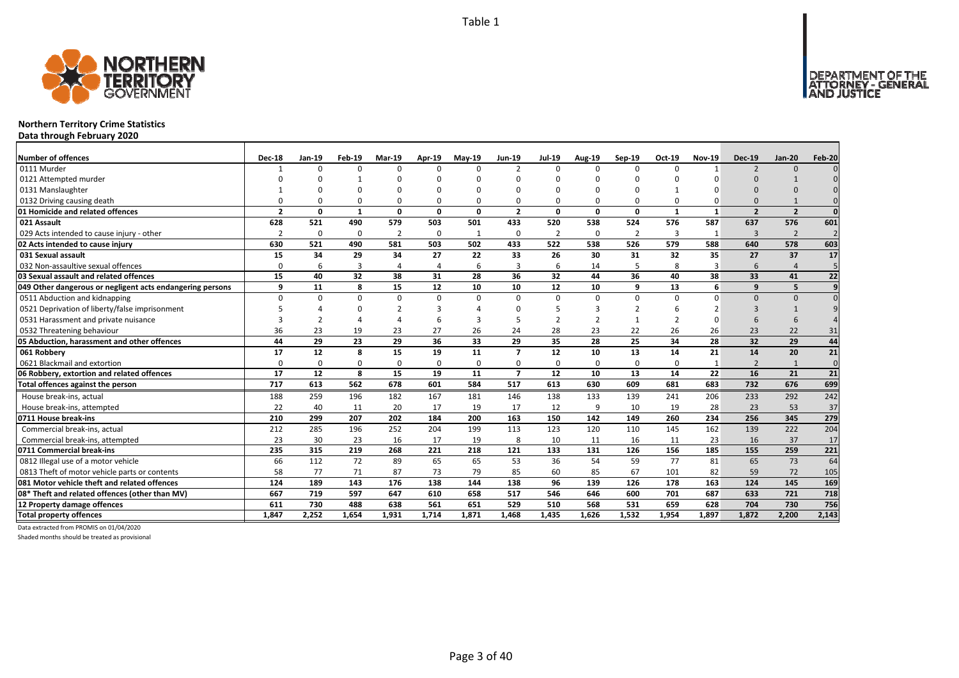

### **Northern Territory Crime Statistics**

**Data through February 2020**

| <b>Number of offences</b>                                 | <b>Dec-18</b>            | Jan-19       | Feb-19       | <b>Mar-19</b>  | Apr-19   | <b>Mav-19</b> | <b>Jun-19</b>           | <b>Jul-19</b>  | Aug-19        | Sep-19         | Oct-19       | <b>Nov-19</b> | <b>Dec-19</b>            | <b>Jan-20</b>  | Feb-20          |
|-----------------------------------------------------------|--------------------------|--------------|--------------|----------------|----------|---------------|-------------------------|----------------|---------------|----------------|--------------|---------------|--------------------------|----------------|-----------------|
| 0111 Murder                                               |                          | $\Omega$     | $\Omega$     | $\Omega$       | $\Omega$ | $\Omega$      | $\overline{2}$          | $\Omega$       | $\Omega$      | $\Omega$       | $\Omega$     | $\mathbf{1}$  | $\overline{\phantom{0}}$ | $\Omega$       |                 |
| 0121 Attempted murder                                     |                          |              |              | O              | ŋ        |               |                         | n              | n             | U              |              |               | $\Omega$                 |                |                 |
| 0131 Manslaughter                                         |                          |              |              | $\Omega$       | $\Omega$ |               |                         | n              | $\Omega$      | U              |              |               | $\Omega$                 |                |                 |
| 0132 Driving causing death                                |                          |              | $\Omega$     | $\Omega$       | 0        |               |                         | $\Omega$       | $\Omega$      | 0              |              |               | $\Omega$                 |                | $\Omega$        |
| 01 Homicide and related offences                          | $\overline{\phantom{a}}$ | O            | $\mathbf{1}$ | $\mathbf{0}$   | $\Omega$ | $\Omega$      | $\overline{\mathbf{z}}$ | $\Omega$       | $\Omega$      | $\Omega$       | $\mathbf{1}$ | $\mathbf{1}$  | $\overline{\phantom{a}}$ | $\overline{2}$ | $\Omega$        |
| 021 Assault                                               | 628                      | 521          | 490          | 579            | 503      | 501           | 433                     | 520            | 538           | 524            | 576          | 587           | 637                      | 576            | 601             |
| 029 Acts intended to cause injury - other                 | $\overline{2}$           | $\Omega$     | $\Omega$     | $\overline{2}$ | 0        | 1             | $\Omega$                | $\overline{2}$ | 0             | $\overline{2}$ | 3            | -1            | 3                        | $\overline{2}$ | $\overline{2}$  |
| 02 Acts intended to cause injury                          | 630                      | 521          | 490          | 581            | 503      | 502           | 433                     | 522            | 538           | 526            | 579          | 588           | 640                      | 578            | 603             |
| 031 Sexual assault                                        | 15                       | 34           | 29           | 34             | 27       | 22            | 33                      | 26             | 30            | 31             | 32           | 35            | 27                       | 37             | 17              |
| 032 Non-assaultive sexual offences                        | $\Omega$                 | 6            | 3            | $\overline{4}$ | 4        | 6             | 3                       | 6              | 14            | 5              | 8            | 3             | 6                        |                | 5               |
| 03 Sexual assault and related offences                    | 15                       | 40           | 32           | 38             | 31       | 28            | 36                      | 32             | 44            | 36             | 40           | 38            | 33                       | 41             | 22              |
| 049 Other dangerous or negligent acts endangering persons | q                        | 11           | 8            | 15             | 12       | 10            | 10                      | 12             | 10            | 9              | 13           | 6             | $\mathbf{q}$             | 5              | 9               |
| 0511 Abduction and kidnapping                             | $\Omega$                 | <sup>0</sup> | $\Omega$     | 0              | $\Omega$ | $\Omega$      | $\Omega$                | $\Omega$       | $\Omega$      | $\Omega$       | $\Omega$     | $\Omega$      | $\Omega$                 | $\Omega$       | $\Omega$        |
| 0521 Deprivation of liberty/false imprisonment            |                          |              | $\Omega$     | $\mathcal{P}$  | 3        |               |                         | 5              | 3             | $\overline{2}$ |              |               |                          |                |                 |
| 0531 Harassment and private nuisance                      |                          |              |              |                | 6        |               |                         | $\mathcal{P}$  | $\mathcal{P}$ | $\mathbf{1}$   |              |               | 6                        | 6              |                 |
| 0532 Threatening behaviour                                | 36                       | 23           | 19           | 23             | 27       | 26            | 24                      | 28             | 23            | 22             | 26           | 26            | 23                       | 22             | 31              |
| 05 Abduction, harassment and other offences               | 44                       | 29           | 23           | 29             | 36       | 33            | 29                      | 35             | 28            | 25             | 34           | 28            | 32                       | 29             | 44              |
| 061 Robberv                                               | 17                       | 12           | 8            | 15             | 19       | 11            | $\overline{7}$          | 12             | 10            | 13             | 14           | 21            | 14                       | 20             | $\overline{21}$ |
| 0621 Blackmail and extortion                              | $\Omega$                 | $\Omega$     | $\Omega$     | $\mathbf 0$    | 0        | $\Omega$      | $\Omega$                | $\Omega$       | $\Omega$      | 0              | $\Omega$     |               | $\overline{2}$           | $\mathbf{1}$   | $\mathbf 0$     |
| 06 Robbery, extortion and related offences                | 17                       | 12           | 8            | 15             | 19       | 11            | $\overline{7}$          | 12             | 10            | 13             | 14           | 22            | 16                       | 21             | 21              |
| Total offences against the person                         | 717                      | 613          | 562          | 678            | 601      | 584           | 517                     | 613            | 630           | 609            | 681          | 683           | 732                      | 676            | 699             |
| House break-ins, actual                                   | 188                      | 259          | 196          | 182            | 167      | 181           | 146                     | 138            | 133           | 139            | 241          | 206           | 233                      | 292            | 242             |
| House break-ins, attempted                                | 22                       | 40           | 11           | 20             | 17       | 19            | 17                      | 12             | 9             | 10             | 19           | 28            | 23                       | 53             | 37              |
| 0711 House break-ins                                      | 210                      | 299          | 207          | 202            | 184      | 200           | 163                     | 150            | 142           | 149            | 260          | 234           | 256                      | 345            | 279             |
| Commercial break-ins, actual                              | 212                      | 285          | 196          | 252            | 204      | 199           | 113                     | 123            | 120           | 110            | 145          | 162           | 139                      | 222            | 204             |
| Commercial break-ins, attempted                           | 23                       | 30           | 23           | 16             | 17       | 19            | 8                       | 10             | 11            | 16             | 11           | 23            | 16                       | 37             | 17              |
| 0711 Commercial break-ins                                 | 235                      | 315          | 219          | 268            | 221      | 218           | 121                     | 133            | 131           | 126            | 156          | 185           | 155                      | 259            | 221             |
| 0812 Illegal use of a motor vehicle                       | 66                       | 112          | 72           | 89             | 65       | 65            | 53                      | 36             | 54            | 59             | 77           | 81            | 65                       | 73             | 64              |
| 0813 Theft of motor vehicle parts or contents             | 58                       | 77           | 71           | 87             | 73       | 79            | 85                      | 60             | 85            | 67             | 101          | 82            | 59                       | 72             | 105             |
| 081 Motor vehicle theft and related offences              | 124                      | 189          | 143          | 176            | 138      | 144           | 138                     | 96             | 139           | 126            | 178          | 163           | 124                      | 145            | 169             |
| 08* Theft and related offences (other than MV)            | 667                      | 719          | 597          | 647            | 610      | 658           | 517                     | 546            | 646           | 600            | 701          | 687           | 633                      | 721            | 718             |
| 12 Property damage offences                               | 611                      | 730          | 488          | 638            | 561      | 651           | 529                     | 510            | 568           | 531            | 659          | 628           | 704                      | 730            | 756             |
| <b>Total property offences</b>                            | 1.847                    | 2.252        | 1.654        | 1,931          | 1,714    | 1,871         | 1.468                   | 1.435          | 1.626         | 1,532          | 1,954        | 1.897         | 1.872                    | 2,200          | 2,143           |

Data extracted from PROMIS on 01/04/2020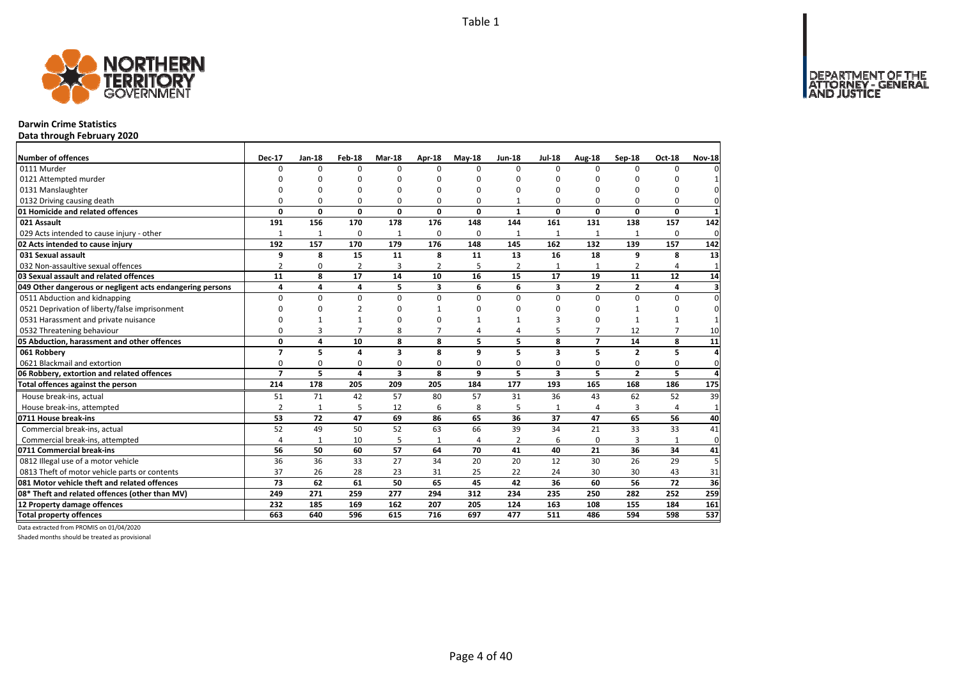DEPARTMENT OF THE<br>ATTORNEY - GENERAL



### **Darwin Crime Statistics**

**Data through February 2020**

| Number of offences                                        | <b>Dec-17</b>  | Jan-18       | Feb-18         | Mar-18         | Apr-18       | $May-18$ | <b>Jun-18</b>  | <b>Jul-18</b>           | Aug-18         | Sep-18         | <b>Oct-18</b>  | <b>Nov-18</b>           |
|-----------------------------------------------------------|----------------|--------------|----------------|----------------|--------------|----------|----------------|-------------------------|----------------|----------------|----------------|-------------------------|
| 0111 Murder                                               | U              | 0            | $\Omega$       | $\Omega$       | <sup>n</sup> | O        | $\Omega$       | $\Omega$                | $\Omega$       | $\Omega$       | $\Omega$       |                         |
| 0121 Attempted murder                                     | n              | n            | ŋ              | $\Omega$       |              | O        | n              | n                       | $\Omega$       |                | ŋ              |                         |
| 0131 Manslaughter                                         | O              | $\Omega$     | 0              | $\Omega$       |              | O        | O              | O                       | $\Omega$       |                | 0              |                         |
| 0132 Driving causing death                                | O              | $\Omega$     | $\Omega$       | $\Omega$       | O            | $\Omega$ | $\mathbf{1}$   | $\Omega$                | $\Omega$       |                | $\Omega$       |                         |
| 01 Homicide and related offences                          | 0              | 0            | $\mathbf 0$    | $\mathbf 0$    | 0            | 0        | $\mathbf{1}$   | 0                       | $\mathbf 0$    | $\Omega$       | $\mathbf{0}$   | $\mathbf{1}$            |
| 021 Assault                                               | 191            | 156          | 170            | 178            | 176          | 148      | 144            | 161                     | 131            | 138            | 157            | 142                     |
| 029 Acts intended to cause injury - other                 | $\mathbf{1}$   | $\mathbf{1}$ | 0              | $\mathbf{1}$   | $\Omega$     | $\Omega$ | 1              | 1                       | 1              | 1              | $\Omega$       | 0                       |
| 02 Acts intended to cause injury                          | 192            | 157          | 170            | 179            | 176          | 148      | 145            | 162                     | 132            | 139            | 157            | 142                     |
| 031 Sexual assault                                        | 9              | 8            | 15             | 11             | 8            | 11       | 13             | 16                      | 18             | 9              | 8              | 13                      |
| 032 Non-assaultive sexual offences                        | $\overline{2}$ | 0            | $\overline{2}$ | $\overline{3}$ | 2            | 5        | 2              | $\mathbf{1}$            | $\mathbf{1}$   | 2              | 4              | $\mathbf{1}$            |
| 03 Sexual assault and related offences                    | 11             | 8            | 17             | 14             | 10           | 16       | 15             | 17                      | 19             | 11             | 12             | 14                      |
| 049 Other dangerous or negligent acts endangering persons | 4              | 4            | 4              | 5              | 3            | 6        | 6              | 3                       | $\overline{2}$ | $\mathbf{2}$   | 4              | $\overline{\mathbf{3}}$ |
| 0511 Abduction and kidnapping                             | $\Omega$       | $\Omega$     | 0              | $\Omega$       | 0            | $\Omega$ | $\Omega$       | $\Omega$                | $\Omega$       | $\Omega$       | $\Omega$       | $\Omega$                |
| 0521 Deprivation of liberty/false imprisonment            | O              | U            | $\overline{2}$ | $\Omega$       |              | ŋ        | n              | ŋ                       | $\Omega$       | $\mathbf{1}$   | $\Omega$       | 0                       |
| 0531 Harassment and private nuisance                      | O              |              | $\mathbf{1}$   | $\Omega$       | n            |          |                | 3                       | $\Omega$       | $\mathbf{1}$   | $\mathbf{1}$   |                         |
| 0532 Threatening behaviour                                | 0              | 3            | $\overline{7}$ | 8              |              | 4        | 4              | 5                       | $\overline{7}$ | 12             | $\overline{7}$ | 10                      |
| 05 Abduction, harassment and other offences               | 0              | 4            | 10             | 8              | 8            | 5        | 5              | 8                       | $\overline{7}$ | 14             | 8              | 11                      |
| 061 Robberv                                               | $\overline{7}$ | 5            | 4              | 3              | 8            | 9        | 5              | 3                       | 5              | $\overline{2}$ | 5              | Δ                       |
| 0621 Blackmail and extortion                              | 0              | 0            | 0              | 0              | 0            | 0        | 0              | 0                       | 0              | 0              | 0              | 0                       |
| 06 Robbery, extortion and related offences                | $\overline{7}$ | 5            | 4              | 3              | 8            | 9        | 5              | $\overline{\mathbf{3}}$ | 5              | $\overline{2}$ | 5              | Δ                       |
| Total offences against the person                         | 214            | 178          | 205            | 209            | 205          | 184      | 177            | 193                     | 165            | 168            | 186            | 175                     |
| House break-ins, actual                                   | 51             | 71           | 42             | 57             | 80           | 57       | 31             | 36                      | 43             | 62             | 52             | 39                      |
| House break-ins, attempted                                | $\overline{2}$ | $\mathbf{1}$ | 5              | 12             | 6            | 8        | 5              | 1                       | 4              | 3              | 4              | $\mathbf{1}$            |
| 0711 House break-ins                                      | 53             | 72           | 47             | 69             | 86           | 65       | 36             | 37                      | 47             | 65             | 56             | 40                      |
| Commercial break-ins, actual                              | 52             | 49           | 50             | 52             | 63           | 66       | 39             | 34                      | 21             | 33             | 33             | 41                      |
| Commercial break-ins, attempted                           | 4              | $\mathbf{1}$ | 10             | 5              | 1            | 4        | $\overline{2}$ | 6                       | 0              | 3              | $\mathbf{1}$   | 0                       |
| 0711 Commercial break-ins                                 | 56             | 50           | 60             | 57             | 64           | 70       | 41             | 40                      | 21             | 36             | 34             | 41                      |
| 0812 Illegal use of a motor vehicle                       | 36             | 36           | 33             | 27             | 34           | 20       | 20             | 12                      | 30             | 26             | 29             |                         |
| 0813 Theft of motor vehicle parts or contents             | 37             | 26           | 28             | 23             | 31           | 25       | 22             | 24                      | 30             | 30             | 43             | 31                      |
| 081 Motor vehicle theft and related offences              | 73             | 62           | 61             | 50             | 65           | 45       | 42             | 36                      | 60             | 56             | 72             | 36                      |
| 08* Theft and related offences (other than MV)            | 249            | 271          | 259            | 277            | 294          | 312      | 234            | 235                     | 250            | 282            | 252            | 259                     |
| 12 Property damage offences                               | 232            | 185          | 169            | 162            | 207          | 205      | 124            | 163                     | 108            | 155            | 184            | 161                     |
| <b>Total property offences</b>                            | 663            | 640          | 596            | 615            | 716          | 697      | 477            | 511                     | 486            | 594            | 598            | 537                     |

Data extracted from PROMIS on 01/04/2020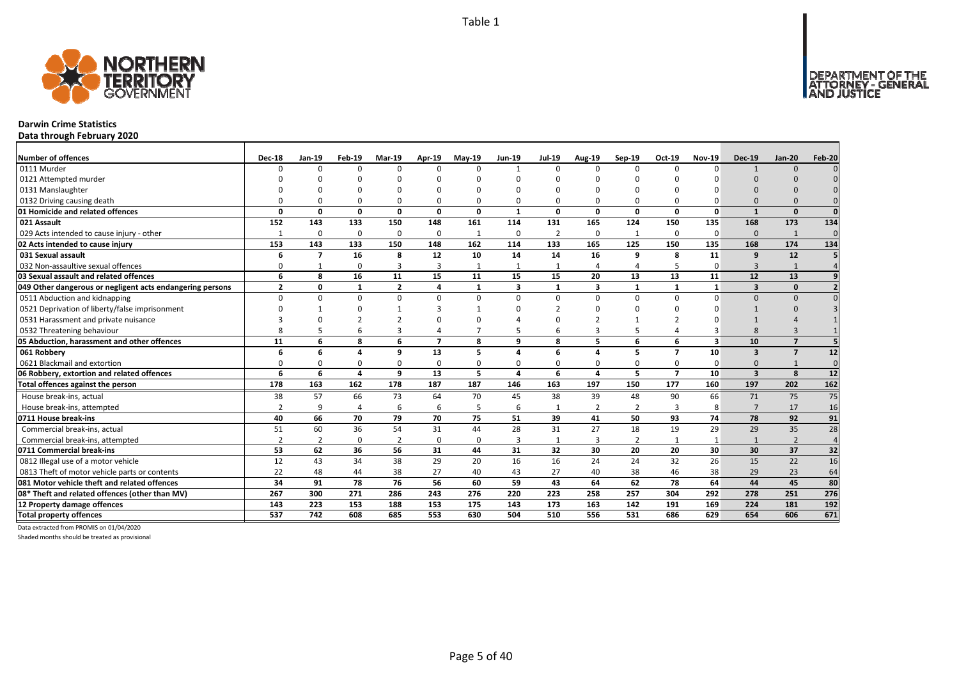

### **Darwin Crime Statistics**

**Data through February 2020**

| <b>Number of offences</b>                                 | <b>Dec-18</b>  | Jan-19         | Feb-19       | <b>Mar-19</b>  | Apr-19         | <b>Mav-19</b> | Jun-19       | <b>Jul-19</b>  | <b>Aug-19</b>           | Sep-19         | Oct-19         | <b>Nov-19</b> | <b>Dec-19</b>           | <b>Jan-20</b>  | Feb-20          |
|-----------------------------------------------------------|----------------|----------------|--------------|----------------|----------------|---------------|--------------|----------------|-------------------------|----------------|----------------|---------------|-------------------------|----------------|-----------------|
| 0111 Murder                                               |                | n              | $\Omega$     | $\Omega$       | $\Omega$       |               |              | $\Omega$       | $\Omega$                | $\Omega$       | $\Omega$       | $\Omega$      |                         | $\Omega$       |                 |
| 0121 Attempted murder                                     |                |                |              |                |                |               |              |                |                         |                |                |               |                         |                |                 |
| 0131 Manslaughter                                         |                |                |              |                |                |               |              | n              |                         |                |                |               |                         |                |                 |
| 0132 Driving causing death                                |                |                | $\Omega$     | $\Omega$       | 0              |               |              | $\Omega$       | $\Omega$                | 0              |                |               | $\Omega$                |                |                 |
| 01 Homicide and related offences                          | n              | 0              | 0            | $\mathbf{0}$   | $\mathbf{0}$   | 0             | $\mathbf{1}$ | 0              | $\mathbf{0}$            | 0              | 0              | $\mathbf{0}$  | $\mathbf{1}$            | $\Omega$       | $\Omega$        |
| 021 Assault                                               | 152            | 143            | 133          | 150            | 148            | 161           | 114          | 131            | 165                     | 124            | 150            | 135           | 168                     | 173            | 134             |
| 029 Acts intended to cause injury - other                 |                | $\Omega$       | $\Omega$     | $\mathbf 0$    | 0              | $\mathbf{1}$  | $\Omega$     | $\overline{2}$ | 0                       | $\mathbf{1}$   | $\Omega$       | $\Omega$      | $\Omega$                | $\mathbf{1}$   | $\Omega$        |
| 02 Acts intended to cause injury                          | 153            | 143            | 133          | 150            | 148            | 162           | 114          | 133            | 165                     | 125            | 150            | 135           | 168                     | 174            | 134             |
| 031 Sexual assault                                        |                | $\overline{7}$ | 16           | 8              | 12             | 10            | 14           | 14             | 16                      | 9              | 8              | 11            | 9                       | 12             |                 |
| 032 Non-assaultive sexual offences                        | O              |                | $\Omega$     | $\overline{3}$ | 3              |               |              |                | $\overline{4}$          | 4              |                | $\Omega$      | 3                       | $\mathbf{1}$   |                 |
| 03 Sexual assault and related offences                    | 6              | 8              | 16           | 11             | 15             | 11            | 15           | 15             | 20                      | 13             | 13             | 11            | 12                      | 13             |                 |
| 049 Other dangerous or negligent acts endangering persons | $\overline{2}$ | n              | $\mathbf{1}$ | $\overline{2}$ | 4              | $\mathbf{1}$  | 3            | $\mathbf{1}$   | 3                       | $\mathbf{1}$   |                | $\mathbf{1}$  | $\overline{\mathbf{3}}$ | $\Omega$       |                 |
| 0511 Abduction and kidnapping                             | $\Omega$       | U              | $\Omega$     | $\Omega$       | $\Omega$       | $\Omega$      | $\Omega$     | $\Omega$       | $\Omega$                | $\Omega$       | $\Omega$       | $\Omega$      | $\Omega$                | $\Omega$       |                 |
| 0521 Deprivation of liberty/false imprisonment            |                |                | $\Omega$     |                | 3              |               |              |                | n                       |                |                |               |                         |                |                 |
| 0531 Harassment and private nuisance                      |                |                | ຳ            |                | $\Omega$       |               |              | n              |                         | -1             |                |               |                         |                |                 |
| 0532 Threatening behaviour                                |                |                |              | 3              | 4              |               |              |                | 3                       | 5              |                |               | $\mathsf{\mathsf{R}}$   |                |                 |
| 05 Abduction, harassment and other offences               | 11             | 6              | 8            | 6              | $\overline{ }$ | 8             | q            | 8              | 5                       | 6              | 6              | 3             | 10                      | $\overline{7}$ |                 |
| 061 Robbery                                               |                | 6              | $\mathbf{A}$ | q              | 13             | 5             |              | 6              | $\Delta$                | 5              | $\overline{ }$ | 10            | $\overline{\mathbf{3}}$ | $\overline{7}$ | 12              |
| 0621 Blackmail and extortion                              |                |                | $\Omega$     | $\Omega$       | 0              |               |              | O              | $\Omega$                | 0              | $\Omega$       | $\Omega$      | $\Omega$                |                | $\Omega$        |
| 06 Robbery, extortion and related offences                | 6              | 6              | $\mathbf{A}$ | 9              | 13             | 5             | $\Delta$     | 6              | $\overline{\mathbf{A}}$ | 5              | $\overline{7}$ | 10            | $\overline{\mathbf{3}}$ | 8              | 12              |
| Total offences against the person                         | 178            | 163            | 162          | 178            | 187            | 187           | 146          | 163            | 197                     | 150            | 177            | 160           | 197                     | 202            | $\frac{162}{2}$ |
| House break-ins, actual                                   | 38             | 57             | 66           | 73             | 64             | 70            | 45           | 38             | 39                      | 48             | 90             | 66            | 71                      | 75             | 75              |
| House break-ins, attempted                                | $\overline{2}$ | 9              | 4            | 6              | 6              |               | 6            | $\mathbf{1}$   | $\overline{2}$          | 2              | 3              | 8             | $\overline{7}$          | 17             | 16              |
| 0711 House break-ins                                      | 40             | 66             | 70           | 79             | 70             | 75            | 51           | 39             | 41                      | 50             | 93             | 74            | 78                      | 92             | 91              |
| Commercial break-ins, actual                              | 51             | 60             | 36           | 54             | 31             | 44            | 28           | 31             | 27                      | 18             | 19             | 29            | 29                      | 35             | 28              |
| Commercial break-ins, attempted                           |                |                | $\Omega$     | $\overline{2}$ | 0              | $\Omega$      | 3            | 1              | 3                       | $\overline{2}$ |                |               |                         | $\overline{2}$ | $\overline{4}$  |
| 0711 Commercial break-ins                                 | 53             | 62             | 36           | 56             | 31             | 44            | 31           | 32             | 30                      | 20             | 20             | 30            | 30                      | 37             | 32              |
| 0812 Illegal use of a motor vehicle                       | 12             | 43             | 34           | 38             | 29             | 20            | 16           | 16             | 24                      | 24             | 32             | 26            | 15                      | 22             | 16              |
| 0813 Theft of motor vehicle parts or contents             | 22             | 48             | 44           | 38             | 27             | 40            | 43           | 27             | 40                      | 38             | 46             | 38            | 29                      | 23             | 64              |
| 081 Motor vehicle theft and related offences              | 34             | 91             | 78           | 76             | 56             | 60            | 59           | 43             | 64                      | 62             | 78             | 64            | 44                      | 45             | 80              |
| 08* Theft and related offences (other than MV)            | 267            | 300            | 271          | 286            | 243            | 276           | 220          | 223            | 258                     | 257            | 304            | 292           | 278                     | 251            | 276             |
| 12 Property damage offences                               | 143            | 223            | 153          | 188            | 153            | 175           | 143          | 173            | 163                     | 142            | 191            | 169           | 224                     | 181            | 192             |
| <b>Total property offences</b>                            | 537            | 742            | 608          | 685            | 553            | 630           | 504          | 510            | 556                     | 531            | 686            | 629           | 654                     | 606            | 671             |

Data extracted from PROMIS on 01/04/2020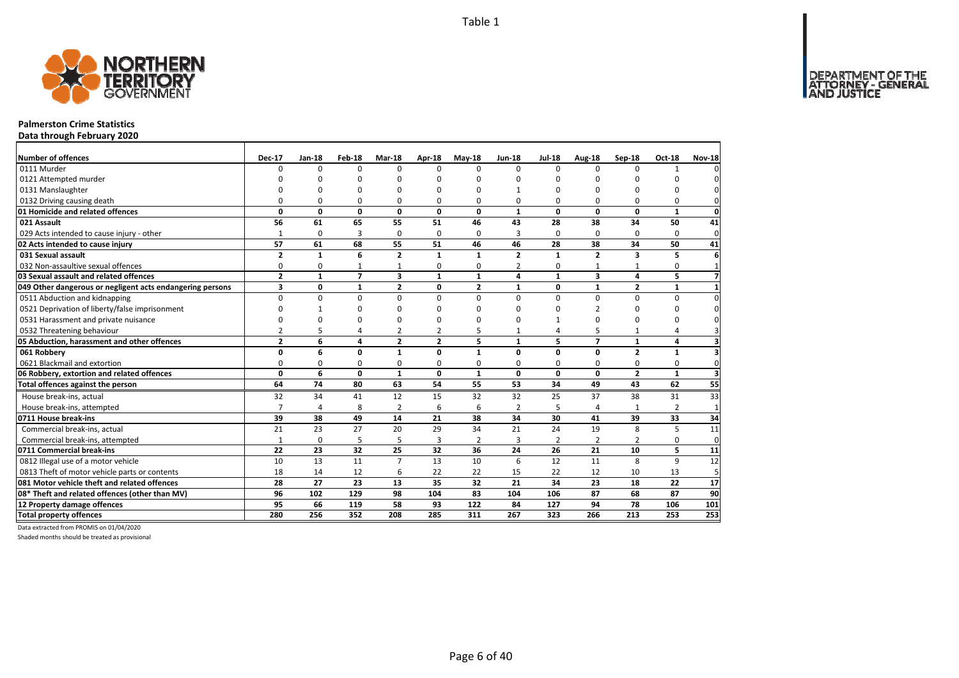

### **Palmerston Crime Statistics**

**Data through February 2020**

| Number of offences                                        | <b>Dec-17</b>  | $Jan-18$     | Feb-18         | Mar-18                  | Apr-18         | $May-18$     | <b>Jun-18</b>  | <b>Jul-18</b> | Aug-18                  | Sep-18         | Oct-18         | <b>Nov-18</b>           |
|-----------------------------------------------------------|----------------|--------------|----------------|-------------------------|----------------|--------------|----------------|---------------|-------------------------|----------------|----------------|-------------------------|
| 0111 Murder                                               | 0              | 0            | $\Omega$       | $\Omega$                | $\Omega$       | O            | $\Omega$       | $\Omega$      | $\Omega$                | $\Omega$       | $\mathbf{1}$   |                         |
| 0121 Attempted murder                                     | U              | n            | n              | $\cap$                  |                | ŋ            | n              | n             | ∩                       | n              | n              |                         |
| 0131 Manslaughter                                         | $\Omega$       | $\Omega$     | 0              | $\Omega$                | O              | 0            |                | $\Omega$      | $\Omega$                | $\Omega$       | O              |                         |
| 0132 Driving causing death                                | $\Omega$       | 0            | 0              | $\Omega$                | 0              | 0            | 0              | $\Omega$      | $\Omega$                | $\Omega$       | 0              | O                       |
| 01 Homicide and related offences                          | 0              | 0            | $\mathbf 0$    | $\mathbf 0$             | 0              | 0            | $\mathbf{1}$   | 0             | $\mathbf{0}$            | 0              | $\mathbf{1}$   | 0                       |
| 021 Assault                                               | 56             | 61           | 65             | 55                      | 51             | 46           | 43             | 28            | 38                      | 34             | 50             | 41                      |
| 029 Acts intended to cause injury - other                 | $\mathbf{1}$   | 0            | 3              | $\Omega$                | $\Omega$       | 0            | 3              | $\Omega$      | $\Omega$                | $\Omega$       | $\Omega$       | $\mathbf 0$             |
| 02 Acts intended to cause injury                          | 57             | 61           | 68             | 55                      | 51             | 46           | 46             | 28            | 38                      | 34             | 50             | 41                      |
| 031 Sexual assault                                        | $\overline{2}$ | $\mathbf{1}$ | 6              | $\overline{2}$          | 1              | 1            | $\overline{2}$ | $\mathbf{1}$  | $\overline{2}$          | 3              | 5              |                         |
| 032 Non-assaultive sexual offences                        | 0              | 0            | $\mathbf{1}$   | $\mathbf{1}$            | 0              | 0            | $\overline{2}$ | 0             |                         |                | 0              |                         |
| 03 Sexual assault and related offences                    | $\overline{2}$ | $\mathbf{1}$ | $\overline{7}$ | $\overline{\mathbf{3}}$ | 1              | $\mathbf{1}$ | 4              | $\mathbf{1}$  | $\overline{\mathbf{3}}$ | 4              | 5              |                         |
| 049 Other dangerous or negligent acts endangering persons | 3              | 0            | 1              | $\overline{2}$          | 0              | $\mathbf{2}$ | $\mathbf{1}$   | 0             | $\mathbf{1}$            | 2              | 1              |                         |
| 0511 Abduction and kidnapping                             | $\Omega$       | 0            | $\mathbf 0$    | $\Omega$                | $\Omega$       | $\Omega$     | $\Omega$       | $\Omega$      | $\Omega$                | $\Omega$       | 0              | $\Omega$                |
| 0521 Deprivation of liberty/false imprisonment            | $\Omega$       | 1            | $\Omega$       | $\Omega$                | ŋ              | 0            | n              | O             | 2                       | $\Omega$       | U              | O                       |
| 0531 Harassment and private nuisance                      | $\Omega$       | $\Omega$     | $\Omega$       | $\Omega$                | ŋ              | ŋ            | ŋ              | 1             | $\Omega$                | $\Omega$       | U              | O                       |
| 0532 Threatening behaviour                                | $\overline{2}$ | 5            | $\overline{4}$ | $\overline{2}$          | 2              | 5            | $\mathbf{1}$   | 4             | 5                       | 1              | 4              |                         |
| 05 Abduction, harassment and other offences               | $\overline{2}$ | 6            | $\overline{a}$ | $\overline{2}$          | $\overline{2}$ | 5            | $\mathbf{1}$   | 5             | $\overline{7}$          | $\mathbf{1}$   | 4              |                         |
| 061 Robbery                                               | 0              | 6            | $\mathbf{0}$   | $\mathbf{1}$            | $\Omega$       | 1            | $\Omega$       | $\mathbf{0}$  | $\mathbf{0}$            | $\overline{2}$ | $\mathbf{1}$   |                         |
| 0621 Blackmail and extortion                              | $\Omega$       | 0            | 0              | 0                       | 0              | 0            | $\Omega$       | 0             | $\Omega$                | 0              | 0              | $\Omega$                |
| 06 Robbery, extortion and related offences                | 0              | 6            | $\mathbf{0}$   | $\mathbf{1}$            | 0              | $\mathbf{1}$ | $\mathbf{0}$   | $\mathbf{0}$  | $\mathbf 0$             | $\overline{2}$ | $\mathbf{1}$   | $\overline{\mathbf{3}}$ |
| Total offences against the person                         | 64             | 74           | 80             | 63                      | 54             | 55           | 53             | 34            | 49                      | 43             | 62             | 55                      |
| House break-ins, actual                                   | 32             | 34           | 41             | 12                      | 15             | 32           | 32             | 25            | 37                      | 38             | 31             | 33                      |
| House break-ins, attempted                                | $\overline{7}$ | 4            | 8              | $\overline{2}$          | 6              | 6            | $\overline{2}$ | 5             | $\overline{4}$          |                | $\overline{2}$ | $\overline{1}$          |
| 0711 House break-ins                                      | 39             | 38           | 49             | 14                      | 21             | 38           | 34             | 30            | 41                      | 39             | 33             | 34                      |
| Commercial break-ins, actual                              | 21             | 23           | 27             | 20                      | 29             | 34           | 21             | 24            | 19                      | 8              | 5              | 11                      |
| Commercial break-ins, attempted                           | $\mathbf{1}$   | 0            | 5              | 5                       | 3              | 2            | 3              | 2             | $\overline{2}$          | 2              | 0              | 0                       |
| 0711 Commercial break-ins                                 | 22             | 23           | 32             | 25                      | 32             | 36           | 24             | 26            | 21                      | 10             | 5              | 11                      |
| 0812 Illegal use of a motor vehicle                       | 10             | 13           | 11             | $\overline{7}$          | 13             | 10           | 6              | 12            | 11                      | 8              | 9              | 12                      |
| 0813 Theft of motor vehicle parts or contents             | 18             | 14           | 12             | 6                       | 22             | 22           | 15             | 22            | 12                      | 10             | 13             | 5                       |
| 081 Motor vehicle theft and related offences              | 28             | 27           | 23             | 13                      | 35             | 32           | 21             | 34            | 23                      | 18             | 22             | 17                      |
| 08* Theft and related offences (other than MV)            | 96             | 102          | 129            | 98                      | 104            | 83           | 104            | 106           | 87                      | 68             | 87             | 90                      |
| 12 Property damage offences                               | 95             | 66           | 119            | 58                      | 93             | 122          | 84             | 127           | 94                      | 78             | 106            | 101                     |
| <b>Total property offences</b>                            | 280            | 256          | 352            | 208                     | 285            | 311          | 267            | 323           | 266                     | 213            | 253            | 253                     |

Data extracted from PROMIS on 01/04/2020

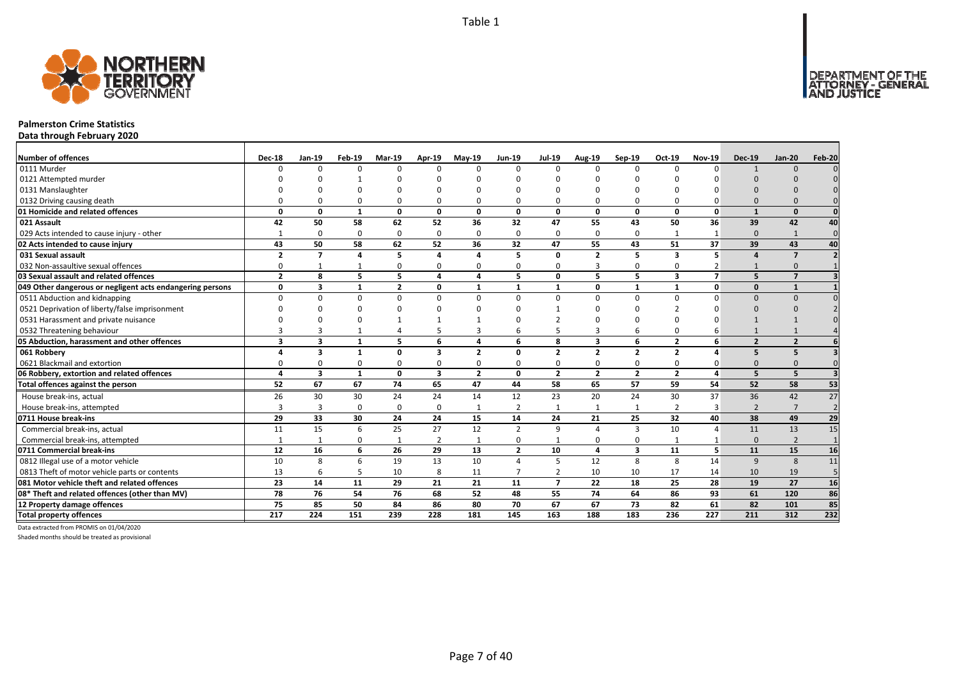

### **Palmerston Crime Statistics**

**Data through February 2020**

| <b>Number of offences</b>                                 | <b>Dec-18</b>  | $Jan-19$                 | Feb-19       | Mar-19         | Apr-19                  | $May-19$       | Jun-19         | <b>Jul-19</b>  | Aug-19                  | $Sep-19$        | Oct-19         | <b>Nov-19</b>  | <b>Dec-19</b>  | <b>Jan-20</b>  | Feb-20         |
|-----------------------------------------------------------|----------------|--------------------------|--------------|----------------|-------------------------|----------------|----------------|----------------|-------------------------|-----------------|----------------|----------------|----------------|----------------|----------------|
| 0111 Murder                                               | U              | $\Omega$                 | $\Omega$     | $\Omega$       | $\Omega$                | $\Omega$       | $\Omega$       | $\Omega$       | $\Omega$                | $\Omega$        | n              | n              |                | $\Omega$       |                |
| 0121 Attempted murder                                     |                |                          |              |                |                         |                |                |                |                         |                 |                |                |                |                |                |
| 0131 Manslaughter                                         |                |                          |              |                |                         |                |                |                |                         | $\Omega$        |                |                |                |                |                |
| 0132 Driving causing death                                |                | O                        | n            | ŋ              | $\Omega$                | ŋ              |                |                | $\Omega$                | $\Omega$        |                |                |                |                |                |
| 01 Homicide and related offences                          | 0              | 0                        | $\mathbf{1}$ | 0              | 0                       | 0              | 0              | $\Omega$       | $\mathbf 0$             | 0               | 0              | 0              | $\mathbf{1}$   | $\Omega$       |                |
| 021 Assault                                               | 42             | 50                       | 58           | 62             | 52                      | 36             | 32             | 47             | 55                      | 43              | 50             | 36             | 39             | 42             | 40             |
| 029 Acts intended to cause injury - other                 |                | $\Omega$                 | $\Omega$     | $\Omega$       | 0                       | $\Omega$       | $\Omega$       | $\Omega$       | $\mathbf 0$             | 0               |                | $\mathbf{1}$   | $\Omega$       | $\mathbf{1}$   | $\mathbf{0}$   |
| 02 Acts intended to cause injury                          | 43             | 50                       | 58           | 62             | 52                      | 36             | 32             | 47             | 55                      | 43              | 51             | 37             | 39             | 43             | 40             |
| 031 Sexual assault                                        | $\overline{2}$ | $\overline{\phantom{a}}$ |              | 5              | 4                       |                | 5              | $\Omega$       | $\overline{2}$          | 5               | 3              | 5              | $\mathbf{A}$   | $\overline{7}$ |                |
| 032 Non-assaultive sexual offences                        | $\Omega$       |                          |              | $\Omega$       | 0                       | $\Omega$       | O              | $\Omega$       | 3                       | 0               |                |                |                | $\Omega$       |                |
| 03 Sexual assault and related offences                    | $\overline{2}$ | 8                        | 5            | 5              | 4                       | 4              | 5              | $\Omega$       | 5                       | 5               | $\mathbf{3}$   | $\overline{7}$ | 5              | $\overline{7}$ |                |
| 049 Other dangerous or negligent acts endangering persons | O              | 3                        | $\mathbf{1}$ | $\overline{2}$ | 0                       | $\mathbf 1$    | 1              | -1             | 0                       | 1               | $\mathbf 1$    | 0              | $\Omega$       | $\mathbf{1}$   |                |
| 0511 Abduction and kidnapping                             | U              | O                        | $\Omega$     | $\Omega$       | 0                       | $\Omega$       | $\Omega$       | $\Omega$       | $\Omega$                | $\Omega$        | <sup>n</sup>   |                | $\Omega$       | $\Omega$       |                |
| 0521 Deprivation of liberty/false imprisonment            |                |                          |              |                |                         |                |                |                |                         | ŋ               |                |                |                |                |                |
| 0531 Harassment and private nuisance                      |                |                          |              |                |                         |                |                |                |                         | n               |                |                |                |                |                |
| 0532 Threatening behaviour                                |                |                          |              |                | 5                       | 3              | 6              |                | 3                       | 6               | $\Omega$       |                |                |                |                |
| 05 Abduction, harassment and other offences               | 3              | $\overline{\mathbf{3}}$  | $\mathbf{1}$ | 5              | 6                       | $\overline{a}$ | 6              | 8              | $\overline{\mathbf{3}}$ | 6               | $\overline{2}$ | 6              | $\overline{2}$ | $\overline{2}$ |                |
| 061 Robbery                                               |                | 3                        | $\mathbf{1}$ | 0              | 3                       | $\overline{2}$ | 0              | $\overline{2}$ | $\overline{2}$          | $\overline{2}$  | $\overline{2}$ | Δ              | 5              | 5              |                |
| 0621 Blackmail and extortion                              | ŋ              | $\Omega$                 | 0            | $\Omega$       | 0                       | $\Omega$       | <sup>0</sup>   | $\Omega$       | $\Omega$                | 0               | $\Omega$       |                | $\Omega$       | $\Omega$       |                |
| 06 Robbery, extortion and related offences                |                | 3                        | $\mathbf{1}$ | $\mathbf{0}$   | $\overline{\mathbf{3}}$ | $\overline{2}$ | $\mathbf{0}$   | $\overline{2}$ | $\overline{2}$          | $\mathbf{2}$    | $\overline{2}$ | 4              | 5              | 5              | $\overline{3}$ |
| Total offences against the person                         | 52             | 67                       | 67           | 74             | 65                      | 47             | 44             | 58             | 65                      | $\overline{57}$ | 59             | 54             | 52             | 58             | 53             |
| House break-ins, actual                                   | 26             | 30                       | 30           | 24             | 24                      | 14             | 12             | 23             | 20                      | 24              | 30             | 37             | 36             | 42             | 27             |
| House break-ins, attempted                                | 3              | з                        | 0            | 0              | 0                       | $\mathbf{1}$   | $\overline{2}$ | $\mathbf{1}$   | 1                       | $\mathbf{1}$    | 2              | 3              | $\overline{2}$ | $\overline{7}$ | $\overline{2}$ |
| 0711 House break-ins                                      | 29             | 33                       | 30           | 24             | 24                      | 15             | 14             | 24             | 21                      | 25              | 32             | 40             | 38             | 49             | 29             |
| Commercial break-ins, actual                              | 11             | 15                       | 6            | 25             | 27                      | 12             | $\overline{2}$ | q              | $\overline{a}$          | 3               | 10             |                | 11             | 13             | 15             |
| Commercial break-ins, attempted                           |                | 1                        | $\Omega$     | 1              | 2                       | 1              | 0              |                | $\Omega$                | 0               | 1              |                | $\Omega$       | $\overline{2}$ |                |
| 0711 Commercial break-ins                                 | 12             | 16                       | 6            | 26             | 29                      | 13             | $\overline{2}$ | 10             | $\overline{4}$          | 3               | 11             | 5              | 11             | 15             | 16             |
| 0812 Illegal use of a motor vehicle                       | 10             | 8                        | 6            | 19             | 13                      | 10             | 4              | 5              | 12                      | 8               | 8              | 14             | 9              | 8              | 11             |
| 0813 Theft of motor vehicle parts or contents             | 13             | 6                        | 5            | 10             | 8                       | 11             | 7              | 2              | 10                      | 10              | 17             | 14             | 10             | 19             | 5              |
| 081 Motor vehicle theft and related offences              | 23             | 14                       | 11           | 29             | 21                      | 21             | 11             | $\overline{7}$ | 22                      | 18              | 25             | 28             | 19             | 27             | 16             |
| 08* Theft and related offences (other than MV)            | 78             | 76                       | 54           | 76             | 68                      | 52             | 48             | 55             | 74                      | 64              | 86             | 93             | 61             | 120            | 86             |
| 12 Property damage offences                               | 75             | 85                       | 50           | 84             | 86                      | 80             | 70             | 67             | 67                      | 73              | 82             | 61             | 82             | 101            | 85             |
| <b>Total property offences</b>                            | 217            | 224                      | 151          | 239            | 228                     | 181            | 145            | 163            | 188                     | 183             | 236            | 227            | 211            | 312            | 232            |

Data extracted from PROMIS on 01/04/2020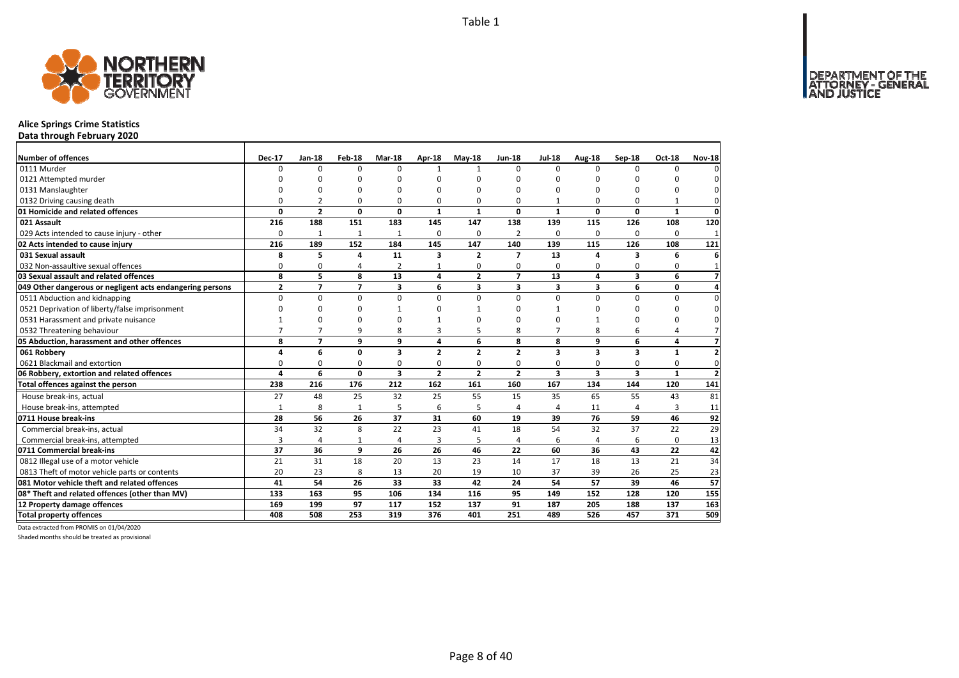

# **Alice Springs Crime Statistics**

**Data through February 2020**

| Number of offences                                        | <b>Dec-17</b>  | <b>Jan-18</b>  | Feb-18         | Mar-18                  | <b>Apr-18</b>           | $May-18$                | <b>Jun-18</b>            | <b>Jul-18</b>           | Aug-18                  | Sep-18                  | <b>Oct-18</b> | <b>Nov-18</b>  |
|-----------------------------------------------------------|----------------|----------------|----------------|-------------------------|-------------------------|-------------------------|--------------------------|-------------------------|-------------------------|-------------------------|---------------|----------------|
| 0111 Murder                                               | $\Omega$       | $\Omega$       | 0              | $\Omega$                | $\mathbf{1}$            | $\mathbf{1}$            | <sup>0</sup>             | $\Omega$                | $\Omega$                | $\Omega$                | $\Omega$      |                |
| 0121 Attempted murder                                     | n              | $\Omega$       | O              | $\Omega$                |                         | $\Omega$                | <sup>0</sup>             | ŋ                       | n                       |                         | ŋ             |                |
| 0131 Manslaughter                                         | $\Omega$       | 0              | 0              | $\Omega$                |                         | $\Omega$                | O                        | O                       | $\Omega$                |                         | 0             |                |
| 0132 Driving causing death                                | $\Omega$       | $\overline{2}$ | 0              | $\Omega$                |                         | 0                       | 0                        |                         | $\Omega$                |                         |               | $\Omega$       |
| 01 Homicide and related offences                          | 0              | $\overline{2}$ | 0              | $\mathbf{0}$            | $\mathbf{1}$            | 1                       | 0                        | $\mathbf{1}$            | $\mathbf 0$             | $\Omega$                | $\mathbf{1}$  | $\mathbf 0$    |
| 021 Assault                                               | 216            | 188            | 151            | 183                     | 145                     | 147                     | 138                      | 139                     | 115                     | 126                     | 108           | 120            |
| 029 Acts intended to cause injury - other                 | 0              | 1              | $\mathbf{1}$   | $\mathbf{1}$            | $\Omega$                | 0                       | 2                        | $\Omega$                | $\Omega$                | $\Omega$                | $\Omega$      | $\mathbf{1}$   |
| 02 Acts intended to cause injury                          | 216            | 189            | 152            | 184                     | 145                     | 147                     | 140                      | 139                     | 115                     | 126                     | 108           | 121            |
| 031 Sexual assault                                        | 8              | 5              | 4              | 11                      | $\overline{\mathbf{3}}$ | $\overline{2}$          | $\overline{\phantom{a}}$ | 13                      | $\Delta$                | 3                       | 6             | 6              |
| 032 Non-assaultive sexual offences                        | 0              | 0              | 4              | $\overline{2}$          | 1                       | 0                       | 0                        | $\Omega$                | 0                       | $\Omega$                | 0             | $\mathbf{1}$   |
| 03 Sexual assault and related offences                    | 8              | 5              | 8              | 13                      | 4                       | $\overline{2}$          | $\overline{ }$           | 13                      | $\overline{a}$          | 3                       | 6             | $\overline{7}$ |
| 049 Other dangerous or negligent acts endangering persons | $\overline{2}$ | $\overline{7}$ | $\overline{7}$ | 3                       | 6                       | $\overline{\mathbf{3}}$ | 3                        | 3                       | $\overline{\mathbf{3}}$ | 6                       | 0             | 4              |
| 0511 Abduction and kidnapping                             | $\Omega$       | $\Omega$       | $\mathbf 0$    | $\Omega$                | $\Omega$                | 0                       | 0                        | $\Omega$                | $\Omega$                | $\Omega$                | $\Omega$      | $\Omega$       |
| 0521 Deprivation of liberty/false imprisonment            | $\Omega$       | $\Omega$       | 0              | $\mathbf 1$             |                         |                         | <sup>0</sup>             |                         | 0                       | n                       | 0             | 0              |
| 0531 Harassment and private nuisance                      |                | $\Omega$       | $\Omega$       | $\Omega$                |                         | $\Omega$                | ŋ                        | O                       | $\mathbf{1}$            |                         | 0             | 0              |
| 0532 Threatening behaviour                                | $\overline{7}$ | $\overline{7}$ | 9              | 8                       | 3                       | 5                       | 8                        | $\overline{7}$          | 8                       | 6                       | 4             |                |
| 05 Abduction, harassment and other offences               | 8              | $\overline{7}$ | 9              | 9                       | 4                       | 6                       | 8                        | 8                       | 9                       | 6                       | 4             | $\overline{7}$ |
| 061 Robbery                                               | 4              | 6              | 0              | $\overline{\mathbf{3}}$ | $\overline{2}$          | $\overline{2}$          | $\overline{2}$           | 3                       | $\overline{\mathbf{3}}$ | 3                       | $\mathbf{1}$  | $\overline{2}$ |
| 0621 Blackmail and extortion                              | 0              | 0              | 0              | 0                       | 0                       | 0                       | 0                        | 0                       | 0                       | 0                       | 0             | 0              |
| 06 Robbery, extortion and related offences                | 4              | 6              | $\mathbf{0}$   | $\overline{\mathbf{3}}$ | $\overline{2}$          | $\overline{2}$          | $\overline{2}$           | $\overline{\mathbf{3}}$ | $\overline{\mathbf{3}}$ | $\overline{\mathbf{3}}$ | $\mathbf{1}$  | $\overline{2}$ |
| Total offences against the person                         | 238            | 216            | 176            | 212                     | 162                     | 161                     | 160                      | 167                     | 134                     | 144                     | 120           | 141            |
| House break-ins, actual                                   | 27             | 48             | 25             | 32                      | 25                      | 55                      | 15                       | 35                      | 65                      | 55                      | 43            | 81             |
| House break-ins, attempted                                | $\mathbf{1}$   | 8              | $\mathbf{1}$   | 5                       | 6                       | 5                       | 4                        | $\overline{a}$          | 11                      |                         | 3             | 11             |
| 0711 House break-ins                                      | 28             | 56             | 26             | 37                      | 31                      | 60                      | 19                       | 39                      | 76                      | 59                      | 46            | 92             |
| Commercial break-ins, actual                              | 34             | 32             | 8              | 22                      | 23                      | 41                      | 18                       | 54                      | 32                      | 37                      | 22            | 29             |
| Commercial break-ins, attempted                           | 3              | 4              | 1              | $\overline{4}$          | 3                       | 5                       | 4                        | 6                       | $\overline{4}$          | 6                       | $\mathbf 0$   | 13             |
| 0711 Commercial break-ins                                 | 37             | 36             | 9              | 26                      | 26                      | 46                      | 22                       | 60                      | 36                      | 43                      | 22            | 42             |
| 0812 Illegal use of a motor vehicle                       | 21             | 31             | 18             | 20                      | 13                      | 23                      | 14                       | 17                      | 18                      | 13                      | 21            | 34             |
| 0813 Theft of motor vehicle parts or contents             | 20             | 23             | 8              | 13                      | 20                      | 19                      | 10                       | 37                      | 39                      | 26                      | 25            | 23             |
| 081 Motor vehicle theft and related offences              | 41             | 54             | 26             | 33                      | 33                      | 42                      | 24                       | 54                      | 57                      | 39                      | 46            | 57             |
| 08* Theft and related offences (other than MV)            | 133            | 163            | 95             | 106                     | 134                     | 116                     | 95                       | 149                     | 152                     | 128                     | 120           | 155            |
| 12 Property damage offences                               | 169            | 199            | 97             | 117                     | 152                     | 137                     | 91                       | 187                     | 205                     | 188                     | 137           | 163            |
| <b>Total property offences</b>                            | 408            | 508            | 253            | 319                     | 376                     | 401                     | 251                      | 489                     | 526                     | 457                     | 371           | 509            |

Data extracted from PROMIS on 01/04/2020

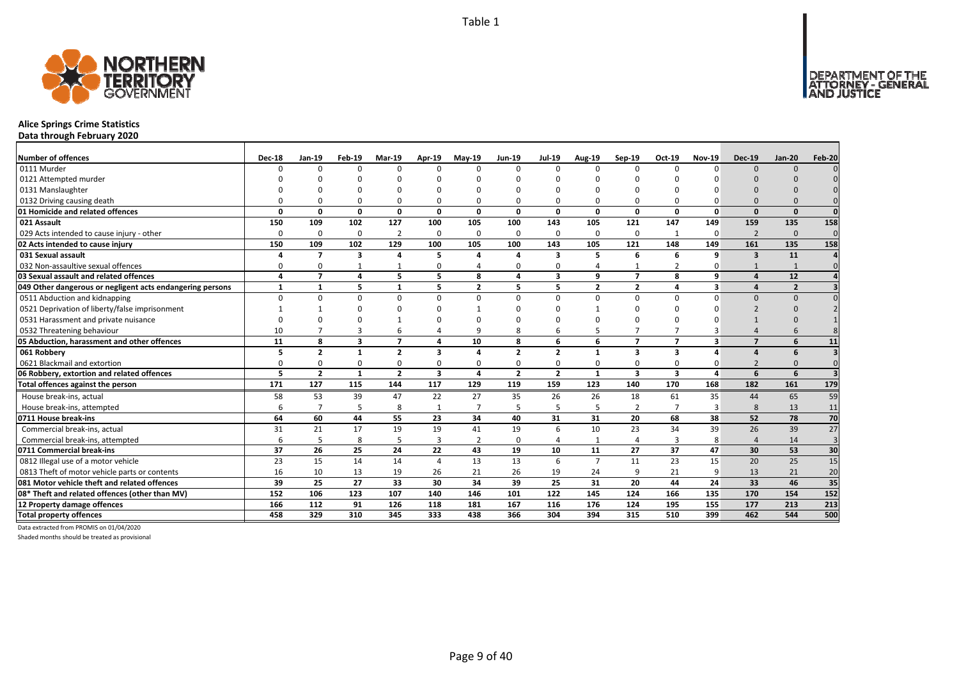

# **Alice Springs Crime Statistics**

**Data through February 2020**

| <b>Number of offences</b>                                 | <b>Dec-18</b> | Jan-19         | Feb-19                  | Mar-19         | Apr-19                  | <b>Mav-19</b>  | <b>Jun-19</b>  | <b>Jul-19</b>           | <b>Aug-19</b>           | Sep-19                  | Oct-19                  | <b>Nov-19</b> | <b>Dec-19</b>            | <b>Jan-20</b>  | Feb-20   |
|-----------------------------------------------------------|---------------|----------------|-------------------------|----------------|-------------------------|----------------|----------------|-------------------------|-------------------------|-------------------------|-------------------------|---------------|--------------------------|----------------|----------|
| 0111 Murder                                               | $\Omega$      | $\Omega$       | $\Omega$                | $\Omega$       | $\Omega$                | n              | $\Omega$       | $\Omega$                | $\Omega$                | $\Omega$                | $\Omega$                | $\Omega$      | $\Omega$                 | $\Omega$       |          |
| 0121 Attempted murder                                     |               |                |                         |                | ŋ                       |                |                | n                       |                         | U                       |                         |               |                          |                |          |
| 0131 Manslaughter                                         |               |                |                         |                | ŋ                       |                |                |                         |                         |                         |                         |               |                          |                |          |
| 0132 Driving causing death                                |               |                |                         | $\Omega$       | $\Omega$                |                |                | $\Omega$                | $\Omega$                | $\Omega$                |                         |               |                          |                |          |
| 01 Homicide and related offences                          | $\Omega$      | 0              | <sup>0</sup>            | $\mathbf 0$    | $\mathbf{0}$            | $\Omega$       | $\Omega$       | $\Omega$                | $\mathbf{0}$            | $\mathbf{0}$            | $\Omega$                | $\Omega$      | $\Omega$                 | $\Omega$       | $\Omega$ |
| 021 Assault                                               | 150           | 109            | 102                     | 127            | 100                     | 105            | 100            | 143                     | 105                     | 121                     | 147                     | 149           | 159                      | 135            | 158      |
| 029 Acts intended to cause injury - other                 | $\Omega$      | $\Omega$       | $\Omega$                | $\overline{2}$ | 0                       | $\Omega$       | $\Omega$       | $\Omega$                | $\Omega$                | 0                       | 1                       | $\Omega$      | $\overline{2}$           | $\Omega$       | $\Omega$ |
| 02 Acts intended to cause injury                          | 150           | 109            | 102                     | 129            | 100                     | 105            | 100            | 143                     | 105                     | 121                     | 148                     | 149           | 161                      | 135            | 158      |
| 031 Sexual assault                                        |               | $\overline{7}$ | $\overline{\mathbf{3}}$ | 4              | 5                       |                | 4              | $\overline{\mathbf{3}}$ | 5                       | 6                       | 6                       | 9             | $\overline{\mathbf{3}}$  | 11             |          |
| 032 Non-assaultive sexual offences                        | n             | $\Omega$       |                         |                | $\mathbf 0$             |                | ი              | $\Omega$                |                         | 1                       | $\overline{2}$          |               |                          |                | $\Omega$ |
| 03 Sexual assault and related offences                    | $\Delta$      | $\overline{7}$ | 4                       | 5              | 5                       | 8              | 4              | 3                       | 9                       | $\overline{7}$          | 8                       | q             | $\Delta$                 | 12             |          |
| 049 Other dangerous or negligent acts endangering persons |               | 1              | 5                       | $\mathbf{1}$   | 5                       | $\overline{2}$ | 5              | 5                       | $\overline{\mathbf{2}}$ | $\overline{2}$          | 4                       | 3             |                          | $\overline{2}$ |          |
| 0511 Abduction and kidnapping                             | $\Omega$      | $\Omega$       | n                       | $\Omega$       | $\Omega$                | $\Omega$       | U              | $\Omega$                | $\Omega$                | $\Omega$                | n                       |               | $\Omega$                 | $\Omega$       |          |
| 0521 Deprivation of liberty/false imprisonment            |               |                |                         |                | ŋ                       |                |                | $\Omega$                |                         | O                       |                         |               |                          |                |          |
| 0531 Harassment and private nuisance                      |               |                |                         |                | ŋ                       |                |                |                         |                         |                         |                         |               |                          |                |          |
| 0532 Threatening behaviour                                | 10            |                |                         | 6              | 4                       |                |                |                         |                         | 7                       |                         |               |                          |                |          |
| 05 Abduction, harassment and other offences               | 11            | 8              | $\overline{\mathbf{3}}$ | $\overline{7}$ | 4                       | 10             | 8              | 6                       | 6                       | $\overline{7}$          | $\overline{ }$          | 3             | $\overline{\phantom{a}}$ | 6              | 11       |
| 061 Robbery                                               |               | $\overline{2}$ |                         | $\overline{2}$ | 3                       |                | $\overline{2}$ | $\overline{\mathbf{z}}$ | 1                       | 3                       | 3                       |               |                          | 6              |          |
| 0621 Blackmail and extortion                              |               |                |                         | $\Omega$       | $\Omega$                |                |                | $\Omega$                | $\Omega$                | $\Omega$                |                         |               |                          |                |          |
| 06 Robbery, extortion and related offences                | 5             | $\overline{2}$ | $\mathbf{1}$            | $\overline{2}$ | $\overline{\mathbf{3}}$ | 4              | $\overline{2}$ | $\overline{2}$          | $\mathbf{1}$            | $\overline{\mathbf{3}}$ | $\overline{\mathbf{3}}$ |               | 6                        | 6              |          |
| Total offences against the person                         | 171           | 127            | 115                     | 144            | 117                     | 129            | 119            | 159                     | 123                     | 140                     | 170                     | 168           | 182                      | 161            | 179      |
| House break-ins, actual                                   | 58            | 53             | 39                      | 47             | 22                      | 27             | 35             | 26                      | 26                      | 18                      | 61                      | 35            | 44                       | 65             | 59       |
| House break-ins, attempted                                | 6             | $\overline{7}$ | 5                       | 8              | $\mathbf{1}$            |                | 5              | 5                       | 5                       | $\overline{2}$          |                         | В             | 8                        | 13             | 11       |
| 0711 House break-ins                                      | 64            | 60             | 44                      | 55             | 23                      | 34             | 40             | 31                      | 31                      | 20                      | 68                      | 38            | 52                       | 78             | 70       |
| Commercial break-ins, actual                              | 31            | 21             | 17                      | 19             | 19                      | 41             | 19             | 6                       | 10                      | 23                      | 34                      | 39            | 26                       | 39             | 27       |
| Commercial break-ins, attempted                           | 6             | 5              | 8                       | 5              | 3                       | $\overline{2}$ | $\Omega$       |                         | $\mathbf{1}$            | 4                       | 3                       | 8             | $\boldsymbol{\Delta}$    | 14             | 3        |
| 0711 Commercial break-ins                                 | 37            | 26             | 25                      | 24             | 22                      | 43             | 19             | 10                      | 11                      | 27                      | 37                      | 47            | 30                       | 53             | 30       |
| 0812 Illegal use of a motor vehicle                       | 23            | 15             | 14                      | 14             | 4                       | 13             | 13             | 6                       | $\overline{7}$          | 11                      | 23                      | 15            | 20                       | 25             | 15       |
| 0813 Theft of motor vehicle parts or contents             | 16            | 10             | 13                      | 19             | 26                      | 21             | 26             | 19                      | 24                      | 9                       | 21                      | 9             | 13                       | 21             | 20       |
| 081 Motor vehicle theft and related offences              | 39            | 25             | 27                      | 33             | 30                      | 34             | 39             | 25                      | 31                      | 20                      | 44                      | 24            | 33                       | 46             | 35       |
| 08* Theft and related offences (other than MV)            | 152           | 106            | 123                     | 107            | 140                     | 146            | 101            | 122                     | 145                     | 124                     | 166                     | 135           | 170                      | 154            | 152      |
| 12 Property damage offences                               | 166           | 112            | 91                      | 126            | 118                     | 181            | 167            | 116                     | 176                     | 124                     | 195                     | 155           | 177                      | 213            | 213      |
| <b>Total property offences</b>                            | 458           | 329            | 310                     | 345            | 333                     | 438            | 366            | 304                     | 394                     | 315                     | 510                     | 399           | 462                      | 544            | 500      |

Data extracted from PROMIS on 01/04/2020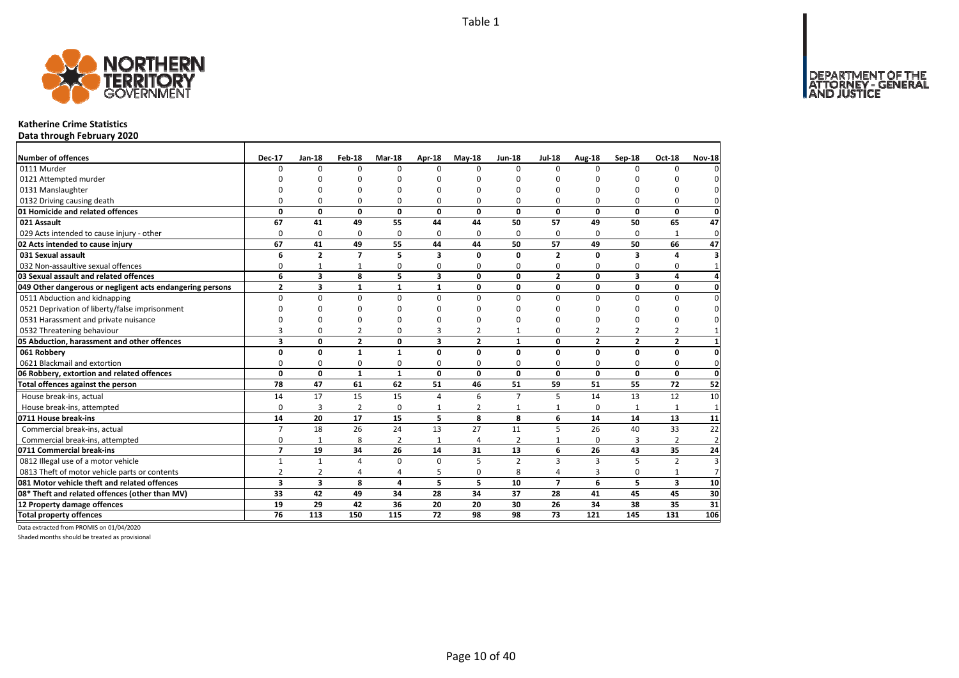

### **Katherine Crime Statistics**

**Data through February 2020**

| Number of offences                                        | <b>Dec-17</b>           | $Jan-18$       | Feb-18         | Mar-18         | <b>Apr-18</b>           | $May-18$       | <b>Jun-18</b>  | <b>Jul-18</b>  | Aug-18         | Sep-18         | <b>Oct-18</b>           | <b>Nov-18</b>  |
|-----------------------------------------------------------|-------------------------|----------------|----------------|----------------|-------------------------|----------------|----------------|----------------|----------------|----------------|-------------------------|----------------|
| 0111 Murder                                               | $\Omega$                | 0              | $\Omega$       | $\Omega$       | $\Omega$                | $\Omega$       | $\Omega$       | $\Omega$       | $\Omega$       | $\Omega$       | $\Omega$                |                |
| 0121 Attempted murder                                     |                         | n              | n              | n              |                         | ŋ              | ŋ              | n              | n              |                |                         |                |
| 0131 Manslaughter                                         |                         | O              | O              | $\Omega$       |                         | $\Omega$       | O              | O              | $\Omega$       |                | O                       |                |
| 0132 Driving causing death                                | $\Omega$                | 0              | 0              | $\Omega$       | $\Omega$                | $\Omega$       | 0              | O              | $\Omega$       |                | $\Omega$                |                |
| 01 Homicide and related offences                          | 0                       | 0              | $\mathbf 0$    | $\mathbf{0}$   | 0                       | 0              | 0              | 0              | $\mathbf 0$    | 0              | $\mathbf{0}$            | $\mathbf 0$    |
| 021 Assault                                               | 67                      | 41             | 49             | 55             | 44                      | 44             | 50             | 57             | 49             | 50             | 65                      | 47             |
| 029 Acts intended to cause injury - other                 | $\Omega$                | $\mathbf 0$    | 0              | $\Omega$       | $\Omega$                | $\Omega$       | $\Omega$       | $\Omega$       | $\Omega$       | $\Omega$       | 1                       | $\mathbf{0}$   |
| 02 Acts intended to cause injury                          | 67                      | 41             | 49             | 55             | 44                      | 44             | 50             | 57             | 49             | 50             | 66                      | 47             |
| 031 Sexual assault                                        | 6                       | $\overline{2}$ | $\overline{7}$ | 5              | $\overline{\mathbf{3}}$ | $\Omega$       | $\Omega$       | $\overline{2}$ | $\Omega$       | 3              | 4                       | З              |
| 032 Non-assaultive sexual offences                        | 0                       | $\mathbf{1}$   | 1              | 0              | $\Omega$                | 0              | 0              | 0              | $\Omega$       | $\Omega$       | 0                       |                |
| 03 Sexual assault and related offences                    | 6                       | 3              | 8              | 5              | $\overline{\mathbf{3}}$ | 0              | 0              | $\overline{2}$ | 0              | 3              | 4                       |                |
| 049 Other dangerous or negligent acts endangering persons | $\overline{2}$          | 3              | $\mathbf{1}$   | $\mathbf{1}$   | $\mathbf{1}$            | 0              | 0              | $\mathbf{0}$   | $\mathbf 0$    | 0              | 0                       | 0              |
| 0511 Abduction and kidnapping                             | $\Omega$                | 0              | $\Omega$       | $\Omega$       | $\Omega$                | $\Omega$       | $\Omega$       | $\Omega$       | $\Omega$       | $\Omega$       | $\Omega$                | ŋ              |
| 0521 Deprivation of liberty/false imprisonment            | $\Omega$                | <sup>0</sup>   | $\Omega$       | O              |                         | ŋ              | ŋ              | n              | $\Omega$       | C              | O                       |                |
| 0531 Harassment and private nuisance                      | U                       | O              | O              | $\Omega$       |                         | $\Omega$       | n              | ŋ              | $\Omega$       |                | O                       |                |
| 0532 Threatening behaviour                                | 3                       | 0              | $\overline{2}$ | $\mathbf 0$    | 3                       | $\overline{2}$ | $\mathbf{1}$   | 0              | $\overline{2}$ | $\overline{2}$ | $\overline{2}$          |                |
| 05 Abduction, harassment and other offences               | 3                       | 0              | $\overline{2}$ | $\mathbf 0$    | $\overline{\mathbf{3}}$ | $\overline{2}$ | $\mathbf{1}$   | $\mathbf{0}$   | $\overline{2}$ | $\mathbf{z}$   | $\overline{2}$          |                |
| 061 Robbery                                               | 0                       | 0              | $\mathbf{1}$   | $\mathbf{1}$   | $\Omega$                | $\Omega$       | $\Omega$       | 0              | $\mathbf 0$    | $\Omega$       | 0                       | 0              |
| 0621 Blackmail and extortion                              | 0                       | 0              | 0              | 0              | 0                       | 0              | 0              | 0              | 0              | 0              | 0                       | 0              |
| 06 Robbery, extortion and related offences                | $\mathbf{0}$            | $\mathbf{0}$   | $\mathbf{1}$   | $\mathbf{1}$   | $\Omega$                | $\mathbf{0}$   | 0              | $\mathbf 0$    | $\mathbf{0}$   | $\mathbf{0}$   | $\mathbf{0}$            | $\mathbf 0$    |
| Total offences against the person                         | 78                      | 47             | 61             | 62             | 51                      | 46             | 51             | 59             | 51             | 55             | 72                      | 52             |
| House break-ins, actual                                   | 14                      | 17             | 15             | 15             | 4                       | 6              | $\overline{7}$ | 5              | 14             | 13             | 12                      | 10             |
| House break-ins, attempted                                | $\Omega$                | 3              | $\overline{2}$ | $\mathbf 0$    | $\mathbf{1}$            | 2              | $\mathbf{1}$   |                | $\Omega$       |                | 1                       | $\mathbf{1}$   |
| 0711 House break-ins                                      | 14                      | 20             | 17             | 15             | 5                       | 8              | 8              | 6              | 14             | 14             | 13                      | 11             |
| Commercial break-ins, actual                              | $\overline{7}$          | 18             | 26             | 24             | 13                      | 27             | 11             | 5              | 26             | 40             | 33                      | 22             |
| Commercial break-ins, attempted                           | 0                       | $\mathbf{1}$   | 8              | $\overline{2}$ | $\mathbf{1}$            | 4              | $\overline{2}$ |                | 0              | 3              | $\overline{2}$          | $\overline{2}$ |
| 0711 Commercial break-ins                                 | $\overline{7}$          | 19             | 34             | 26             | 14                      | 31             | 13             | 6              | 26             | 43             | 35                      | 24             |
| 0812 Illegal use of a motor vehicle                       | $\mathbf{1}$            | $\mathbf{1}$   | $\overline{4}$ | $\mathbf 0$    | $\Omega$                | 5              | $\overline{2}$ | 3              | $\overline{3}$ | 5              | $\overline{2}$          | 3              |
| 0813 Theft of motor vehicle parts or contents             | $\overline{2}$          | $\overline{2}$ | $\overline{4}$ | 4              | 5                       | $\Omega$       | 8              | 4              | 3              | 0              | $\mathbf{1}$            | $\overline{7}$ |
| 081 Motor vehicle theft and related offences              | $\overline{\mathbf{3}}$ | 3              | 8              | $\overline{a}$ | 5                       | 5.             | 10             | $\overline{7}$ | 6              | 5              | $\overline{\mathbf{3}}$ | 10             |
| 08* Theft and related offences (other than MV)            | 33                      | 42             | 49             | 34             | 28                      | 34             | 37             | 28             | 41             | 45             | 45                      | 30             |
| 12 Property damage offences                               | 19                      | 29             | 42             | 36             | 20                      | 20             | 30             | 26             | 34             | 38             | 35                      | 31             |
| <b>Total property offences</b>                            | $\overline{76}$         | 113            | 150            | 115            | 72                      | 98             | 98             | 73             | 121            | 145            | 131                     | 106            |

Data extracted from PROMIS on 01/04/2020

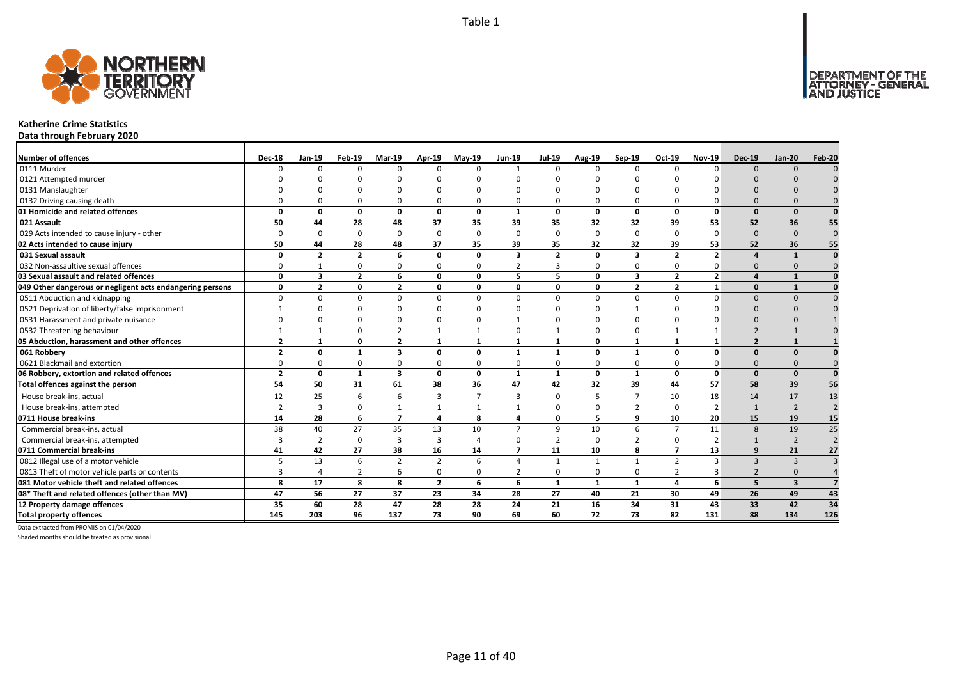

### **Katherine Crime Statistics**

**Data through February 2020**

| <b>Number of offences</b>                                 | <b>Dec-18</b>  | Jan-19                   | Feb-19         | <b>Mar-19</b>           | Apr-19         | $May-19$       | <b>Jun-19</b>  | <b>Jul-19</b>  | <b>Aug-19</b> | Sep-19          | Oct-19         | <b>Nov-19</b>            | <b>Dec-19</b>  | <b>Jan-20</b>           | Feb-20          |
|-----------------------------------------------------------|----------------|--------------------------|----------------|-------------------------|----------------|----------------|----------------|----------------|---------------|-----------------|----------------|--------------------------|----------------|-------------------------|-----------------|
| 0111 Murder                                               | n              | $\Omega$                 | $\Omega$       | $\Omega$                | $\Omega$       | n              | $\mathbf{1}$   | $\Omega$       | $\Omega$      | $\Omega$        | $\Omega$       | $\Omega$                 | $\Omega$       | $\Omega$                |                 |
| 0121 Attempted murder                                     |                |                          |                |                         | n              |                |                | n              |               |                 |                |                          |                |                         |                 |
| 0131 Manslaughter                                         |                |                          |                |                         |                |                |                |                |               |                 |                |                          |                |                         |                 |
| 0132 Driving causing death                                |                |                          | $\Omega$       | $\Omega$                | $\Omega$       |                |                | $\Omega$       | $\Omega$      | 0               |                |                          | $\Omega$       |                         |                 |
| 01 Homicide and related offences                          | O              | n                        | $\Omega$       | $\mathbf{0}$            | $\mathbf{0}$   | $\mathbf 0$    | $\mathbf{1}$   | $\Omega$       | $\mathbf{0}$  | $\mathbf{0}$    | $\Omega$       | $\mathbf{0}$             | $\Omega$       | $\Omega$                |                 |
| 021 Assault                                               | 50             | 44                       | 28             | 48                      | 37             | 35             | 39             | 35             | 32            | 32              | 39             | 53                       | 52             | 36                      | 55              |
| 029 Acts intended to cause injury - other                 | O              | 0                        | $\Omega$       | $\mathbf 0$             | 0              | $\Omega$       | 0              | $\Omega$       | $\Omega$      | 0               | $\Omega$       | $\Omega$                 | $\Omega$       | $\Omega$                | $\mathbf{0}$    |
| 02 Acts intended to cause injury                          | 50             | 44                       | 28             | 48                      | 37             | 35             | 39             | 35             | 32            | 32              | 39             | 53                       | 52             | 36                      | 55              |
| 031 Sexual assault                                        | n              | $\overline{\phantom{a}}$ | $\overline{2}$ | 6                       | 0              | $\Omega$       | 3              | $\overline{2}$ | $\Omega$      | 3               | $\overline{2}$ | $\overline{\phantom{a}}$ |                | $\mathbf{1}$            |                 |
| 032 Non-assaultive sexual offences                        | O              |                          | $\Omega$       | $\Omega$                | 0              | $\Omega$       | 2              | з              | $\Omega$      | 0               | $\Omega$       | O                        | $\Omega$       | $\Omega$                |                 |
| 03 Sexual assault and related offences                    | $\Omega$       | 3                        | $\overline{2}$ | 6                       | 0              | $\Omega$       | 5              | 5              | $\mathbf{0}$  | 3               | $\overline{2}$ | $\overline{2}$           | $\mathbf{A}$   | $\mathbf{1}$            |                 |
| 049 Other dangerous or negligent acts endangering persons | $\Omega$       | $\overline{\mathbf{z}}$  | $\Omega$       | $\overline{2}$          | 0              | $\Omega$       | O              | $\Omega$       | 0             | $\overline{2}$  | $\overline{2}$ | $\mathbf{1}$             | $\Omega$       | $\mathbf{1}$            |                 |
| 0511 Abduction and kidnapping                             | U              |                          | $\Omega$       | $\Omega$                | $\Omega$       | n              | U              | $\Omega$       | $\Omega$      | $\Omega$        | $\Omega$       | $\Omega$                 | $\Omega$       | $\Omega$                |                 |
| 0521 Deprivation of liberty/false imprisonment            |                |                          |                |                         | ŋ              |                |                |                |               |                 |                |                          |                |                         |                 |
| 0531 Harassment and private nuisance                      |                |                          |                | $\cap$                  | ŋ              |                |                | n              |               |                 |                |                          |                |                         |                 |
| 0532 Threatening behaviour                                |                |                          | $\Omega$       | $\overline{2}$          | $\mathbf{1}$   |                | O              |                | $\Omega$      | 0               |                |                          |                |                         |                 |
| 05 Abduction, harassment and other offences               | $\overline{2}$ |                          | $\Omega$       | $\overline{2}$          | $\mathbf{1}$   | $\mathbf{1}$   | $\mathbf{1}$   | $\mathbf{1}$   | $\mathbf{0}$  | $\mathbf{1}$    | $\mathbf{1}$   | $\mathbf{1}$             | $\overline{2}$ | $\mathbf{1}$            |                 |
| 061 Robbery                                               | $\overline{2}$ | 0                        | 1              | $\overline{\mathbf{3}}$ | $\Omega$       | $\Omega$       | $\mathbf{1}$   | $\mathbf{1}$   | $\Omega$      | $\mathbf{1}$    | $\Omega$       | $\Omega$                 | $\Omega$       | $\Omega$                |                 |
| 0621 Blackmail and extortion                              |                | n                        | $\Omega$       | $\Omega$                | 0              |                | 0              | $\Omega$       | $\Omega$      | 0               | $\Omega$       |                          | $\Omega$       | $\Omega$                |                 |
| 06 Robbery, extortion and related offences                | $\overline{2}$ | $\Omega$                 | $\mathbf{1}$   | $\overline{\mathbf{3}}$ | $\mathbf{0}$   | $\Omega$       | $\mathbf{1}$   | $\mathbf{1}$   | $\mathbf 0$   | $\mathbf{1}$    | $\Omega$       | $\mathbf{0}$             | $\Omega$       | $\Omega$                | $\Omega$        |
| Total offences against the person                         | 54             | 50                       | 31             | 61                      | 38             | 36             | 47             | 42             | 32            | 39              | 44             | 57                       | 58             | 39                      | 56              |
| House break-ins, actual                                   | 12             | 25                       | 6              | 6                       | 3              | $\overline{7}$ | 3              | $\Omega$       | 5             | $\overline{7}$  | 10             | 18                       | 14             | 17                      | $\overline{13}$ |
| House break-ins, attempted                                | $\overline{2}$ | 3                        | $\Omega$       | $\mathbf{1}$            | 1              | -1             |                | $\Omega$       | 0             | 2               | $\Omega$       | 2                        | $\mathbf{1}$   | $\overline{2}$          | $\overline{2}$  |
| 0711 House break-ins                                      | 14             | 28                       | 6              | $\overline{7}$          | 4              | 8              | 4              | 0              | 5             | 9               | 10             | 20                       | 15             | 19                      | 15              |
| Commercial break-ins, actual                              | 38             | 40                       | 27             | 35                      | 13             | 10             | $\overline{7}$ | 9              | 10            | 6               | $\overline{7}$ | 11                       | 8              | 19                      | 25              |
| Commercial break-ins, attempted                           |                | $\overline{2}$           | 0              | $\overline{3}$          | 3              | $\overline{a}$ | O              | $\overline{2}$ | $\Omega$      | $\overline{2}$  | $\Omega$       | $\overline{2}$           |                | $\overline{2}$          |                 |
| 0711 Commercial break-ins                                 | 41             | 42                       | 27             | 38                      | 16             | 14             | $\overline{7}$ | 11             | 10            | 8               | $\overline{7}$ | 13                       | 9              | 21                      | 27              |
| 0812 Illegal use of a motor vehicle                       | 5              | 13                       | 6              | $\overline{2}$          | $\overline{2}$ | 6              | $\Delta$       | 1              | 1             | $\mathbf{1}$    | $\overline{2}$ | 3                        | $\mathbf{3}$   | $\overline{3}$          |                 |
| 0813 Theft of motor vehicle parts or contents             | 3              | $\overline{4}$           | $\overline{2}$ | 6                       | 0              |                |                | $\Omega$       | $\Omega$      | 0               | $\overline{2}$ |                          |                |                         |                 |
| 081 Motor vehicle theft and related offences              | 8              | 17                       | 8              | 8                       | $\overline{2}$ | 6              | 6              | $\mathbf{1}$   | $\mathbf{1}$  | $\mathbf{1}$    | $\Delta$       | 6                        | 5              | $\overline{\mathbf{3}}$ |                 |
| 08* Theft and related offences (other than MV)            | 47             | 56                       | 27             | 37                      | 23             | 34             | 28             | 27             | 40            | 21              | 30             | 49                       | 26             | 49                      | 43              |
| 12 Property damage offences                               | 35             | 60                       | 28             | 47                      | 28             | 28             | 24             | 21             | 16            | 34              | 31             | 43                       | 33             | 42                      | 34              |
| <b>Total property offences</b>                            | 145            | 203                      | 96             | $\frac{137}{2}$         | 73             | 90             | 69             | 60             | 72            | $\overline{73}$ | 82             | 131                      | 88             | 134                     | $\frac{126}{2}$ |

Data extracted from PROMIS on 01/04/2020

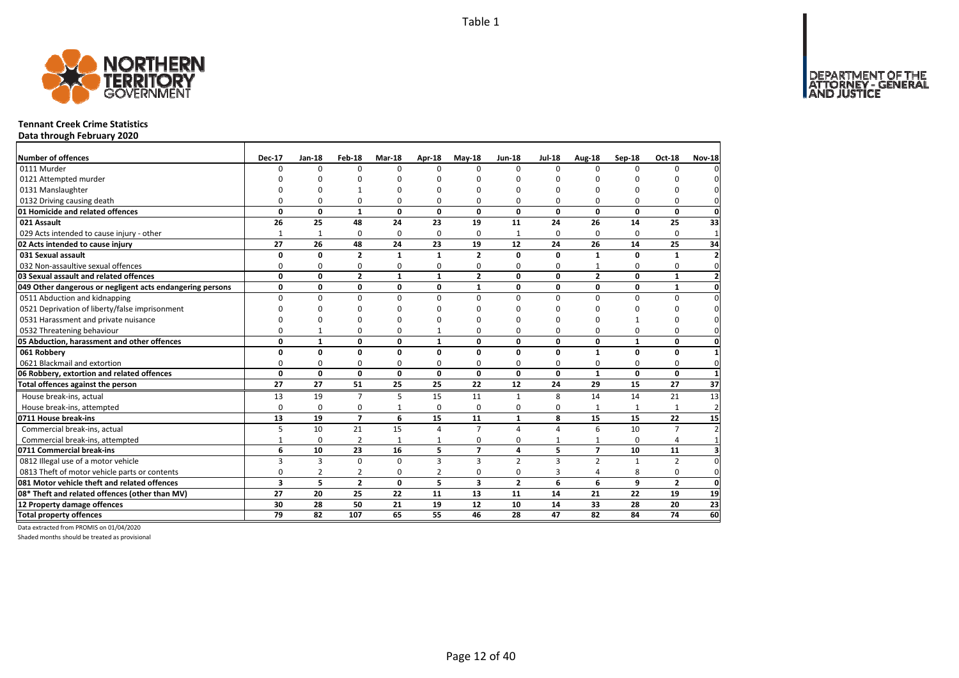DEPARTMENT OF THE<br>ATTORNEY - GENERAL



### **Tennant Creek Crime Statistics**

**Data through February 2020**

| Number of offences                                        | <b>Dec-17</b> | Jan-18         | Feb-18         | Mar-18       | <b>Apr-18</b>  | $May-18$                | <b>Jun-18</b>  | <b>Jul-18</b>           | Aug-18                  | Sep-18       | <b>Oct-18</b>   | <b>Nov-18</b>            |
|-----------------------------------------------------------|---------------|----------------|----------------|--------------|----------------|-------------------------|----------------|-------------------------|-------------------------|--------------|-----------------|--------------------------|
| 0111 Murder                                               | $\Omega$      | 0              | $\Omega$       | $\Omega$     | <sup>n</sup>   | O                       | $\Omega$       | $\Omega$                | $\Omega$                | $\Omega$     | <sup>n</sup>    |                          |
| 0121 Attempted murder                                     |               | n              | n              | O            |                | ŋ                       | C              | n                       | $\Omega$                |              |                 |                          |
| 0131 Manslaughter                                         |               | O              |                | $\Omega$     |                | 0                       | O              | O                       | $\Omega$                | $\Omega$     |                 |                          |
| 0132 Driving causing death                                | 0             | 0              | 0              | $\mathbf 0$  | 0              | 0                       | 0              | 0                       | $\Omega$                | $\Omega$     | 0               |                          |
| 01 Homicide and related offences                          | 0             | 0              | $\mathbf{1}$   | 0            | $\mathbf 0$    | 0                       | 0              | 0                       | $\mathbf{0}$            | 0            | 0               | 0                        |
| 021 Assault                                               | 26            | 25             | 48             | 24           | 23             | 19                      | 11             | 24                      | 26                      | 14           | 25              | 33                       |
| 029 Acts intended to cause injury - other                 | 1             | 1              | 0              | 0            | 0              | $\Omega$                | 1              | 0                       | $\Omega$                | $\Omega$     | 0               | $\mathbf{1}$             |
| 02 Acts intended to cause injury                          | 27            | 26             | 48             | 24           | 23             | 19                      | 12             | 24                      | 26                      | 14           | 25              | 34                       |
| 031 Sexual assault                                        | O             | 0              | $\mathbf{2}$   | $\mathbf{1}$ | 1              | $\overline{2}$          | 0              | 0                       | 1                       | $\Omega$     | 1               | $\overline{\phantom{a}}$ |
| 032 Non-assaultive sexual offences                        | 0             | 0              | 0              | $\Omega$     | 0              | 0                       | 0              | 0                       |                         | 0            | 0               | $\Omega$                 |
| 03 Sexual assault and related offences                    | 0             | $\mathbf{0}$   | $\overline{2}$ | $\mathbf{1}$ | $\mathbf{1}$   | $\overline{2}$          | $\mathbf{0}$   | $\mathbf{0}$            | $\overline{2}$          | 0            | $\mathbf{1}$    |                          |
| 049 Other dangerous or negligent acts endangering persons | 0             | 0              | $\mathbf 0$    | 0            | 0              | $\mathbf{1}$            | 0              | 0                       | $\mathbf{0}$            | 0            | $\mathbf{1}$    | 0                        |
| 0511 Abduction and kidnapping                             | $\Omega$      | 0              | 0              | $\mathbf 0$  | $\Omega$       | $\Omega$                | $\Omega$       | $\Omega$                | $\Omega$                | $\Omega$     | 0               | $\Omega$                 |
| 0521 Deprivation of liberty/false imprisonment            | O             | 0              | $\Omega$       | n            |                | O                       | n              | ŋ                       | $\Omega$                | ŋ            | U               |                          |
| 0531 Harassment and private nuisance                      | O             | ŋ              | U              | O            |                | ŋ                       | n              | ŋ                       | $\Omega$                |              | O               |                          |
| 0532 Threatening behaviour                                | $\Omega$      | $\mathbf{1}$   | 0              | $\Omega$     |                | 0                       | $\Omega$       | 0                       | $\Omega$                | 0            | 0               | $\Omega$                 |
| 05 Abduction, harassment and other offences               | 0             | $\mathbf{1}$   | 0              | $\mathbf{0}$ | $\mathbf{1}$   | $\Omega$                | 0              | 0                       | $\mathbf{0}$            | $\mathbf{1}$ | 0               | O                        |
| 061 Robbery                                               | 0             | 0              | 0              | 0            | 0              | 0                       | 0              | 0                       | $\mathbf{1}$            | 0            | 0               |                          |
| 0621 Blackmail and extortion                              | 0             | 0              | 0              | 0            | 0              | 0                       | $\Omega$       | 0                       | $\Omega$                | $\Omega$     | 0               | $\Omega$                 |
| 06 Robbery, extortion and related offences                | $\mathbf 0$   | 0              | $\mathbf{0}$   | 0            | 0              | 0                       | 0              | 0                       | $\mathbf{1}$            | 0            | $\mathbf{0}$    | $\mathbf{1}$             |
| Total offences against the person                         | 27            | 27             | 51             | 25           | 25             | 22                      | 12             | 24                      | 29                      | 15           | 27              | $\overline{37}$          |
| House break-ins, actual                                   | 13            | 19             | $\overline{7}$ | 5            | 15             | 11                      | $\mathbf{1}$   | 8                       | 14                      | 14           | 21              | 13                       |
| House break-ins, attempted                                | $\Omega$      | 0              | 0              | 1            | 0              | $\Omega$                | 0              | 0                       | $\mathbf{1}$            |              |                 | $\overline{2}$           |
| 0711 House break-ins                                      | 13            | 19             | $\overline{7}$ | 6            | 15             | 11                      | $\mathbf{1}$   | 8                       | 15                      | 15           | 22              | 15                       |
| Commercial break-ins, actual                              | 5             | 10             | 21             | 15           | 4              | $\overline{7}$          | Δ              | $\Delta$                | 6                       | 10           | $\overline{7}$  | $\overline{\phantom{a}}$ |
| Commercial break-ins, attempted                           | $\mathbf{1}$  | 0              | $\overline{2}$ | $\mathbf{1}$ |                | 0                       | 0              |                         | $\mathbf{1}$            | $\Omega$     | 4               |                          |
| 0711 Commercial break-ins                                 | 6             | 10             | 23             | 16           | 5              | $\overline{ }$          | 4              | 5                       | $\overline{\mathbf{z}}$ | 10           | 11              | 3                        |
| 0812 Illegal use of a motor vehicle                       | 3             | 3              | $\Omega$       | $\Omega$     | 3              | $\overline{\mathbf{3}}$ | $\overline{2}$ | $\overline{\mathbf{3}}$ | $\overline{2}$          | $\mathbf{1}$ | $\overline{2}$  | $\Omega$                 |
| 0813 Theft of motor vehicle parts or contents             | $\mathbf 0$   | $\overline{2}$ | $\overline{2}$ | $\mathbf 0$  | $\overline{2}$ | 0                       | 0              | 3                       | $\Delta$                | 8            | 0               | $\mathbf 0$              |
| 081 Motor vehicle theft and related offences              | 3             | 5              | $\overline{2}$ | $\mathbf{0}$ | 5              | $\overline{\mathbf{3}}$ | $\overline{2}$ | 6                       | 6                       | 9            | $\overline{2}$  | $\Omega$                 |
| 08* Theft and related offences (other than MV)            | 27            | 20             | 25             | 22           | 11             | 13                      | 11             | 14                      | 21                      | 22           | 19              | 19                       |
| 12 Property damage offences                               | 30            | 28             | 50             | 21           | 19             | 12                      | 10             | 14                      | 33                      | 28           | 20              | $\overline{23}$          |
| <b>Total property offences</b>                            | 79            | 82             | 107            | 65           | 55             | 46                      | 28             | 47                      | 82                      | 84           | $\overline{74}$ | 60                       |

Data extracted from PROMIS on 01/04/2020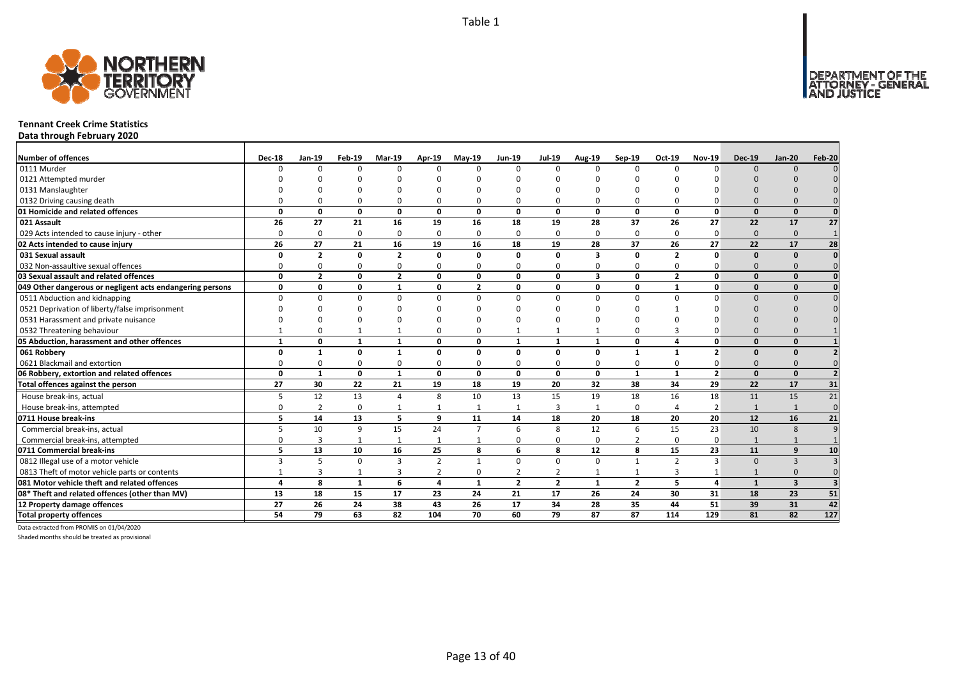DEPARTMENT OF THE<br>ATTORNEY - GENERAL



### **Tennant Creek Crime Statistics**

**Data through February 2020**

| <b>Number of offences</b>                                 | <b>Dec-18</b> | $Jan-19$       | Feb-19       | <b>Mar-19</b>  | Apr-19         | $May-19$       | <b>Jun-19</b>  | <b>Jul-19</b>  | <b>Aug-19</b>           | $Sep-19$        | Oct-19         | <b>Nov-19</b>   | <b>Dec-19</b> | <b>Jan-20</b>   | Feb-20          |
|-----------------------------------------------------------|---------------|----------------|--------------|----------------|----------------|----------------|----------------|----------------|-------------------------|-----------------|----------------|-----------------|---------------|-----------------|-----------------|
| 0111 Murder                                               | <sup>0</sup>  | $\Omega$       | $\Omega$     | $\Omega$       | $\Omega$       | $\Omega$       | $\Omega$       | $\Omega$       | $\Omega$                | $\Omega$        | $\Omega$       | $\Omega$        | $\Omega$      | $\Omega$        |                 |
| 0121 Attempted murder                                     |               |                |              |                |                |                |                |                |                         |                 |                |                 |               |                 |                 |
| 0131 Manslaughter                                         |               |                |              |                |                |                |                |                |                         |                 |                |                 |               |                 |                 |
| 0132 Driving causing death                                |               |                |              |                | 0              | O              |                |                |                         | $\Omega$        |                |                 |               |                 |                 |
| 01 Homicide and related offences                          | O             | 0              | $\Omega$     | $\Omega$       | $\mathbf{0}$   | 0              | $\Omega$       | $\Omega$       | $\mathbf{0}$            | $\mathbf{0}$    | 0              | $\Omega$        | $\Omega$      | $\Omega$        | $\Omega$        |
| 021 Assault                                               | 26            | 27             | 21           | 16             | 19             | 16             | 18             | 19             | 28                      | 37              | 26             | 27              | 22            | 17              | 27              |
| 029 Acts intended to cause injury - other                 | $\Omega$      | $\Omega$       | $\Omega$     | $\Omega$       | $\mathbf 0$    | $\Omega$       | $\Omega$       | $\Omega$       | $\Omega$                | 0               | $\Omega$       | 0               | $\Omega$      | $\Omega$        | $\mathbf{1}$    |
| 02 Acts intended to cause injury                          | 26            | 27             | 21           | 16             | 19             | 16             | 18             | 19             | 28                      | 37              | 26             | 27              | 22            | 17              | 28              |
| 031 Sexual assault                                        | O             | $\overline{2}$ | $\Omega$     | $\overline{2}$ | 0              | $\Omega$       | 0              | $\Omega$       | $\overline{\mathbf{3}}$ | 0               | $\overline{2}$ | 0               | $\Omega$      | $\Omega$        | $\mathbf{0}$    |
| 032 Non-assaultive sexual offences                        | $\Omega$      | n              | $\Omega$     | $\Omega$       | 0              | $\Omega$       | $\Omega$       | $\Omega$       | $\Omega$                | 0               | $\mathbf 0$    | ŋ               | $\Omega$      |                 | $\Omega$        |
| 03 Sexual assault and related offences                    | 0             | $\overline{2}$ | $\mathbf{0}$ | $\overline{2}$ | $\mathbf 0$    | 0              | 0              | $\Omega$       | 3                       | 0               | $\overline{2}$ | 0               | $\Omega$      | $\Omega$        | $\Omega$        |
| 049 Other dangerous or negligent acts endangering persons | 0             | $\Omega$       | $\Omega$     | $\mathbf{1}$   | 0              | $\overline{2}$ | 0              | $\Omega$       | 0                       | 0               | $\mathbf{1}$   | $\Omega$        | $\Omega$      | $\Omega$        |                 |
| 0511 Abduction and kidnapping                             | <sup>n</sup>  | $\Omega$       | $\Omega$     | $\Omega$       | 0              | 0              | $\Omega$       | n              | $\Omega$                | 0               | <sup>0</sup>   |                 |               |                 |                 |
| 0521 Deprivation of liberty/false imprisonment            |               |                |              |                |                | ŋ              |                |                |                         |                 |                |                 |               |                 |                 |
| 0531 Harassment and private nuisance                      |               |                |              |                |                |                |                |                |                         |                 |                |                 |               |                 |                 |
| 0532 Threatening behaviour                                |               |                |              |                | 0              | 0              |                |                |                         | $\Omega$        |                |                 |               |                 |                 |
| 05 Abduction, harassment and other offences               | $\mathbf{1}$  | $\Omega$       | $\mathbf{1}$ | $\mathbf{1}$   | 0              | 0              | $\mathbf{1}$   | $\mathbf{1}$   | $\mathbf{1}$            | 0               | 4              | $\Omega$        |               | $\Omega$        |                 |
| 061 Robbery                                               | n             | $\mathbf{1}$   | $\Omega$     | $\mathbf{1}$   | 0              | $\Omega$       | 0              | $\Omega$       | $\Omega$                | $\mathbf{1}$    | 1              | $\overline{2}$  |               |                 |                 |
| 0621 Blackmail and extortion                              |               | $\Omega$       | $\Omega$     | $\Omega$       | $\Omega$       | 0              | O              | $\Omega$       | O                       | $\Omega$        | O              |                 |               |                 |                 |
| 06 Robbery, extortion and related offences                | 0             | $\mathbf{1}$   | $\mathbf{0}$ | $\mathbf{1}$   | $\mathbf{0}$   | 0              | $\mathbf{0}$   | 0              | $\mathbf{0}$            | $\mathbf{1}$    | 1              | $\overline{2}$  | $\Omega$      | $\Omega$        |                 |
| Total offences against the person                         | 27            | 30             | 22           | 21             | 19             | 18             | 19             | 20             | 32                      | $\overline{38}$ | 34             | $\overline{29}$ | 22            | $\overline{17}$ | 31              |
| House break-ins, actual                                   | 5             | 12             | 13           | $\overline{a}$ | 8              | 10             | 13             | 15             | 19                      | 18              | 16             | 18              | 11            | 15              | 21              |
| House break-ins, attempted                                | $\Omega$      | $\overline{2}$ | $\Omega$     | $\mathbf{1}$   | 1              |                | $\overline{1}$ | 3              | $\mathbf{1}$            | $\mathbf 0$     |                | $\overline{2}$  |               |                 | $\Omega$        |
| 0711 House break-ins                                      | 5             | 14             | 13           | 5              | 9              | 11             | 14             | 18             | 20                      | 18              | 20             | 20              | 12            | 16              | 21              |
| Commercial break-ins, actual                              |               | 10             | q            | 15             | 24             | $\overline{7}$ | 6              | 8              | 12                      | 6               | 15             | 23              | 10            | -8              |                 |
| Commercial break-ins, attempted                           |               | 3              |              | 1              | 1              | 1              | O              | $\Omega$       | 0                       | $\overline{2}$  | $\Omega$       | 0               |               |                 |                 |
| 0711 Commercial break-ins                                 | 5.            | 13             | 10           | 16             | 25             | 8              | 6              | 8              | 12                      | 8               | 15             | 23              | 11            | q               | 10              |
| 0812 Illegal use of a motor vehicle                       | 3             | 5              | $\Omega$     | $\mathbf{3}$   | $\overline{2}$ | $\mathbf{1}$   | $\Omega$       | $\Omega$       | $\Omega$                | $\mathbf{1}$    | $\overline{2}$ | $\overline{3}$  | $\Omega$      | $\mathbf{3}$    |                 |
| 0813 Theft of motor vehicle parts or contents             |               | 3              | $\mathbf{1}$ | 3              | 2              | $\Omega$       | $\overline{2}$ | 2              | -1                      | 1               | 3              |                 |               |                 | $\Omega$        |
| 081 Motor vehicle theft and related offences              | Δ             | 8              | $\mathbf{1}$ | 6              | 4              | $\mathbf{1}$   | $\overline{2}$ | $\overline{2}$ | $\mathbf{1}$            | $\overline{2}$  | 5              | 4               | $\mathbf{1}$  | $\mathbf{3}$    |                 |
| 08* Theft and related offences (other than MV)            | 13            | 18             | 15           | 17             | 23             | 24             | 21             | 17             | 26                      | 24              | 30             | 31              | 18            | 23              | 51              |
| 12 Property damage offences                               | 27            | 26             | 24           | 38             | 43             | 26             | 17             | 34             | 28                      | 35              | 44             | 51              | 39            | 31              | 42              |
| <b>Total property offences</b>                            | 54            | 79             | 63           | 82             | 104            | 70             | 60             | 79             | 87                      | 87              | 114            | 129             | 81            | 82              | $\frac{127}{2}$ |

Data extracted from PROMIS on 01/04/2020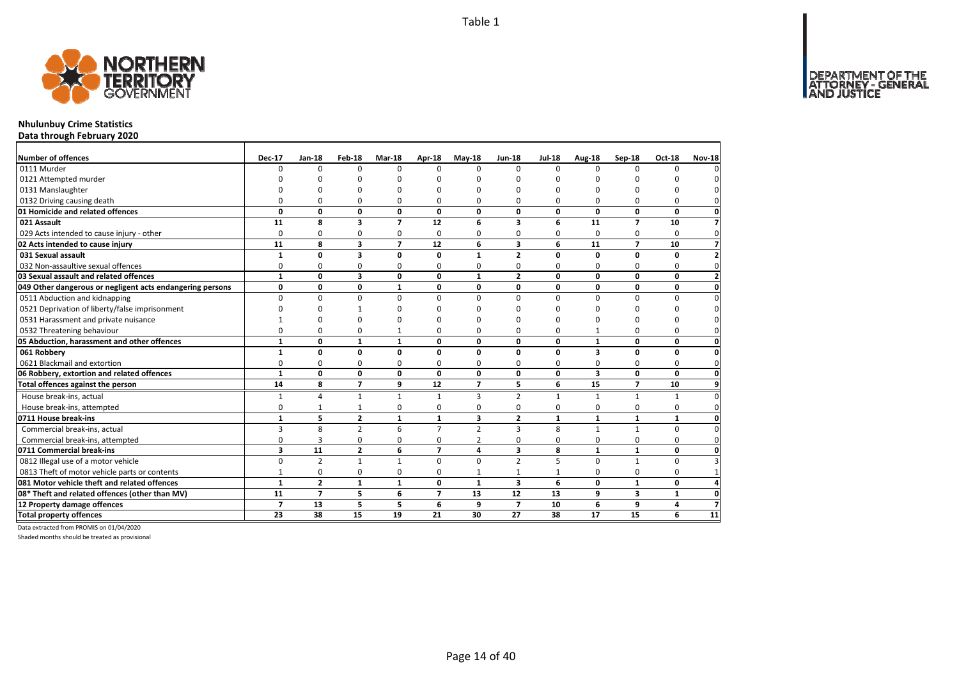DEPARTMENT OF THE<br>ATTORNEY - GENERAL



### **Nhulunbuy Crime Statistics**

**Data through February 2020**

| Number of offences                                        | <b>Dec-17</b>           | $Jan-18$       | Feb-18                  | Mar-18         | Apr-18                   | $May-18$       | <b>Jun-18</b>  | <b>Jul-18</b> | Aug-18                  | Sep-18         | <b>Oct-18</b>           | <b>Nov-18</b>           |
|-----------------------------------------------------------|-------------------------|----------------|-------------------------|----------------|--------------------------|----------------|----------------|---------------|-------------------------|----------------|-------------------------|-------------------------|
| 0111 Murder                                               | $\Omega$                | $\Omega$       | $\Omega$                | $\Omega$       | n                        | $\Omega$       | $\Omega$       | $\Omega$      | $\Omega$                | n              | O                       |                         |
| 0121 Attempted murder                                     |                         | ŋ              | U                       |                |                          | O              | n              | ŋ             | n                       |                |                         |                         |
| 0131 Manslaughter                                         |                         | O              | O                       | $\Omega$       |                          | O              | n              | ŋ             | O                       |                |                         |                         |
| 0132 Driving causing death                                | $\Omega$                | $\Omega$       | 0                       | $\Omega$       | n                        | O              | 0              | ŋ             | $\Omega$                | O              | ŋ                       |                         |
| 01 Homicide and related offences                          | 0                       | 0              | 0                       | 0              | 0                        | 0              | 0              | 0             | $\mathbf{0}$            | 0              | 0                       | 0                       |
| 021 Assault                                               | 11                      | 8              | $\overline{\mathbf{3}}$ | $\overline{7}$ | 12                       | 6              | 3              | 6             | 11                      | $\overline{ }$ | 10                      | $\overline{7}$          |
| 029 Acts intended to cause injury - other                 | $\Omega$                | 0              | 0                       | 0              | $\Omega$                 | 0              | 0              | 0             | 0                       | $\Omega$       | 0                       | $\Omega$                |
| 02 Acts intended to cause injury                          | 11                      | 8              | 3                       | $\overline{7}$ | 12                       | 6              | 3              | 6             | 11                      | $\overline{ }$ | 10                      | 7                       |
| 031 Sexual assault                                        | $\mathbf{1}$            | 0              | 3                       | $\mathbf{0}$   | $\mathbf{0}$             | 1              | $\overline{2}$ | 0             | $\mathbf 0$             | 0              | 0                       |                         |
| 032 Non-assaultive sexual offences                        | 0                       | 0              | 0                       | $\Omega$       | $\Omega$                 | 0              | 0              | 0             | $\Omega$                | $\Omega$       | 0                       |                         |
| 03 Sexual assault and related offences                    | $\mathbf{1}$            | 0              | 3                       | 0              | 0                        | 1              | $\mathbf{2}$   | 0             | $\mathbf 0$             | 0              | 0                       | $\overline{\mathbf{z}}$ |
| 049 Other dangerous or negligent acts endangering persons | $\mathbf 0$             | 0              | 0                       | $\mathbf{1}$   | 0                        | 0              | 0              | 0             | $\mathbf{0}$            | 0              | 0                       | $\mathbf{0}$            |
| 0511 Abduction and kidnapping                             | $\Omega$                | 0              | $\mathbf 0$             | 0              | $\Omega$                 | $\Omega$       | 0              | $\Omega$      | $\mathbf 0$             | $\Omega$       | 0                       | $\Omega$                |
| 0521 Deprivation of liberty/false imprisonment            | n                       | $\Omega$       |                         | $\Omega$       |                          | $\Omega$       | n              | O             | O                       |                | 0                       |                         |
| 0531 Harassment and private nuisance                      |                         | $\Omega$       | $\Omega$                | $\Omega$       |                          | ŋ              | n              | ŋ             | n                       |                | ŋ                       |                         |
| 0532 Threatening behaviour                                | $\Omega$                | 0              | 0                       | $\mathbf{1}$   | $\Omega$                 | 0              | 0              | O             |                         | $\Omega$       | 0                       | $\Omega$                |
| 05 Abduction, harassment and other offences               | $\mathbf{1}$            | 0              | $\mathbf{1}$            | $\mathbf{1}$   | $\Omega$                 | $\Omega$       | $\Omega$       | $\mathbf{0}$  | $\mathbf{1}$            | 0              | $\mathbf{0}$            | $\mathbf{0}$            |
| 061 Robbery                                               | 1                       | 0              | 0                       | 0              | $\Omega$                 | 0              | 0              | 0             | $\overline{\mathbf{3}}$ | 0              | 0                       | 0                       |
| 0621 Blackmail and extortion                              | 0                       | 0              | 0                       | 0              | $\Omega$                 | 0              | 0              | 0             | 0                       | 0              | $\Omega$                | $\mathbf{0}$            |
| 06 Robbery, extortion and related offences                | $\mathbf{1}$            | 0              | 0                       | 0              | 0                        | 0              | 0              | 0             | $\overline{\mathbf{3}}$ | 0              | 0                       | $\mathbf{0}$            |
| Total offences against the person                         | $\overline{14}$         | 8              | $\overline{7}$          | 9              | $\overline{12}$          | $\overline{ }$ | 5              | 6             | $\overline{15}$         | $\overline{ }$ | 10                      | $\overline{9}$          |
| House break-ins, actual                                   | $\mathbf{1}$            | 4              | $\mathbf{1}$            | $\mathbf{1}$   | $\mathbf{1}$             | 3              | $\overline{2}$ | 1             | $\mathbf{1}$            | $\mathbf{1}$   | $\mathbf{1}$            | 0                       |
| House break-ins, attempted                                | 0                       | $\mathbf{1}$   | $\mathbf{1}$            | $\mathbf 0$    | $\Omega$                 | 0              | 0              | 0             | $\mathbf 0$             | 0              | 0                       | $\Omega$                |
| 0711 House break-ins                                      | $\mathbf{1}$            | 5              | $\overline{2}$          | $\mathbf{1}$   | $\mathbf{1}$             | 3              | $\overline{2}$ | $\mathbf{1}$  | $\mathbf{1}$            | 1              | $\mathbf{1}$            | $\mathbf{0}$            |
| Commercial break-ins, actual                              | 3                       | 8              | $\overline{2}$          | 6              | $\overline{7}$           | $\overline{2}$ | 3              | 8             | $\mathbf{1}$            | $\mathbf{1}$   | $\Omega$                | $\Omega$                |
| Commercial break-ins, attempted                           | 0                       | 3              | 0                       | 0              | $\Omega$                 | 2              | 0              | $\Omega$      | 0                       | 0              | 0                       | $\Omega$                |
| 0711 Commercial break-ins                                 | $\overline{\mathbf{3}}$ | 11             | $\overline{2}$          | 6              | $\overline{7}$           | 4              | 3              | 8             | $\mathbf{1}$            | $\mathbf{1}$   | 0                       | $\mathbf{0}$            |
| 0812 Illegal use of a motor vehicle                       | 0                       | $\overline{2}$ | $\mathbf{1}$            | $\mathbf{1}$   | $\Omega$                 | $\Omega$       | $\overline{2}$ | 5             | $\Omega$                | $\mathbf{1}$   | $\Omega$                |                         |
| 0813 Theft of motor vehicle parts or contents             | $\mathbf{1}$            | 0              | 0                       | $\mathbf 0$    | $\Omega$                 | 1              | $\mathbf{1}$   | $\mathbf{1}$  | 0                       | $\Omega$       | 0                       |                         |
| 081 Motor vehicle theft and related offences              | $\mathbf{1}$            | $\overline{2}$ | $\mathbf{1}$            | $\mathbf{1}$   | 0                        | $\mathbf{1}$   | 3              | 6             | $\mathbf 0$             | $\mathbf{1}$   | $\mathbf{0}$            |                         |
| 08* Theft and related offences (other than MV)            | 11                      | $\overline{7}$ | 5                       | 6              | $\overline{\phantom{a}}$ | 13             | 12             | 13            | 9                       | 3              | 1                       | 0                       |
| 12 Property damage offences                               | $\overline{7}$          | 13             | 5                       | 5              | 6                        | 9              | $\overline{7}$ | 10            | 6                       | 9              | $\overline{\mathbf{4}}$ | 7                       |
| <b>Total property offences</b>                            | 23                      | 38             | 15                      | 19             | 21                       | 30             | 27             | 38            | 17                      | 15             | 6                       | 11                      |

Data extracted from PROMIS on 01/04/2020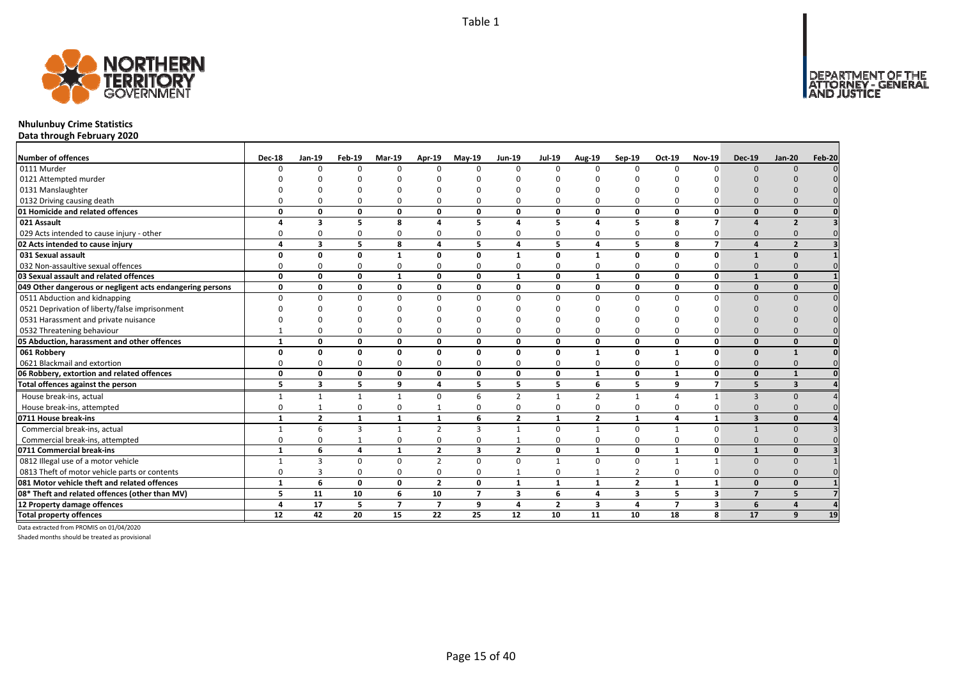

### **Nhulunbuy Crime Statistics**

**Data through February 2020**

| <b>Number of offences</b>                                 | <b>Dec-18</b> | $Jan-19$       | <b>Feb-19</b> | <b>Mar-19</b>  | Apr-19         | May-19         | Jun-19         | <b>Jul-19</b>  | Aug-19         | $Sep-19$       | Oct-19         | <b>Nov-19</b>  | <b>Dec-19</b>           | <b>Jan-20</b>  | <b>Feb-20</b> |
|-----------------------------------------------------------|---------------|----------------|---------------|----------------|----------------|----------------|----------------|----------------|----------------|----------------|----------------|----------------|-------------------------|----------------|---------------|
| 0111 Murder                                               | n             | $\Omega$       | $\Omega$      | $\Omega$       | $\Omega$       | U              | $\Omega$       | $\Omega$       | n              | $\Omega$       | $\Omega$       | $\Omega$       | $\Omega$                |                |               |
| 0121 Attempted murder                                     |               |                |               |                |                |                |                |                |                |                |                |                |                         |                |               |
| 0131 Manslaughter                                         |               |                |               |                |                |                |                |                |                |                |                |                |                         |                |               |
| 0132 Driving causing death                                |               |                |               |                | 0              |                |                |                |                | $\Omega$       |                |                |                         |                |               |
| 01 Homicide and related offences                          | O             | 0              | $\Omega$      | 0              | $\mathbf 0$    | 0              | 0              | $\Omega$       | 0              | 0              | 0              | 0              | $\Omega$                | $\Omega$       |               |
| 021 Assault                                               |               | 3              | 5             | 8              | 4              | 5              | Δ              | 5              | 4              | 5              | 8              | $\overline{ }$ |                         | $\overline{2}$ |               |
| 029 Acts intended to cause injury - other                 |               | $\Omega$       | $\Omega$      | <sup>0</sup>   | 0              | 0              | O              | $\Omega$       | 0              | 0              | $\mathbf 0$    | <sup>0</sup>   |                         |                |               |
| 02 Acts intended to cause injury                          | 4             | 3              | 5             | 8              | 4              | 5              | 4              | 5              | 4              | 5              | 8              | $\overline{ }$ |                         | $\overline{2}$ |               |
| 031 Sexual assault                                        |               | O              | $\Omega$      | -1             | 0              | $\mathbf{0}$   | $\mathbf{1}$   | $\Omega$       | $\mathbf{1}$   | 0              | O              | 0              |                         |                |               |
| 032 Non-assaultive sexual offences                        | O             | n              | $\Omega$      | <sup>0</sup>   | $\Omega$       | 0              | 0              | $\Omega$       | O              | $\Omega$       | $\Omega$       | O              |                         |                |               |
| 03 Sexual assault and related offences                    | 0             | 0              | $\Omega$      | $\mathbf{1}$   | $\mathbf{0}$   | 0              | $\mathbf{1}$   | $\Omega$       | $\mathbf{1}$   | $\mathbf{0}$   | 0              | 0              |                         | $\Omega$       |               |
| 049 Other dangerous or negligent acts endangering persons | 0             | 0              | $\mathbf{0}$  | 0              | 0              | 0              | 0              | 0              | 0              | 0              | 0              | 0              | $\Omega$                | $\Omega$       |               |
| 0511 Abduction and kidnapping                             | $\Omega$      | $\Omega$       | $\Omega$      | $\Omega$       | 0              | 0              | $\Omega$       | $\Omega$       | $\Omega$       | 0              | $\Omega$       | <sup>n</sup>   | $\Omega$                | $\Omega$       |               |
| 0521 Deprivation of liberty/false imprisonment            |               |                |               |                |                |                |                |                |                |                |                |                |                         |                |               |
| 0531 Harassment and private nuisance                      |               |                |               |                |                |                |                |                |                |                |                |                |                         |                |               |
| 0532 Threatening behaviour                                |               |                |               | $\Omega$       | $\Omega$       | 0              | O              |                | O              | $\Omega$       | $\Omega$       |                |                         |                |               |
| 05 Abduction, harassment and other offences               | $\mathbf{1}$  | 0              | $\Omega$      | 0              | $\mathbf 0$    | 0              | 0              | $\Omega$       | 0              | 0              | 0              | 0              | $\Omega$                | $\Omega$       | $\mathbf{0}$  |
| 061 Robbery                                               | 0             | 0              | $\mathbf{0}$  | $\mathbf{0}$   | $\mathbf{0}$   | 0              | 0              | 0              | $\mathbf{1}$   | 0              | $\mathbf{1}$   | 0              | $\Omega$                | $\mathbf{1}$   | $\mathbf{0}$  |
| 0621 Blackmail and extortion                              | O             | 0              | $\Omega$      | 0              | 0              | 0              | 0              | 0              | $\Omega$       | 0              | 0              | 0              | $\Omega$                |                |               |
| 06 Robbery, extortion and related offences                | 0             | 0              | $\mathbf{0}$  | 0              | $\mathbf 0$    | 0              | 0              | 0              | -1             | 0              | 1              | 0              | $\Omega$                |                |               |
| Total offences against the person                         | 5             | 3              | 5             | 9              | 4              | 5              | 5              | 5              | 6              | 5              | 9              | $\overline{ }$ | 5                       | 3              |               |
| House break-ins, actual                                   |               | $\mathbf{1}$   |               | 1              | $\Omega$       | 6              | $\overline{2}$ |                | $\overline{2}$ | $\mathbf{1}$   |                | $\mathbf{1}$   | $\mathbf{3}$            |                |               |
| House break-ins, attempted                                | O             |                | $\Omega$      | $\Omega$       | $\mathbf{1}$   | 0              | $\Omega$       | $\Omega$       | O              | 0              | $\Omega$       | O              |                         |                |               |
| 0711 House break-ins                                      | $\mathbf{1}$  | $\overline{2}$ | $\mathbf{1}$  | $\mathbf{1}$   | 1              | 6              | $\overline{2}$ | $\mathbf{1}$   | $\overline{2}$ | 1              | 4              | 1              | $\overline{\mathbf{z}}$ | $\Omega$       |               |
| Commercial break-ins, actual                              |               | 6              | 3             | $\mathbf{1}$   | $\overline{2}$ | 3              | $\overline{1}$ | $\Omega$       | $\mathbf{1}$   | $\mathbf 0$    | 1              | $\Omega$       |                         |                |               |
| Commercial break-ins, attempted                           | O             | $\Omega$       |               | 0              | 0              | 0              |                |                | $\Omega$       | 0              | $\Omega$       |                |                         |                |               |
| 0711 Commercial break-ins                                 | $\mathbf{1}$  | 6              | 4             | $\mathbf{1}$   | $\overline{2}$ | 3              | $\overline{2}$ | 0              | $\mathbf{1}$   | 0              | 1              | 0              | $\mathbf{1}$            | $\Omega$       |               |
| 0812 Illegal use of a motor vehicle                       |               | $\mathbf{3}$   | $\Omega$      | $\Omega$       | $\overline{2}$ | $\Omega$       | $\Omega$       |                | $\Omega$       | $\Omega$       | $\mathbf{1}$   | $\mathbf{1}$   | $\Omega$                |                |               |
| 0813 Theft of motor vehicle parts or contents             | 0             | 3              | $\Omega$      | 0              | 0              | 0              |                | $\Omega$       |                | $\overline{2}$ | $\mathbf 0$    | $\Omega$       | $\Omega$                |                |               |
| 081 Motor vehicle theft and related offences              | $\mathbf{1}$  | 6              | $\Omega$      | 0              | $\overline{2}$ | 0              | $\mathbf{1}$   | $\mathbf{1}$   | 1              | $\overline{2}$ | $\mathbf{1}$   | $\mathbf{1}$   | $\Omega$                | $\Omega$       |               |
| 08* Theft and related offences (other than MV)            | 5             | 11             | 10            | 6              | 10             | $\overline{ }$ | 3              | 6              | 4              | 3              | 5              | 3              | $\overline{7}$          |                |               |
| 12 Property damage offences                               | 4             | 17             | 5             | $\overline{7}$ | $\overline{7}$ | 9              | 4              | $\overline{2}$ | 3              | 4              | $\overline{ }$ | 3              | 6                       |                |               |
| <b>Total property offences</b>                            | 12            | 42             | 20            | 15             | 22             | 25             | 12             | 10             | 11             | 10             | 18             | 8              | 17                      | 9              | 19            |

Data extracted from PROMIS on 01/04/2020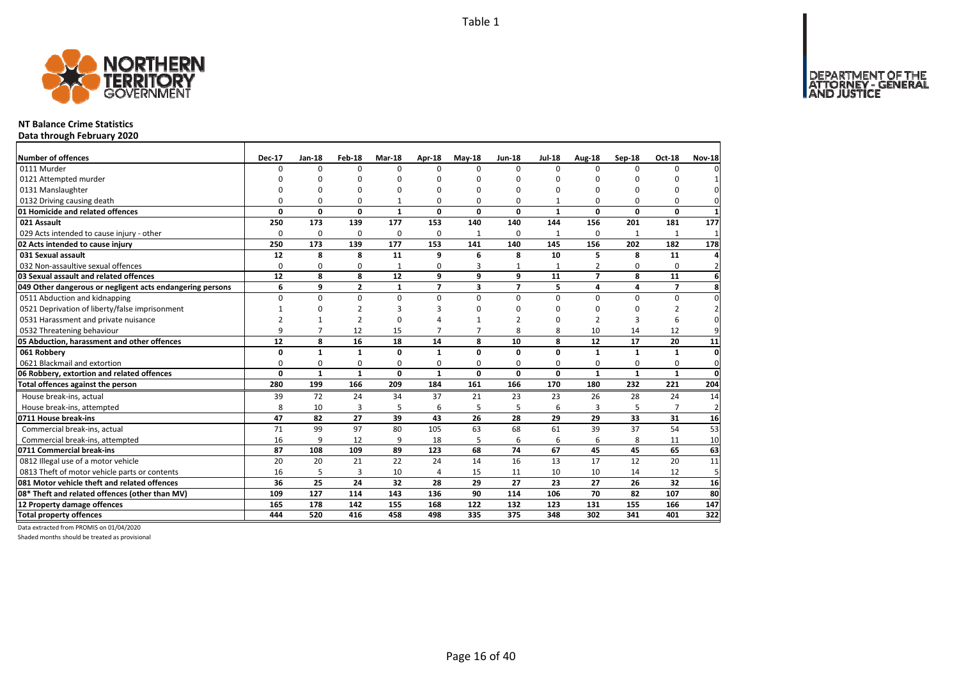DEPARTMENT OF THE<br>ATTORNEY - GENERAL



### **NT Balance Crime Statistics**

**Data through February 2020**

| <b>Number of offences</b>                                 | <b>Dec-17</b>   | Jan-18         | Feb-18                  | <b>Mar-18</b>   | Apr-18                   | $M$ ay-18      | <b>Jun-18</b>  | <b>Jul-18</b> | Aug-18         | Sep-18       | Oct-18          | <b>Nov-18</b>  |
|-----------------------------------------------------------|-----------------|----------------|-------------------------|-----------------|--------------------------|----------------|----------------|---------------|----------------|--------------|-----------------|----------------|
| 0111 Murder                                               | 0               | $\Omega$       | $\Omega$                | $\Omega$        | $\Omega$                 | $\Omega$       | $\Omega$       | $\Omega$      | $\Omega$       | $\Omega$     | 0               | $\Omega$       |
| 0121 Attempted murder                                     | ŋ               | ŋ              | O                       | $\Omega$        |                          | ŋ              | 0              | 0             | $\Omega$       |              |                 |                |
| 0131 Manslaughter                                         | $\Omega$        | 0              | 0                       | $\Omega$        |                          | O              | O              | 0             | $\Omega$       | $\Omega$     | $\Omega$        | $\Omega$       |
| 0132 Driving causing death                                | 0               | 0              | 0                       | $\mathbf{1}$    | O                        | 0              | 0              |               | 0              | $\Omega$     | 0               | 0              |
| 01 Homicide and related offences                          | 0               | 0              | $\mathbf 0$             | $\mathbf{1}$    | 0                        | 0              | 0              | $\mathbf{1}$  | $\mathbf 0$    | 0            | $\mathbf 0$     | $\mathbf{1}$   |
| 021 Assault                                               | 250             | 173            | 139                     | 177             | 153                      | 140            | 140            | 144           | 156            | 201          | 181             | 177            |
| 029 Acts intended to cause injury - other                 | $\Omega$        | 0              | 0                       | 0               | $\Omega$                 | $\mathbf{1}$   | $\Omega$       | $\mathbf{1}$  | $\Omega$       | 1            | $\mathbf{1}$    | 1              |
| 02 Acts intended to cause injury                          | 250             | 173            | 139                     | 177             | 153                      | 141            | 140            | 145           | 156            | 202          | 182             | 178            |
| 031 Sexual assault                                        | 12              | 8              | 8                       | 11              | q                        | 6              | 8              | 10            | 5              | 8            | 11              | $\overline{4}$ |
| 032 Non-assaultive sexual offences                        | $\Omega$        | 0              | 0                       | $\mathbf{1}$    | $\Omega$                 | 3              | 1              | 1             |                | $\Omega$     | 0               | $\overline{2}$ |
| 03 Sexual assault and related offences                    | $\overline{12}$ | 8              | 8                       | $\overline{12}$ | 9                        | 9              | 9              | 11            | $\overline{7}$ | 8            | $\overline{11}$ | $6 \mid$       |
| 049 Other dangerous or negligent acts endangering persons | 6               | 9              | $\overline{\mathbf{2}}$ | 1               | $\overline{\phantom{a}}$ | 3              | $\overline{ }$ | 5             | 4              | 4            | $\overline{ }$  | 8              |
| 0511 Abduction and kidnapping                             | $\mathbf 0$     | 0              | $\mathbf 0$             | $\mathbf 0$     | $\Omega$                 | $\Omega$       | $\Omega$       | 0             | $\Omega$       | $\Omega$     | 0               | $\mathbf 0$    |
| 0521 Deprivation of liberty/false imprisonment            | 1               | $\Omega$       | $\overline{2}$          | 3               |                          | $\Omega$       | O              | 0             | $\Omega$       | $\Omega$     | 2               | $\overline{2}$ |
| 0531 Harassment and private nuisance                      | $\overline{2}$  | $\mathbf{1}$   | $\overline{2}$          | $\Omega$        |                          |                | 2              | 0             | $\mathcal{P}$  | 3            | 6               | 0              |
| 0532 Threatening behaviour                                | 9               | $\overline{7}$ | 12                      | 15              |                          | $\overline{7}$ | 8              | 8             | 10             | 14           | 12              | 9              |
| 05 Abduction, harassment and other offences               | 12              | 8              | 16                      | 18              | 14                       | 8              | 10             | 8             | 12             | 17           | 20              | 11             |
| 061 Robbery                                               | 0               | $\mathbf{1}$   | $\mathbf{1}$            | 0               | $\mathbf{1}$             | 0              | 0              | 0             | $\mathbf{1}$   | $\mathbf{1}$ | 1               | $\mathbf{0}$   |
| 0621 Blackmail and extortion                              | 0               | 0              | 0                       | 0               | $\Omega$                 | 0              | $\Omega$       | 0             | 0              | 0            | 0               | $\mathbf{0}$   |
| 06 Robbery, extortion and related offences                | 0               | $\mathbf{1}$   | $\mathbf{1}$            | $\mathbf 0$     | $\mathbf{1}$             | 0              | 0              | 0             | $\mathbf{1}$   | $\mathbf{1}$ | $\mathbf{1}$    | $\mathbf{0}$   |
| Total offences against the person                         | 280             | 199            | 166                     | 209             | 184                      | 161            | 166            | 170           | 180            | 232          | 221             | 204            |
| House break-ins, actual                                   | 39              | 72             | 24                      | 34              | 37                       | 21             | 23             | 23            | 26             | 28           | 24              | 14             |
| House break-ins, attempted                                | 8               | 10             | 3                       | 5               | 6                        | 5              | 5              | 6             | 3              |              | $\overline{7}$  | $\overline{2}$ |
| 0711 House break-ins                                      | 47              | 82             | 27                      | 39              | 43                       | 26             | 28             | 29            | 29             | 33           | 31              | 16             |
| Commercial break-ins, actual                              | 71              | 99             | 97                      | 80              | 105                      | 63             | 68             | 61            | 39             | 37           | 54              | 53             |
| Commercial break-ins, attempted                           | 16              | 9              | 12                      | 9               | 18                       | 5              | 6              | 6             | 6              | 8            | 11              | 10             |
| 0711 Commercial break-ins                                 | 87              | 108            | 109                     | 89              | 123                      | 68             | 74             | 67            | 45             | 45           | 65              | 63             |
| 0812 Illegal use of a motor vehicle                       | 20              | 20             | 21                      | 22              | 24                       | 14             | 16             | 13            | 17             | 12           | 20              | 11             |
| 0813 Theft of motor vehicle parts or contents             | 16              | 5              | 3                       | 10              | $\overline{4}$           | 15             | 11             | 10            | 10             | 14           | 12              | 5 <sub>l</sub> |
| 081 Motor vehicle theft and related offences              | 36              | 25             | 24                      | 32              | 28                       | 29             | 27             | 23            | 27             | 26           | 32              | 16             |
| 08* Theft and related offences (other than MV)            | 109             | 127            | 114                     | 143             | 136                      | 90             | 114            | 106           | 70             | 82           | 107             | 80             |
| 12 Property damage offences                               | 165             | 178            | 142                     | 155             | 168                      | 122            | 132            | 123           | 131            | 155          | 166             | 147            |
| <b>Total property offences</b>                            | 444             | 520            | 416                     | 458             | 498                      | 335            | 375            | 348           | 302            | 341          | 401             | 322            |

Data extracted from PROMIS on 01/04/2020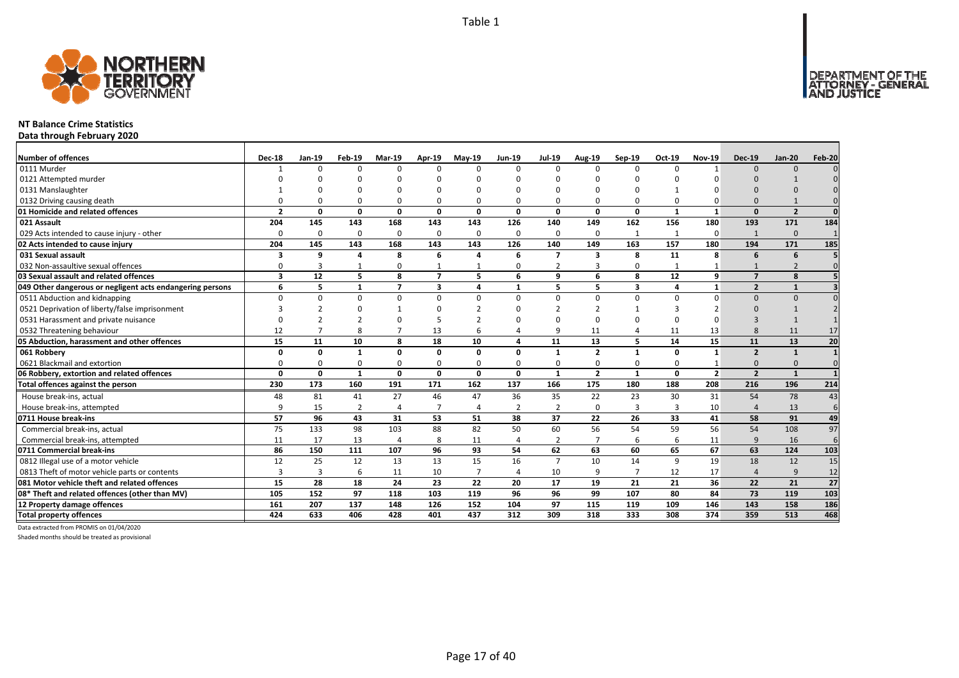

### **NT Balance Crime Statistics**

**Data through February 2020**

| <b>Number of offences</b>                                 | <b>Dec-18</b>  | Jan-19   | Feb-19       | <b>Mar-19</b>            | <b>Apr-19</b>  | $May-19$       | <b>Jun-19</b>  | <b>Jul-19</b>  | Aug-19                  | $Sep-19$       | Oct-19       | <b>Nov-19</b>  | <b>Dec-19</b>           | <b>Jan-20</b>  | Feb-20          |
|-----------------------------------------------------------|----------------|----------|--------------|--------------------------|----------------|----------------|----------------|----------------|-------------------------|----------------|--------------|----------------|-------------------------|----------------|-----------------|
| 0111 Murder                                               |                | $\Omega$ | $\Omega$     | $\Omega$                 | $\Omega$       | n              | n              | $\Omega$       | $\Omega$                | $\Omega$       |              |                | $\Omega$                | $\Omega$       |                 |
| 0121 Attempted murder                                     |                |          |              |                          |                |                |                |                |                         |                |              |                |                         |                |                 |
| 0131 Manslaughter                                         |                |          |              |                          | $\Omega$       |                |                |                |                         |                |              |                |                         |                |                 |
| 0132 Driving causing death                                |                |          |              | 0                        | $\Omega$       |                |                | $\Omega$       | $\Omega$                | 0              |              |                |                         |                |                 |
| 01 Homicide and related offences                          | $\overline{2}$ | 0        | 0            | $\mathbf{0}$             | 0              | $\mathbf{0}$   | 0              | 0              | $\mathbf{0}$            | $\mathbf 0$    | 1            | $\mathbf{1}$   | $\Omega$                | $\overline{2}$ | $\Omega$        |
| 021 Assault                                               | 204            | 145      | 143          | 168                      | 143            | 143            | 126            | 140            | 149                     | 162            | 156          | 180            | 193                     | 171            | 184             |
| 029 Acts intended to cause injury - other                 | $\Omega$       | $\Omega$ | $\Omega$     | 0                        | 0              | $\Omega$       | $\Omega$       | $\Omega$       | 0                       | $\mathbf{1}$   | $\mathbf{1}$ | $\Omega$       | $\mathbf{1}$            | $\mathbf{0}$   |                 |
| 02 Acts intended to cause injury                          | 204            | 145      | 143          | 168                      | 143            | 143            | 126            | 140            | 149                     | 163            | 157          | 180            | 194                     | 171            | 185             |
| 031 Sexual assault                                        | 3              | 9        | $\Delta$     | 8                        | 6              |                | 6              | $\overline{ }$ | $\overline{\mathbf{3}}$ | 8              | 11           | 8              | 6                       | 6              |                 |
| 032 Non-assaultive sexual offences                        | $\Omega$       | 3        |              | 0                        | $\mathbf{1}$   |                | ŋ              | $\overline{2}$ | 3                       | 0              |              |                |                         |                |                 |
| 03 Sexual assault and related offences                    | 3              | 12       | 5            | 8                        | $\overline{7}$ | 5              | 6              | 9              | 6                       | 8              | 12           | 9              | $\overline{\mathbf{z}}$ | 8              |                 |
| 049 Other dangerous or negligent acts endangering persons | 6              | 5        | 1            | $\overline{7}$           | 3              | 4              | $\mathbf{1}$   | 5.             | 5                       | 3              | 4            | $\mathbf{1}$   | $\overline{2}$          | $\mathbf{1}$   |                 |
| 0511 Abduction and kidnapping                             | $\Omega$       | 0        | $\Omega$     | $\Omega$                 | $\Omega$       | $\Omega$       | <sup>n</sup>   | $\Omega$       | $\Omega$                | $\Omega$       | U            | n              | $\Omega$                | $\Omega$       |                 |
| 0521 Deprivation of liberty/false imprisonment            |                |          |              |                          | ŋ              |                |                | $\mathcal{P}$  |                         | $\mathbf 1$    |              |                | $\Omega$                |                |                 |
| 0531 Harassment and private nuisance                      |                |          |              |                          |                |                |                | $\Omega$       | $\Omega$                | $\Omega$       |              |                |                         |                |                 |
| 0532 Threatening behaviour                                | 12             |          |              |                          | 13             | 6              |                | q              | 11                      | 4              | 11           | 13             | $\mathsf{R}$            | 11             | 17              |
| 05 Abduction, harassment and other offences               | 15             | 11       | 10           | 8                        | 18             | 10             | Δ              | 11             | 13                      | 5              | 14           | 15             | 11                      | 13             | 20              |
| 061 Robbery                                               | n              | 0        |              | $\Omega$                 | 0              | $\Omega$       | n              | -1             | $\overline{2}$          | $\mathbf{1}$   | $\Omega$     | 1              | $\overline{2}$          | $\mathbf{1}$   |                 |
| 0621 Blackmail and extortion                              |                |          |              | 0                        | $\mathbf 0$    |                |                | $\Omega$       | 0                       | 0              |              |                | $\Omega$                | $\Omega$       |                 |
| 06 Robbery, extortion and related offences                | $\Omega$       | 0        | $\mathbf{1}$ | $\mathbf 0$              | $\mathbf{0}$   | $\mathbf{0}$   | 0              | $\mathbf{1}$   | $\overline{\mathbf{2}}$ | $\mathbf{1}$   | $\Omega$     | $\overline{2}$ | $\overline{2}$          | $\mathbf{1}$   |                 |
| Total offences against the person                         | 230            | 173      | 160          | 191                      | 171            | 162            | 137            | 166            | 175                     | 180            | 188          | 208            | 216                     | 196            | 214             |
| House break-ins, actual                                   | 48             | 81       | 41           | 27                       | 46             | 47             | 36             | 35             | 22                      | 23             | 30           | 31             | 54                      | 78             | 43              |
| House break-ins, attempted                                | q              | 15       | 2            | $\Delta$                 | $\overline{7}$ |                | $\overline{2}$ | 2              | $\mathbf 0$             | 3              | 3            | 10             | Δ                       | 13             | 6               |
| 0711 House break-ins                                      | 57             | 96       | 43           | 31                       | 53             | 51             | 38             | 37             | 22                      | 26             | 33           | 41             | 58                      | 91             | 49              |
| Commercial break-ins, actual                              | 75             | 133      | 98           | 103                      | 88             | 82             | 50             | 60             | 56                      | 54             | 59           | 56             | 54                      | 108            | 97              |
| Commercial break-ins, attempted                           | 11             | 17       | 13           | $\overline{\mathcal{L}}$ | 8              | 11             | 4              | $\overline{2}$ | $\mathcal{L}$           | 6              | 6            | 11             | 9                       | 16             | 6               |
| 0711 Commercial break-ins                                 | 86             | 150      | 111          | 107                      | 96             | 93             | 54             | 62             | 63                      | 60             | 65           | 67             | 63                      | 124            | 103             |
| 0812 Illegal use of a motor vehicle                       | 12             | 25       | 12           | 13                       | 13             | 15             | 16             | $\overline{7}$ | 10                      | 14             | 9            | 19             | 18                      | 12             | 15              |
| 0813 Theft of motor vehicle parts or contents             | $\overline{3}$ | 3        | 6            | 11                       | 10             | $\overline{7}$ | $\overline{a}$ | 10             | 9                       | $\overline{7}$ | 12           | 17             | $\overline{a}$          | 9              | 12              |
| 081 Motor vehicle theft and related offences              | 15             | 28       | 18           | 24                       | 23             | 22             | 20             | 17             | 19                      | 21             | 21           | 36             | 22                      | 21             | $\overline{27}$ |
| 08* Theft and related offences (other than MV)            | 105            | 152      | 97           | 118                      | 103            | 119            | 96             | 96             | 99                      | 107            | 80           | 84             | 73                      | 119            | 103             |
| 12 Property damage offences                               | 161            | 207      | 137          | 148                      | 126            | 152            | 104            | 97             | 115                     | 119            | 109          | 146            | 143                     | 158            | 186             |
| <b>Total property offences</b>                            | 424            | 633      | 406          | 428                      | 401            | 437            | 312            | 309            | 318                     | 333            | 308          | 374            | 359                     | 513            | 468             |

Data extracted from PROMIS on 01/04/2020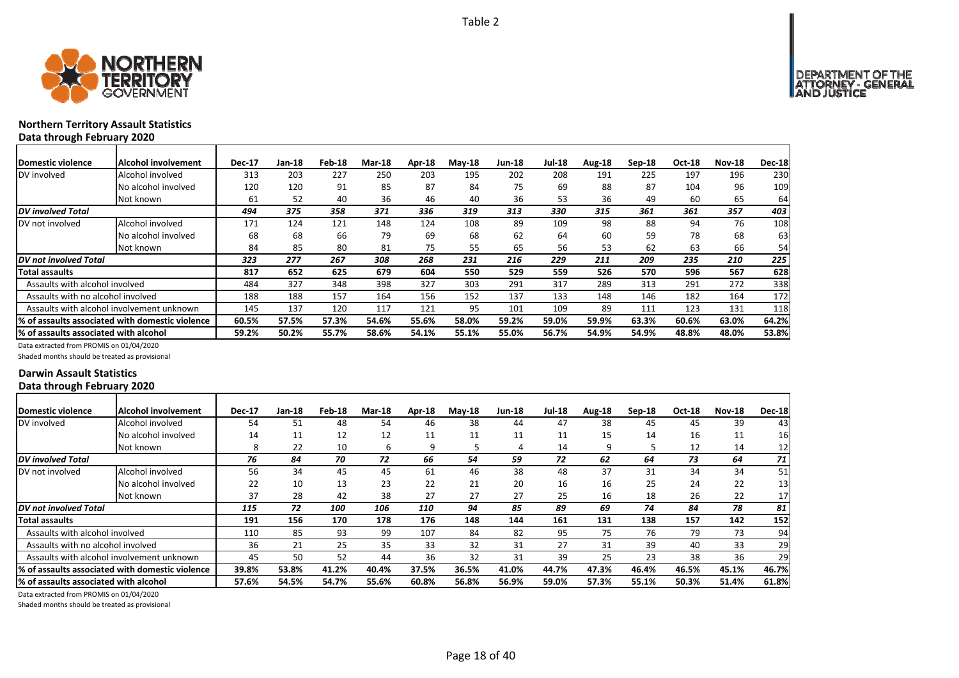

### **Northern Territory Assault Statistics Data through February 2020**

| <b>Domestic violence</b>               | Alcohol involvement                              | <b>Dec-17</b> | Jan-18 | Feb-18 | <b>Mar-18</b> | Apr-18 | <b>Mav-18</b> | <b>Jun-18</b> | <b>Jul-18</b> | Aug-18 | $Sep-18$ | Oct-18 | <b>Nov-18</b> | <b>Dec-18</b> |
|----------------------------------------|--------------------------------------------------|---------------|--------|--------|---------------|--------|---------------|---------------|---------------|--------|----------|--------|---------------|---------------|
| DV involved                            | Alcohol involved                                 | 313           | 203    | 227    | 250           | 203    | 195           | 202           | 208           | 191    | 225      | 197    | 196           | 230           |
|                                        | No alcohol involved                              | 120           | 120    | 91     | 85            | 87     | 84            | 75            | 69            | 88     | 87       | 104    | 96            | 109           |
|                                        | Not known                                        | 61            | 52     | 40     | 36            | 46     | 40            | 36            | 53            | 36     | 49       | 60     | 65            | 64            |
| <b>DV</b> involved Total               |                                                  | 494           | 375    | 358    | 371           | 336    | 319           | 313           | 330           | 315    | 361      | 361    | 357           | 403           |
| DV not involved                        | Alcohol involved                                 | 171           | 124    | 121    | 148           | 124    | 108           | 89            | 109           | 98     | 88       | 94     | 76            | 108           |
|                                        | No alcohol involved                              | 68            | 68     | 66     | 79            | 69     | 68            | 62            | 64            | 60     | 59       | 78     | 68            | 63            |
|                                        | Not known                                        | 84            | 85     | 80     | 81            | 75     | 55            | 65            | 56            | 53     | 62       | 63     | 66            | 54            |
| <b>DV</b> not involved Total           |                                                  | 323           | 277    | 267    | 308           | 268    | 231           | 216           | 229           | 211    | 209      | 235    | 210           | 225           |
| Total assaults                         |                                                  | 817           | 652    | 625    | 679           | 604    | 550           | 529           | 559           | 526    | 570      | 596    | 567           | 628           |
| Assaults with alcohol involved         |                                                  | 484           | 327    | 348    | 398           | 327    | 303           | 291           | 317           | 289    | 313      | 291    | 272           | 338           |
| Assaults with no alcohol involved      |                                                  | 188           | 188    | 157    | 164           | 156    | 152           | 137           | 133           | 148    | 146      | 182    | 164           | 172           |
|                                        | Assaults with alcohol involvement unknown        | 145           | 137    | 120    | 117           | 121    | 95            | 101           | 109           | 89     | 111      | 123    | 131           | 118           |
|                                        | 1% of assaults associated with domestic violence | 60.5%         | 57.5%  | 57.3%  | 54.6%         | 55.6%  | 58.0%         | 59.2%         | 59.0%         | 59.9%  | 63.3%    | 60.6%  | 63.0%         | 64.2%         |
| 1% of assaults associated with alcohol |                                                  | 59.2%         | 50.2%  | 55.7%  | 58.6%         | 54.1%  | 55.1%         | 55.0%         | 56.7%         | 54.9%  | 54.9%    | 48.8%  | 48.0%         | 53.8%         |

Data extracted from PROMIS on 01/04/2020

Shaded months should be treated as provisional

### **Darwin Assault Statistics Data through February 2020**

| Domestic violence                      | Alcohol involvement                                     | <b>Dec-17</b> | $Jan-18$ | Feb-18 | <b>Mar-18</b> | Apr-18 | $Mav-18$ | <b>Jun-18</b> | <b>Jul-18</b> | Aug-18 | Sep-18 | <b>Oct-18</b> | <b>Nov-18</b> | <b>Dec-18</b> |
|----------------------------------------|---------------------------------------------------------|---------------|----------|--------|---------------|--------|----------|---------------|---------------|--------|--------|---------------|---------------|---------------|
| DV involved                            | Alcohol involved                                        | 54            | 51       | 48     | 54            | 46     | 38       | 44            | 47            | 38     | 45     | 45            | 39            | 43            |
|                                        | No alcohol involved                                     | 14            | 11       | 12     | 12            | 11     | 11       | 11            | 11            | 15     | 14     | 16            | 11            | <b>16</b>     |
|                                        | Not known                                               | 8             | 22       | 10     | b             | 9      | 5        | 4             | 14            | q      |        | 12            | 14            | 12            |
| <b>DV</b> involved Total               |                                                         | 76            | 84       | 70     | 72            | 66     | 54       | 59            | 72            | 62     | 64     | 73            | 64            | 71            |
| DV not involved                        | Alcohol involved                                        | 56            | 34       | 45     | 45            | 61     | 46       | 38            | 48            | 37     | 31     | 34            | 34            | 51            |
|                                        | No alcohol involved                                     | 22            | 10       | 13     | 23            | 22     | 21       | 20            | 16            | 16     | 25     | 24            | 22            | 13            |
|                                        | Not known                                               | 37            | 28       | 42     | 38            | 27     | 27       | 27            | 25            | 16     | 18     | 26            | 22            | 17            |
| DV not involved Total                  |                                                         | 115           | 72       | 100    | 106           | 110    | 94       | 85            | 89            | 69     | 74     | 84            | 78            | 81            |
| Total assaults                         |                                                         | 191           | 156      | 170    | 178           | 176    | 148      | 144           | 161           | 131    | 138    | 157           | 142           | 152           |
| Assaults with alcohol involved         |                                                         | 110           | 85       | 93     | 99            | 107    | 84       | 82            | 95            | 75     | 76     | 79            | 73            | 94            |
| Assaults with no alcohol involved      |                                                         | 36            | 21       | 25     | 35            | 33     | 32       | 31            | 27            | 31     | 39     | 40            | 33            | 29            |
|                                        | Assaults with alcohol involvement unknown               | 45            | 50       | 52     | 44            | 36     | 32       | 31            | 39            | 25     | 23     | 38            | 36            | 29            |
|                                        | <b>1% of assaults associated with domestic violence</b> | 39.8%         | 53.8%    | 41.2%  | 40.4%         | 37.5%  | 36.5%    | 41.0%         | 44.7%         | 47.3%  | 46.4%  | 46.5%         | 45.1%         | 46.7%         |
| l% of assaults associated with alcohol |                                                         | 57.6%         | 54.5%    | 54.7%  | 55.6%         | 60.8%  | 56.8%    | 56.9%         | 59.0%         | 57.3%  | 55.1%  | 50.3%         | 51.4%         | 61.8%         |

Data extracted from PROMIS on 01/04/2020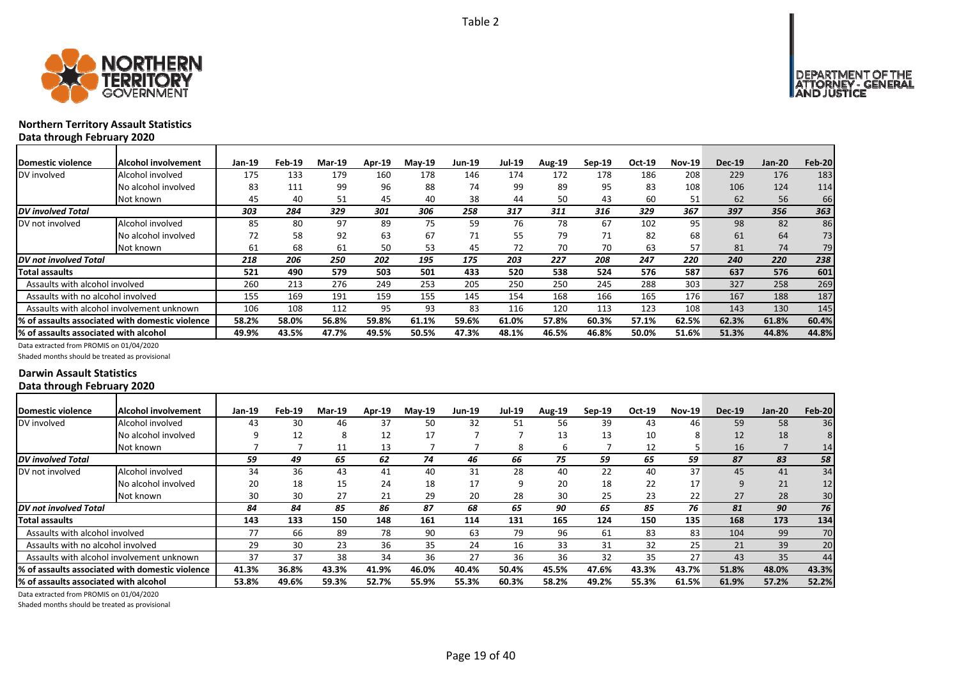



### **Northern Territory Assault Statistics Data through February 2020**

| Domestic violence                         | Alcohol involvement                             | <b>Jan-19</b> | Feb-19 | Mar-19 | Apr-19 | $May-19$ | <b>Jun-19</b> | Jul-19 | Aug-19 | $Sep-19$ | Oct-19 | <b>Nov-19</b> | <b>Dec-19</b> | $Jan-20$ | Feb-20 |
|-------------------------------------------|-------------------------------------------------|---------------|--------|--------|--------|----------|---------------|--------|--------|----------|--------|---------------|---------------|----------|--------|
| DV involved                               | Alcohol involved                                | 175           | 133    | 179    | 160    | 178      | 146           | 174    | 172    | 178      | 186    | 208           | 229           | 176      | 183    |
|                                           | No alcohol involved                             | 83            | 111    | 99     | 96     | 88       | 74            | 99     | 89     | 95       | 83     | 108           | 106           | 124      | 114    |
|                                           | Not known                                       | 45            | 40     | 51     | 45     | 40       | 38            | 44     | 50     | 43       | 60     | 51            | 62            | 56       | 66     |
| DV involved Total                         |                                                 | 303           | 284    | 329    | 301    | 306      | 258           | 317    | 311    | 316      | 329    | 367           | 397           | 356      | 363    |
| DV not involved                           | Alcohol involved                                | 85            | 80     | 97     | 89     | 75       | 59            | 76     | 78     | 67       | 102    | 95            | 98            | 82       | 86     |
|                                           | No alcohol involved                             | 72            | 58     | 92     | 63     | 67       | 71            | 55     | 79     | 71       | 82     | 68            | 61            | 64       | 73     |
|                                           | Not known                                       | 61            | 68     | 61     | 50     | 53       | 45            | 72     | 70     | 70       | 63     | 57            | 81            | 74       | 79     |
| DV not involved Total                     |                                                 | 218           | 206    | 250    | 202    | 195      | 175           | 203    | 227    | 208      | 247    | 220           | 240           | 220      | 238    |
| Total assaults                            |                                                 | 521           | 490    | 579    | 503    | 501      | 433           | 520    | 538    | 524      | 576    | 587           | 637           | 576      | 601    |
| Assaults with alcohol involved            |                                                 | 260           | 213    | 276    | 249    | 253      | 205           | 250    | 250    | 245      | 288    | 303           | 327           | 258      | 269    |
| Assaults with no alcohol involved         |                                                 | 155           | 169    | 191    | 159    | 155      | 145           | 154    | 168    | 166      | 165    | 176           | 167           | 188      | 187    |
| Assaults with alcohol involvement unknown |                                                 | 106           | 108    | 112    | 95     | 93       | 83            | 116    | 120    | 113      | 123    | 108           | 143           | 130      | 145    |
|                                           | % of assaults associated with domestic violence | 58.2%         | 58.0%  | 56.8%  | 59.8%  | 61.1%    | 59.6%         | 61.0%  | 57.8%  | 60.3%    | 57.1%  | 62.5%         | 62.3%         | 61.8%    | 60.4%  |
| % of assaults associated with alcohol     |                                                 | 49.9%         | 43.5%  | 47.7%  | 49.5%  | 50.5%    | 47.3%         | 48.1%  | 46.5%  | 46.8%    | 50.0%  | 51.6%         | 51.3%         | 44.8%    | 44.8%  |

Data extracted from PROMIS on 01/04/2020

Shaded months should be treated as provisional

### **Darwin Assault Statistics Data through February 2020**

| Domestic violence                     | Alcohol involvement                              | Jan-19 | Feb-19 | <b>Mar-19</b> | <b>Apr-19</b> | $Mav-19$ | <b>Jun-19</b> | <b>Jul-19</b> | <b>Aug-19</b> | Sep-19 | Oct-19 | $Nov-19$ | <b>Dec-19</b> | $Jan-20$ | Feb-20          |
|---------------------------------------|--------------------------------------------------|--------|--------|---------------|---------------|----------|---------------|---------------|---------------|--------|--------|----------|---------------|----------|-----------------|
| DV involved                           | Alcohol involved                                 | 43     | 30     | 46            | 37            | 50       | 32            | 51            | 56            | 39     | 43     | 46       | 59            | 58       | 36              |
|                                       | No alcohol involved                              | q      | 12     | 8             | 12            | 17       |               |               | 13            | 13     | 10     | 8        | 12            | 18       |                 |
|                                       | Not known                                        |        |        | 11            | 13            |          |               | 8             | 6             |        | 12     |          | 16            |          | 14 <sub>1</sub> |
| <b>DV</b> involved Total              |                                                  | 59     | 49     | 65            | 62            | 74       | 46            | 66            | 75            | 59     | 65     | 59       | 87            | 83       | 58              |
| DV not involved                       | Alcohol involved                                 | 34     | 36     | 43            | 41            | 40       | 31            | 28            | 40            | 22     | 40     | 37       | 45            | 41       | 34              |
|                                       | No alcohol involved                              | 20     | 18     | 15            | 24            | 18       | 17            | 9             | 20            | 18     | 22     | 17       | 9             | 21       | 12              |
|                                       | Not known                                        | 30     | 30     | 27            | 21            | 29       | 20            | 28            | 30            | 25     | 23     | 22       | 27            | 28       | 30              |
| <b>DV</b> not involved Total          |                                                  | 84     | 84     | 85            | 86            | 87       | 68            | 65            | 90            | 65     | 85     | 76       | 81            | 90       | 76              |
| <b>Total assaults</b>                 |                                                  | 143    | 133    | 150           | 148           | 161      | 114           | 131           | 165           | 124    | 150    | 135      | 168           | 173      | 134             |
| Assaults with alcohol involved        |                                                  | 77     | 66     | 89            | 78            | 90       | 63            | 79            | 96            | 61     | 83     | 83       | 104           | 99       | 70              |
| Assaults with no alcohol involved     |                                                  | 29     | 30     | 23            | 36            | 35       | 24            | 16            | 33            | 31     | 32     | 25       | 21            | 39       | 20              |
|                                       | Assaults with alcohol involvement unknown        | 37     | 37     | 38            | 34            | 36       | 27            | 36            | 36            | 32     | 35     | 27       | 43            | 35       | 44              |
|                                       | I% of assaults associated with domestic violence | 41.3%  | 36.8%  | 43.3%         | 41.9%         | 46.0%    | 40.4%         | 50.4%         | 45.5%         | 47.6%  | 43.3%  | 43.7%    | 51.8%         | 48.0%    | 43.3%           |
| % of assaults associated with alcohol |                                                  | 53.8%  | 49.6%  | 59.3%         | 52.7%         | 55.9%    | 55.3%         | 60.3%         | 58.2%         | 49.2%  | 55.3%  | 61.5%    | 61.9%         | 57.2%    | 52.2%           |

Data extracted from PROMIS on 01/04/2020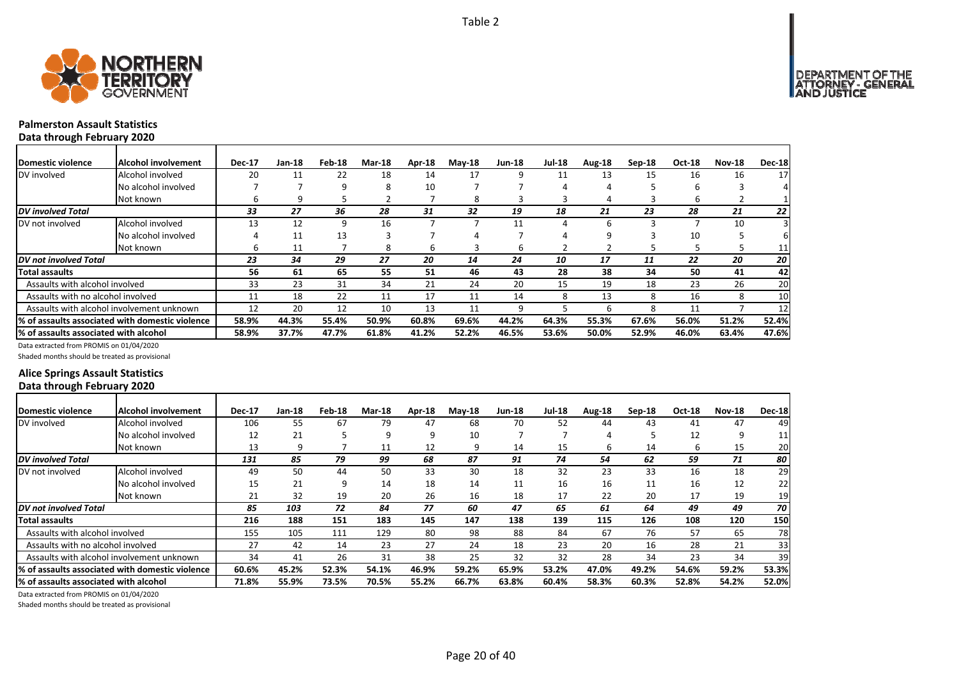

# **Palmerston Assault Statistics**

**Data through February 2020**

| Domestic violence                     | Alcohol involvement                              | <b>Dec-17</b> | Jan-18 | Feb-18 | <b>Mar-18</b> | Apr-18 | $M$ ay-18 | <b>Jun-18</b> | <b>Jul-18</b> | Aug-18 | Sep-18 | Oct-18 | <b>Nov-18</b> | <b>Dec-18</b> |
|---------------------------------------|--------------------------------------------------|---------------|--------|--------|---------------|--------|-----------|---------------|---------------|--------|--------|--------|---------------|---------------|
| DV involved                           | Alcohol involved                                 | 20            | 11     | 22     | 18            | 14     | 17        | 9             | 11            | 13     | 15     | 16     | 16            | 17            |
|                                       | No alcohol involved                              |               |        | 9      | 8             | 10     |           |               |               |        |        | ь      |               |               |
|                                       | Not known                                        | h             | 9      |        |               |        | 8         |               |               | 4      |        | 6      |               |               |
| <b>DV</b> involved Total              |                                                  | 33            | 27     | 36     | 28            | 31     | 32        | 19            | 18            | 21     | 23     | 28     | 21            | 22            |
| DV not involved                       | Alcohol involved                                 | 13            | 12     | 9      | 16            |        |           | 11            | 4             | h      |        |        | 10            |               |
|                                       | No alcohol involved                              |               | 11     | 13     |               |        |           |               |               | q      |        | 10     |               |               |
|                                       | Not known                                        | h             | 11     |        | 8             | b      | ς         | b             |               |        |        |        |               | 11            |
| <b>DV</b> not involved Total          |                                                  | 23            | 34     | 29     | 27            | 20     | 14        | 24            | 10            | 17     | 11     | 22     | 20            | 20            |
| <b>Total assaults</b>                 |                                                  | 56            | 61     | 65     | 55            | 51     | 46        | 43            | 28            | 38     | 34     | 50     | 41            | 42            |
| Assaults with alcohol involved        |                                                  | 33            | 23     | 31     | 34            | 21     | 24        | 20            | 15            | 19     | 18     | 23     | 26            | 20            |
| Assaults with no alcohol involved     |                                                  | 11            | 18     | 22     | 11            | 17     | 11        | 14            | 8             | 13     | 8      | 16     | 8             | 10            |
|                                       | Assaults with alcohol involvement unknown        | 12            | 20     | 12     | 10            | 13     | 11        | 9             |               | h      | 8      | 11     |               | 12            |
|                                       | 1% of assaults associated with domestic violence | 58.9%         | 44.3%  | 55.4%  | 50.9%         | 60.8%  | 69.6%     | 44.2%         | 64.3%         | 55.3%  | 67.6%  | 56.0%  | 51.2%         | 52.4%         |
| % of assaults associated with alcohol |                                                  | 58.9%         | 37.7%  | 47.7%  | 61.8%         | 41.2%  | 52.2%     | 46.5%         | 53.6%         | 50.0%  | 52.9%  | 46.0%  | 63.4%         | 47.6%         |

Data extracted from PROMIS on 01/04/2020

Shaded months should be treated as provisional

### **Alice Springs Assault Statistics Data through February 2020**

| Domestic violence                             | IAlcohol involvement                             | <b>Dec-17</b> | Jan-18 | Feb-18 | <b>Mar-18</b> | Apr-18 | $M$ ay-18 | <b>Jun-18</b> | <b>Jul-18</b> | Aug-18 | $Sep-18$ | <b>Oct-18</b> | <b>Nov-18</b> | <b>Dec-18</b> |
|-----------------------------------------------|--------------------------------------------------|---------------|--------|--------|---------------|--------|-----------|---------------|---------------|--------|----------|---------------|---------------|---------------|
| DV involved                                   | Alcohol involved                                 | 106           | 55     | 67     | 79            | 47     | 68        | 70            | 52            | 44     | 43       | 41            | 47            | 49            |
|                                               | No alcohol involved                              | 12            | 21     |        | q             | 9      | 10        |               |               |        |          | 12            | 9             | 11            |
|                                               | Not known                                        | 13            | 9      |        | 11            | 12     | 9         | 14            | 15            | b      | 14       | 6             | 15            | 20            |
| DV involved Total                             |                                                  | 131           | 85     | 79     | 99            | 68     | 87        | 91            | 74            | 54     | 62       | 59            | 71            | 80            |
| DV not involved                               | Alcohol involved                                 | 49            | 50     | 44     | 50            | 33     | 30        | 18            | 32            | 23     | 33       | 16            | 18            | 29            |
|                                               | No alcohol involved                              | 15            | 21     | 9      | 14            | 18     | 14        | 11            | 16            | 16     | 11       | 16            | 12            | 22            |
|                                               | Not known                                        | 21            | 32     | 19     | 20            | 26     | 16        | 18            | 17            | 22     | 20       | 17            | 19            | 19            |
| DV not involved Total                         |                                                  | 85            | 103    | 72     | 84            | 77     | 60        | 47            | 65            | 61     | 64       | 49            | 49            | 70 I          |
| <b>Total assaults</b>                         |                                                  | 216           | 188    | 151    | 183           | 145    | 147       | 138           | 139           | 115    | 126      | 108           | 120           | 150           |
| Assaults with alcohol involved                |                                                  | 155           | 105    | 111    | 129           | 80     | 98        | 88            | 84            | 67     | 76       | 57            | 65            | 78            |
| Assaults with no alcohol involved             |                                                  | 27            | 42     | 14     | 23            | 27     | 24        | 18            | 23            | 20     | 16       | 28            | 21            | 33            |
|                                               | Assaults with alcohol involvement unknown        | 34            | 41     | 26     | 31            | 38     | 25        | 32            | 32            | 28     | 34       | 23            | 34            | 39            |
|                                               | l% of assaults associated with domestic violence | 60.6%         | 45.2%  | 52.3%  | 54.1%         | 46.9%  | 59.2%     | 65.9%         | 53.2%         | 47.0%  | 49.2%    | 54.6%         | 59.2%         | 53.3%         |
| <b>1% of assaults associated with alcohol</b> |                                                  | 71.8%         | 55.9%  | 73.5%  | 70.5%         | 55.2%  | 66.7%     | 63.8%         | 60.4%         | 58.3%  | 60.3%    | 52.8%         | 54.2%         | 52.0%         |

Data extracted from PROMIS on 01/04/2020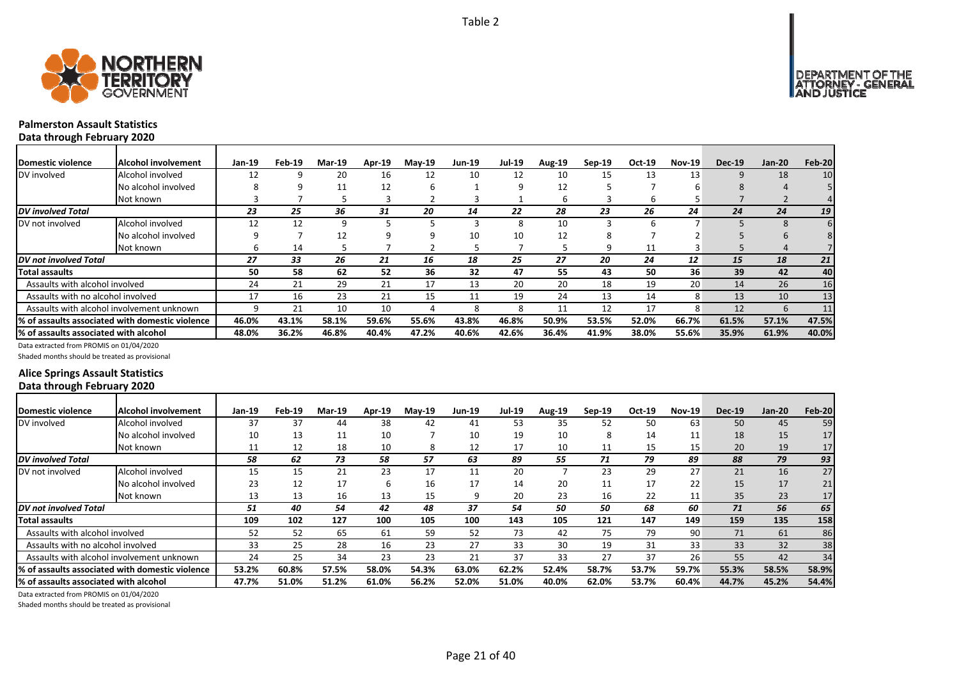



### **Palmerston Assault Statistics Data through February 2020**

| Domestic violence                     | lAlcohol involvement                            | Jan-19 | Feb-19 | <b>Mar-19</b> | <b>Apr-19</b> | $Mav-19$ | <b>Jun-19</b> | <b>Jul-19</b> | <b>Aug-19</b> | Sep-19 | Oct-19 | <b>Nov-19</b> | <b>Dec-19</b> | $Jan-20$     | Feb-20          |
|---------------------------------------|-------------------------------------------------|--------|--------|---------------|---------------|----------|---------------|---------------|---------------|--------|--------|---------------|---------------|--------------|-----------------|
| DV involved                           | Alcohol involved                                | 12     |        | 20            | 16            | 12       | 10            | 12            | 10            | 15     | 13     | 13            | 9             | 18           | 10              |
|                                       | No alcohol involved                             | 8      |        | 11            | 12            | ь        |               | q             | 12            |        |        |               | 8             | Δ            |                 |
|                                       | Not known                                       |        |        |               |               |          |               |               | ь             |        | b      |               |               |              | 41              |
| <b>DV</b> involved Total              |                                                 | 23     | 25     | 36            | 31            | 20       | 14            | 22            | 28            | 23     | 26     | 24            | 24            | 24           | 19 <sup>1</sup> |
| DV not involved                       | Alcohol involved                                | 12     | 12     | 9             |               |          |               | 8             | 10            |        | ĥ      |               |               | <sub>8</sub> |                 |
|                                       | No alcohol involved                             |        |        | 12            |               |          | 10            | 10            | 12            |        |        |               |               |              |                 |
|                                       | Not known                                       | h      | 14     |               |               |          |               |               |               | q      | 11     |               |               | $\Delta$     |                 |
| <b>IDV</b> not involved Total         |                                                 | 27     | 33     | 26            | 21            | 16       | 18            | 25            | 27            | 20     | 24     | 12            | 15            | 18           | 21              |
| Total assaults                        |                                                 | 50     | 58     | 62            | 52            | 36       | 32            | 47            | 55            | 43     | 50     | 36            | 39            | 42           | 40              |
| Assaults with alcohol involved        |                                                 | 24     | 21     | 29            | 21            | 17       | 13            | 20            | 20            | 18     | 19     | 20            | 14            | 26           | 16              |
| Assaults with no alcohol involved     |                                                 | 17     | 16     | 23            | 21            | 15       |               | 19            | 24            | 13     | 14     | 8             | 13            | 10           | 13              |
|                                       | Assaults with alcohol involvement unknown       |        | 21     | 10            | 10            | 4        | Я             | Я             | 11            | 12     | 17     | 8             | 12            | $\mathsf{h}$ | 11              |
|                                       | % of assaults associated with domestic violence | 46.0%  | 43.1%  | 58.1%         | 59.6%         | 55.6%    | 43.8%         | 46.8%         | 50.9%         | 53.5%  | 52.0%  | 66.7%         | 61.5%         | 57.1%        | 47.5%           |
| % of assaults associated with alcohol |                                                 | 48.0%  | 36.2%  | 46.8%         | 40.4%         | 47.2%    | 40.6%         | 42.6%         | 36.4%         | 41.9%  | 38.0%  | 55.6%         | 35.9%         | 61.9%        | 40.0%           |

Data extracted from PROMIS on 01/04/2020

Shaded months should be treated as provisional

### **Alice Springs Assault Statistics Data through February 2020**

| <b>IDomestic violence</b>             | Alcohol involvement                              | Jan-19 | Feb-19 | <b>Mar-19</b> | <b>Apr-19</b> | $Mav-19$ | <b>Jun-19</b> | Jul-19 | <b>Aug-19</b> | Sep-19 | Oct-19 | <b>Nov-19</b> | <b>Dec-19</b> | $Jan-20$ | <b>Feb-20</b>   |
|---------------------------------------|--------------------------------------------------|--------|--------|---------------|---------------|----------|---------------|--------|---------------|--------|--------|---------------|---------------|----------|-----------------|
| DV involved                           | Alcohol involved                                 | 37     | 37     | 44            | 38            | 42       | 41            | 53     | 35            | 52     | 50     | 63            | 50            | 45       | 59              |
|                                       | No alcohol involved                              | 10     | 13     | 11            | 10            |          | 10            | 19     | 10            | 8      | 14     | 11            | 18            | 15       | 17              |
|                                       | Not known                                        | 11     | 12     | 18            | 10            | 8        | 12            | 17     | 10            | 11     | 15     | 15            | 20            | 19       | 17 <sub>1</sub> |
| <b>DV</b> involved Total              |                                                  | 58     | 62     | 73            | 58            | 57       | 63            | 89     | 55            | 71     | 79     | 89            | 88            | 79       | 93              |
| DV not involved                       | Alcohol involved                                 | 15     | 15     | 21            | 23            | 17       | 11            | 20     |               | 23     | 29     | 27            | 21            | 16       | 27              |
|                                       | No alcohol involved                              | 23     | 12     | 17            | h             | 16       | 17            | 14     | 20            | 11     | 17     | 22            | 15            | 17       | 21              |
|                                       | Not known                                        | 13     | 13     | 16            | 13            | 15       | q             | 20     | 23            | 16     | 22     | 11            | 35            | 23       | 17              |
| <b>DV</b> not involved Total          |                                                  | 51     | 40     | 54            | 42            | 48       | 37            | 54     | 50            | 50     | 68     | 60            | 71            | 56       | 65              |
| <b>Total assaults</b>                 |                                                  | 109    | 102    | 127           | 100           | 105      | 100           | 143    | 105           | 121    | 147    | 149           | 159           | 135      | 158             |
| Assaults with alcohol involved        |                                                  | 52     | 52     | 65            | 61            | 59       | 52            | 73     | 42            | 75     | 79     | 90            | 71            | 61       | 86              |
| Assaults with no alcohol involved     |                                                  | 33     | 25     | 28            | 16            | 23       | 27            | 33     | 30            | 19     | 31     | 33            | 33            | 32       | 38              |
|                                       | Assaults with alcohol involvement unknown        | 24     | 25     | 34            | 23            | 23       | 21            | 37     | 33            | 27     | 37     | 26            | 55            | 42       | 34              |
|                                       | 1% of assaults associated with domestic violence | 53.2%  | 60.8%  | 57.5%         | 58.0%         | 54.3%    | 63.0%         | 62.2%  | 52.4%         | 58.7%  | 53.7%  | 59.7%         | 55.3%         | 58.5%    | 58.9%           |
| % of assaults associated with alcohol |                                                  | 47.7%  | 51.0%  | 51.2%         | 61.0%         | 56.2%    | 52.0%         | 51.0%  | 40.0%         | 62.0%  | 53.7%  | 60.4%         | 44.7%         | 45.2%    | 54.4%           |

Data extracted from PROMIS on 01/04/2020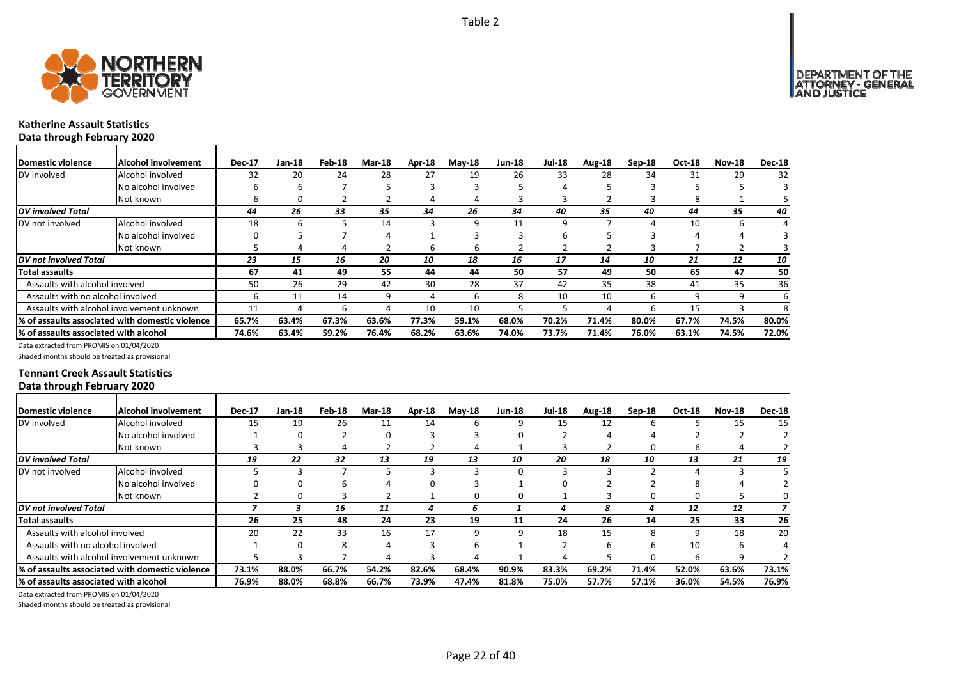

# **Katherine Assault Statistics**

**Data through February 2020** Domestic violence |Alcohol involvement | Dec-17 Jan-18 Feb-18 Mar-18 Apr-18 May-18 Jun-18 Jul-18 Aug-18 Sep-18 Oct-18 Nov-18 Dec-18 DV involved Alcohol involved 32 20 24 28 27 19 26 33 28 34 31 29 32 No alcohol involved 1 6 6 6 7 5 3 3 3 5 4 5 3 5 5 5 5 Not known 6 0 2 2 4 4 3 3 2 3 8 1 5 *DV involved Total 44 26 33 35 34 26 34 40 35 40 44 35 40* DV not involved Alcohol involved 18 6 5 14 3 9 11 9 7 4 10 6 4 No alcohol involved a set of the control of the control of the control of the control of the control of the control of the control of the control of the control of the control of the control of the control of the control o Not known 5 4 4 2 6 6 2 2 2 3 7 2 3 *DV not involved Total 23 15 16 20 10 18 16 17 14 10 21 12 10* Total assaults | 67 41 49 55 44 44 50 57 49 50 65 47 50 Assaults with alcohol involved and the S0 26 29 42 30 28 37 42 35 38 41 35 36 Assaults with no alcohol involved and the state of the state of the state of the state of the state of the state of the state of the state of the state of the state of the state of the state of the state of the state of th Assaults with alcohol involvement unknown | 11 4 6 4 10 10 5 5 4 6 15 3 8 % of assaults associated with domestic violence | 65.7% 63.4% 67.3% 63.6% 77.3% 59.1% 68.0% 70.2% 71.4% 80.0% 67.7% 74.5% 80.0% % of assaults associated with alcohol | 74.6% 63.4% 59.2% 76.4% 68.2% 63.6% 74.0% 73.7% 71.4% 76.0% 63.1% 74.5% 72.0% Data extracted from PROMIS on 01/04/2020

Shaded months should be treated as provisional

### **Tennant Creek Assault Statistics Data through February 2020**

| Domestic violence                     | Alcohol involvement                                          | <b>Dec-17</b> | Jan-18 | Feb-18 | <b>Mar-18</b> | Apr-18 | $M$ ay-18 | <b>Jun-18</b> | <b>Jul-18</b> | Aug-18 | $Sep-18$ | <b>Oct-18</b> | <b>Nov-18</b> | <b>Dec-18</b> |
|---------------------------------------|--------------------------------------------------------------|---------------|--------|--------|---------------|--------|-----------|---------------|---------------|--------|----------|---------------|---------------|---------------|
| DV involved                           | Alcohol involved                                             | 15            | 19     | 26     | 11            | 14     | h         | q             | 15            | 12     | h        |               | 15            | 15            |
|                                       | No alcohol involved                                          |               |        |        |               |        |           |               |               |        |          |               |               |               |
|                                       | Not known                                                    |               |        | 4      |               |        | 4         |               |               |        |          | h             |               |               |
| DV involved Total                     |                                                              | 19            | 22     | 32     | 13            | 19     | 13        | 10            | 20            | 18     | 10       | 13            | 21            | 19            |
| DV not involved                       | Alcohol involved                                             |               |        |        |               |        |           |               |               |        |          |               |               |               |
|                                       | No alcohol involved                                          |               |        | h      |               |        |           |               |               |        |          | я             |               |               |
|                                       | Not known                                                    |               |        |        |               |        |           |               |               |        |          | 0             |               |               |
| DV not involved Total                 |                                                              |               |        | 16     | 11            |        | 6         |               |               | 8      |          | 12            | 12            |               |
| <b>Total assaults</b>                 |                                                              | 26            | 25     | 48     | 24            | 23     | 19        | 11            | 24            | 26     | 14       | 25            | 33            | 26            |
| Assaults with alcohol involved        |                                                              | 20            | 22     | 33     | 16            | 17     | 9         | 9             | 18            | 15     | 8        | q             | 18            | 20            |
| Assaults with no alcohol involved     |                                                              |               |        |        |               |        |           |               |               |        |          | 10            | 6             |               |
|                                       | Assaults with alcohol involvement unknown                    |               |        |        |               |        |           |               |               |        |          |               |               |               |
|                                       | <sup>1</sup> % of assaults associated with domestic violence | 73.1%         | 88.0%  | 66.7%  | 54.2%         | 82.6%  | 68.4%     | 90.9%         | 83.3%         | 69.2%  | 71.4%    | 52.0%         | 63.6%         | 73.1%         |
| % of assaults associated with alcohol |                                                              | 76.9%         | 88.0%  | 68.8%  | 66.7%         | 73.9%  | 47.4%     | 81.8%         | 75.0%         | 57.7%  | 57.1%    | 36.0%         | 54.5%         | 76.9%         |
|                                       |                                                              |               |        |        |               |        |           |               |               |        |          |               |               |               |

Data extracted from PROMIS on 01/04/2020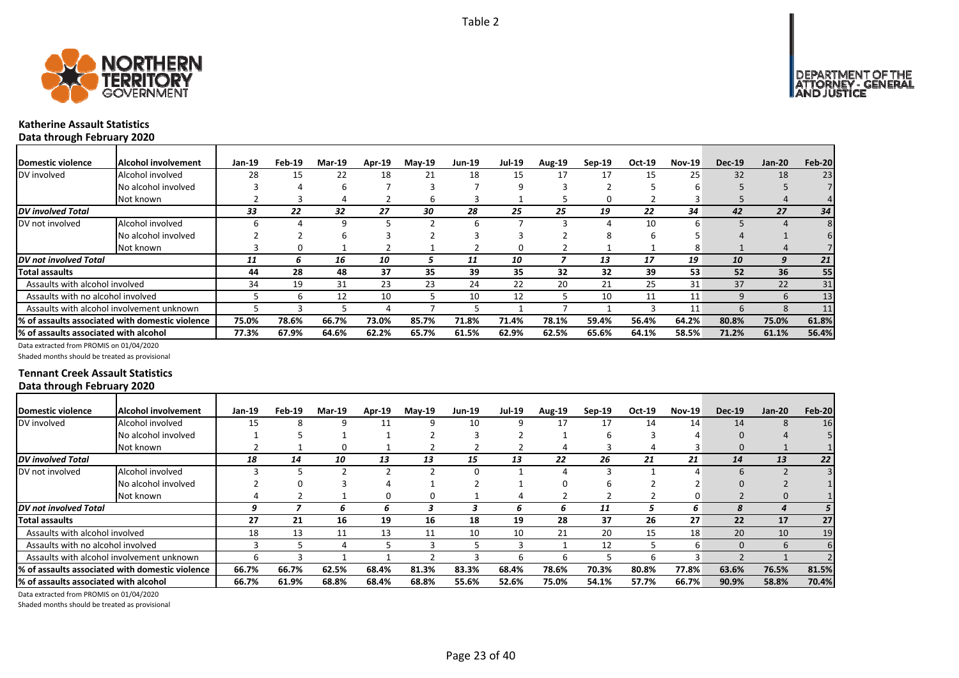



# **Katherine Assault Statistics**

**Data through February 2020**

| <b>IDomestic violence</b>             | Alcohol involvement                              | Jan-19 | Feb-19 | <b>Mar-19</b> | Apr-19 | <b>May-19</b> | <b>Jun-19</b> | <b>Jul-19</b> | <b>Aug-19</b> | Sep-19 | Oct-19 | <b>Nov-19</b> | <b>Dec-19</b> | $Jan-20$     | Feb-20 |
|---------------------------------------|--------------------------------------------------|--------|--------|---------------|--------|---------------|---------------|---------------|---------------|--------|--------|---------------|---------------|--------------|--------|
| DV involved                           | Alcohol involved                                 | 28     | 15     | 22            | 18     | 21            | 18            | 15            | 17            | 17     | 15     | 25            | 32            | 18           | 23     |
|                                       | No alcohol involved                              |        |        | h             |        |               |               |               |               |        |        |               |               |              |        |
|                                       | Not known                                        |        |        |               |        | b             |               |               |               | 0      |        |               |               |              |        |
| <b>DV</b> involved Total              |                                                  | 33     | 22     | 32            | 27     | 30            | 28            | 25            | 25            | 19     | 22     | 34            | 42            | 27           | 34     |
| DV not involved                       | Alcohol involved                                 |        |        | 9             |        |               |               |               |               |        | 10     | n             |               |              |        |
|                                       | No alcohol involved                              |        |        |               |        |               |               |               |               |        |        |               |               |              |        |
|                                       | Not known                                        |        | 0      |               |        |               |               | 0             |               |        |        | 8             |               | 4            |        |
| <b>DV</b> not involved Total          |                                                  | 11     | 6      | 16            | 10     |               | 11            | 10            |               | 13     | 17     | 19            | 10            | 9            | 21     |
| <b>Total assaults</b>                 |                                                  | 44     | 28     | 48            | 37     | 35            | 39            | 35            | 32            | 32     | 39     | 53            | 52            | 36           | 55     |
| Assaults with alcohol involved        |                                                  | 34     | 19     | 31            | 23     | 23            | 24            | 22            | 20            | 21     | 25     | 31            | 37            | 22           | 31     |
| Assaults with no alcohol involved     |                                                  |        |        | 12            | 10     |               | 10            | 12            |               | 10     | 11     | 11            | 9             | 6            | 13     |
|                                       | Assaults with alcohol involvement unknown        |        |        |               |        |               |               |               |               |        |        | 11            | h             | <sub>R</sub> | 11     |
|                                       | 1% of assaults associated with domestic violence | 75.0%  | 78.6%  | 66.7%         | 73.0%  | 85.7%         | 71.8%         | 71.4%         | 78.1%         | 59.4%  | 56.4%  | 64.2%         | 80.8%         | 75.0%        | 61.8%  |
| % of assaults associated with alcohol |                                                  | 77.3%  | 67.9%  | 64.6%         | 62.2%  | 65.7%         | 61.5%         | 62.9%         | 62.5%         | 65.6%  | 64.1%  | 58.5%         | 71.2%         | 61.1%        | 56.4%  |

Data extracted from PROMIS on 01/04/2020

Shaded months should be treated as provisional

### **Tennant Creek Assault Statistics Data through February 2020**

| Domestic violence                     | Alcohol involvement                              | Jan-19 | Feb-19 | <b>Mar-19</b> | Apr-19 | $Mav-19$ | <b>Jun-19</b> | <b>Jul-19</b> | <b>Aug-19</b> | Sep-19 | Oct-19 | <b>Nov-19</b> | <b>Dec-19</b> | $Jan-20$ | Feb-20 |
|---------------------------------------|--------------------------------------------------|--------|--------|---------------|--------|----------|---------------|---------------|---------------|--------|--------|---------------|---------------|----------|--------|
| DV involved                           | Alcohol involved                                 | 15     |        |               | 11     |          | 10            |               | 17            | 17     | 14     | 14            | 14            | 8        | 16     |
|                                       | No alcohol involved                              |        |        |               |        |          |               |               |               |        |        |               | 0             |          |        |
|                                       | Not known                                        |        |        |               |        |          |               |               |               |        |        |               | $\Omega$      |          |        |
| <b>DV</b> involved Total              |                                                  | 18     | 14     | 10            | 13     | 13       | 15            | 13            | 22            | 26     | 21     | 21            | 14            | 13       | 22     |
| DV not involved                       | Alcohol involved                                 |        |        |               |        |          |               |               |               |        |        |               | 6             |          |        |
|                                       | No alcohol involved                              |        |        |               |        |          |               |               |               |        |        |               |               |          |        |
|                                       | Not known                                        |        |        |               |        |          |               |               |               |        |        |               |               | $\Omega$ |        |
| DV not involved Total                 |                                                  | q      |        | h             | h      |          |               | h             | ь             | 11     |        | 6             |               |          |        |
| Total assaults                        |                                                  | 27     | 21     | 16            | 19     | 16       | 18            | 19            | 28            | 37     | 26     | 27            | 22            | 17       | 27     |
| Assaults with alcohol involved        |                                                  | 18     | 13     | 11            | 13     | 11       | 10            | 10            | 21            | 20     | 15     | 18            | 20            | 10       | 19     |
| Assaults with no alcohol involved     |                                                  |        |        |               |        |          |               |               |               | 12     |        | 6             | 0             | 6        | 6      |
|                                       | Assaults with alcohol involvement unknown        |        |        |               |        |          |               |               |               |        |        |               |               |          |        |
|                                       | 1% of assaults associated with domestic violence | 66.7%  | 66.7%  | 62.5%         | 68.4%  | 81.3%    | 83.3%         | 68.4%         | 78.6%         | 70.3%  | 80.8%  | 77.8%         | 63.6%         | 76.5%    | 81.5%  |
| % of assaults associated with alcohol |                                                  | 66.7%  | 61.9%  | 68.8%         | 68.4%  | 68.8%    | 55.6%         | 52.6%         | 75.0%         | 54.1%  | 57.7%  | 66.7%         | 90.9%         | 58.8%    | 70.4%  |

Data extracted from PROMIS on 01/04/2020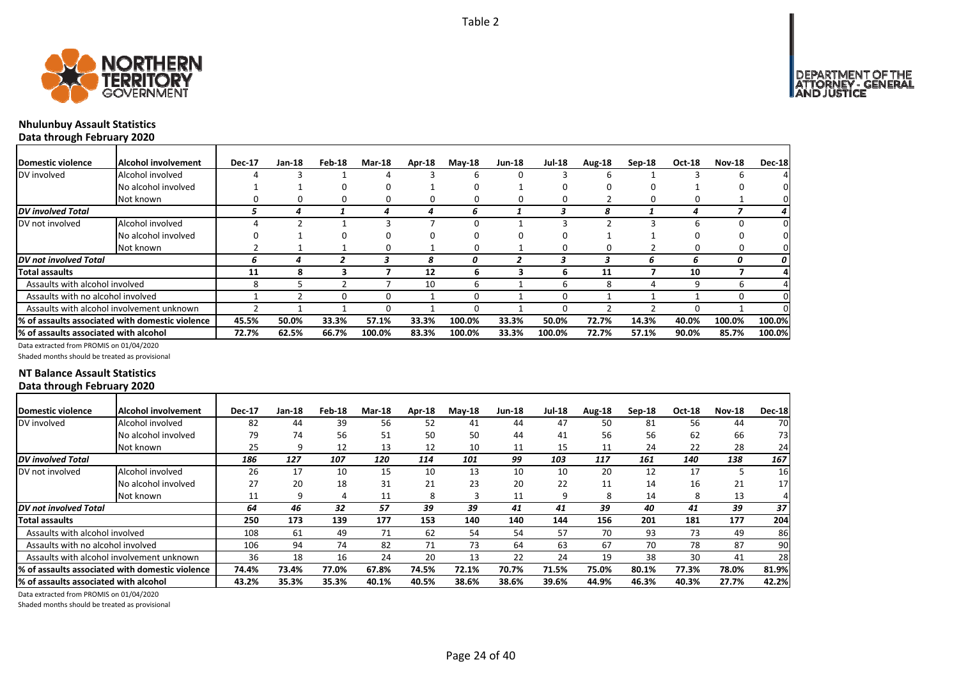

# **Nhulunbuy Assault Statistics**

**Data through February 2020**

| Domestic violence                     | <b>Alcohol involvement</b>                      | <b>Dec-17</b> | Jan-18 | Feb-18 | <b>Mar-18</b> | Apr-18 | $M$ ay-18 | <b>Jun-18</b> | <b>Jul-18</b> | Aug-18 | $Sep-18$ | Oct-18 | <b>Nov-18</b> | <b>Dec-18</b> |
|---------------------------------------|-------------------------------------------------|---------------|--------|--------|---------------|--------|-----------|---------------|---------------|--------|----------|--------|---------------|---------------|
| DV involved                           | Alcohol involved                                |               |        |        |               |        | 6         |               |               |        |          |        |               |               |
|                                       | No alcohol involved                             |               |        |        |               |        | O         |               |               |        |          |        |               | O.            |
|                                       | Not known                                       |               |        | 0      | 0             | 0      | 0         |               |               |        |          |        |               | 0             |
| <b>DV</b> involved Total              |                                                 |               |        |        |               |        | h         |               |               |        |          |        |               |               |
| DV not involved                       | Alcohol involved                                |               |        |        |               |        | 0         |               |               |        |          |        |               | 0             |
|                                       | No alcohol involved                             |               |        |        |               |        | 0         |               |               |        |          |        |               |               |
|                                       | Not known                                       |               |        |        | 0             |        | $\Omega$  |               |               |        |          |        |               | 0             |
| <b>DV</b> not involved Total          |                                                 | 6             |        |        |               | 8      | 0         |               |               |        | 6        | 6      | 0             | 0             |
| <b>Total assaults</b>                 |                                                 | 11            | 8      |        |               | 12     | 6         |               |               | 11     |          | 10     |               |               |
| Assaults with alcohol involved        |                                                 | 8             |        |        |               | 10     | 6         |               | h             | 8      | 4        | q      |               |               |
| Assaults with no alcohol involved     |                                                 |               |        |        | ი             |        | 0         |               |               |        |          |        |               | 0             |
|                                       | Assaults with alcohol involvement unknown       |               |        |        | ი             |        | 0         |               |               |        |          |        |               | n.            |
|                                       | % of assaults associated with domestic violence | 45.5%         | 50.0%  | 33.3%  | 57.1%         | 33.3%  | 100.0%    | 33.3%         | 50.0%         | 72.7%  | 14.3%    | 40.0%  | 100.0%        | 100.0%        |
| % of assaults associated with alcohol |                                                 | 72.7%         | 62.5%  | 66.7%  | 100.0%        | 83.3%  | 100.0%    | 33.3%         | 100.0%        | 72.7%  | 57.1%    | 90.0%  | 85.7%         | 100.0%        |

Data extracted from PROMIS on 01/04/2020

Shaded months should be treated as provisional

### **NT Balance Assault Statistics Data through February 2020**

| Domestic violence                                            | Alcohol involvement | <b>Dec-17</b> | Jan-18 | Feb-18 | <b>Mar-18</b> | Apr-18 | $Mav-18$ | <b>Jun-18</b> | <b>Jul-18</b> | Aug-18 | Sep-18 | <b>Oct-18</b> | <b>Nov-18</b> | <b>Dec-18</b>   |
|--------------------------------------------------------------|---------------------|---------------|--------|--------|---------------|--------|----------|---------------|---------------|--------|--------|---------------|---------------|-----------------|
| DV involved                                                  | Alcohol involved    | 82            | 44     | 39     | 56            | 52     | 41       | 44            | 47            | 50     | 81     | 56            | 44            | 70              |
|                                                              | No alcohol involved | 79            | 74     | 56     | 51            | 50     | 50       | 44            | 41            | 56     | 56     | 62            | 66            | 73              |
|                                                              | Not known           | 25            | 9      | 12     | 13            | 12     | 10       | 11            | 15            | 11     | 24     | 22            | 28            | 24              |
| <b>DV</b> involved Total                                     |                     | 186           | 127    | 107    | 120           | 114    | 101      | 99            | 103           | 117    | 161    | 140           | 138           | 167             |
| DV not involved                                              | Alcohol involved    | 26            | 17     | 10     | 15            | 10     | 13       | 10            | 10            | 20     | 12     | 17            |               | 16 <sup>1</sup> |
|                                                              | No alcohol involved | 27            | 20     | 18     | 31            | 21     | 23       | 20            | 22            | 11     | 14     | 16            | 21            | 17 <sup>1</sup> |
|                                                              | Not known           | 11            | 9      | 4      | 11            | 8      | з        | 11            |               | 8      | 14     | 8             | 13            |                 |
| DV not involved Total                                        |                     | 64            | 46     | 32     | 57            | 39     | 39       | 41            | 41            | 39     | 40     | 41            | 39            | 37              |
| <b>Total assaults</b>                                        |                     | 250           | 173    | 139    | 177           | 153    | 140      | 140           | 144           | 156    | 201    | 181           | 177           | 204             |
| Assaults with alcohol involved                               |                     | 108           | 61     | 49     | 71            | 62     | 54       | 54            | 57            | 70     | 93     | 73            | 49            | 86              |
| Assaults with no alcohol involved                            |                     | 106           | 94     | 74     | 82            | 71     | 73       | 64            | 63            | 67     | 70     | 78            | 87            | 90              |
| Assaults with alcohol involvement unknown                    |                     | 36            | 18     | 16     | 24            | 20     | 13       | 22            | 24            | 19     | 38     | 30            | 41            | 28              |
| <sup>1</sup> % of assaults associated with domestic violence |                     | 74.4%         | 73.4%  | 77.0%  | 67.8%         | 74.5%  | 72.1%    | 70.7%         | 71.5%         | 75.0%  | 80.1%  | 77.3%         | 78.0%         | 81.9%           |
| % of assaults associated with alcohol                        |                     | 43.2%         | 35.3%  | 35.3%  | 40.1%         | 40.5%  | 38.6%    | 38.6%         | 39.6%         | 44.9%  | 46.3%  | 40.3%         | 27.7%         | 42.2%           |

Data extracted from PROMIS on 01/04/2020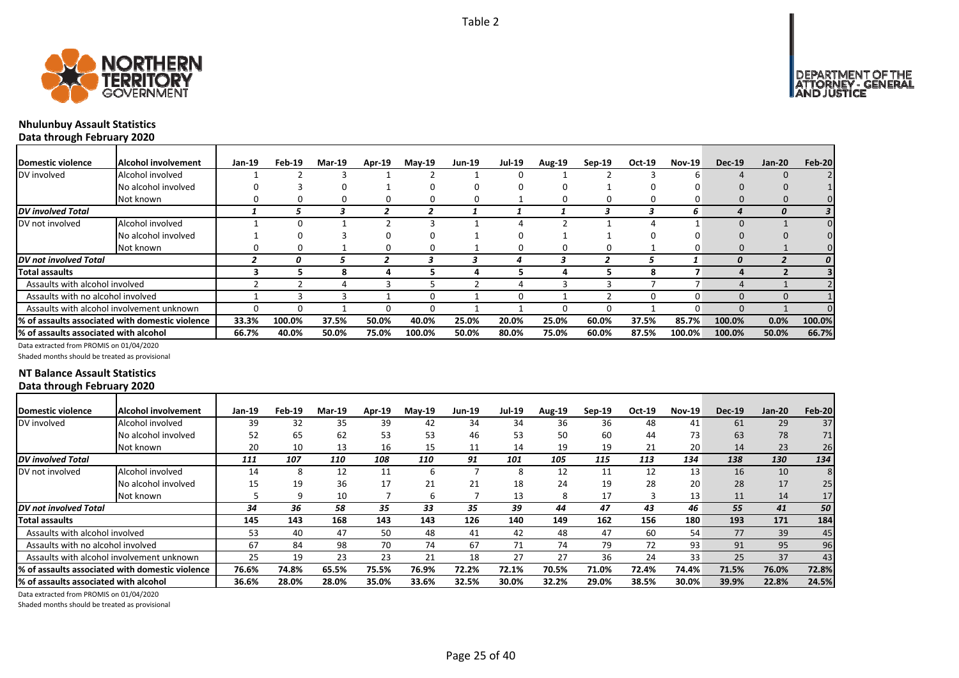



### **Nhulunbuy Assault Statistics Data through February 2020**

| Domestic violence                     | <b>IAIcohol involvement</b>                     | Jan-19 | Feb-19 | <b>Mar-19</b> | Apr-19 | <b>May-19</b> | <b>Jun-19</b> | <b>Jul-19</b> | Aug-19 | Sep-19 | Oct-19 | <b>Nov-19</b> | <b>Dec-19</b>    | $Jan-20$ | Feb-20 |
|---------------------------------------|-------------------------------------------------|--------|--------|---------------|--------|---------------|---------------|---------------|--------|--------|--------|---------------|------------------|----------|--------|
| DV involved                           | Alcohol involved                                |        |        |               |        |               |               | 0             |        |        |        |               |                  |          |        |
|                                       | No alcohol involved                             |        |        | 0             |        |               |               | 0             |        |        |        |               |                  |          |        |
|                                       | Not known                                       |        |        |               |        |               |               |               |        |        |        |               |                  |          |        |
| DV involved Total                     |                                                 |        |        |               |        |               |               |               |        |        |        | 6             |                  |          |        |
| DV not involved                       | Alcohol involved                                |        |        |               |        |               |               |               |        |        |        |               |                  |          |        |
|                                       | No alcohol involved                             |        |        |               |        |               |               | 0             |        |        |        |               |                  |          |        |
|                                       | Not known                                       |        |        |               |        |               |               | 0             |        | 0      |        |               |                  |          |        |
| DV not involved Total                 |                                                 |        | 0      |               |        |               |               |               |        |        |        |               | $\boldsymbol{0}$ |          |        |
| Total assaults                        |                                                 |        |        |               |        |               |               |               |        |        | 8      |               |                  |          |        |
| Assaults with alcohol involved        |                                                 |        |        |               |        |               |               |               |        |        |        |               |                  |          |        |
| Assaults with no alcohol involved     |                                                 |        |        |               |        |               |               | 0             |        |        |        | n             |                  |          |        |
|                                       | Assaults with alcohol involvement unknown       |        |        |               |        |               |               |               |        | n      |        |               |                  |          |        |
|                                       | % of assaults associated with domestic violence | 33.3%  | 100.0% | 37.5%         | 50.0%  | 40.0%         | 25.0%         | 20.0%         | 25.0%  | 60.0%  | 37.5%  | 85.7%         | 100.0%           | 0.0%     | 100.0% |
| % of assaults associated with alcohol |                                                 | 66.7%  | 40.0%  | 50.0%         | 75.0%  | 100.0%        | 50.0%         | 80.0%         | 75.0%  | 60.0%  | 87.5%  | 100.0%        | 100.0%           | 50.0%    | 66.7%  |

Data extracted from PROMIS on 01/04/2020

Shaded months should be treated as provisional

### **NT Balance Assault Statistics Data through February 2020**

| <b>Domestic violence</b>              | Alcohol involvement                                          | Jan-19 | Feb-19 | <b>Mar-19</b> | <b>Apr-19</b> | $Mav-19$ | <b>Jun-19</b> | <b>Jul-19</b> | <b>Aug-19</b> | $Sep-19$ | Oct-19 | <b>Nov-19</b> | <b>Dec-19</b> | $Jan-20$ | <b>Feb-20</b> |
|---------------------------------------|--------------------------------------------------------------|--------|--------|---------------|---------------|----------|---------------|---------------|---------------|----------|--------|---------------|---------------|----------|---------------|
| DV involved                           | Alcohol involved                                             | 39     | 32     | 35            | 39            | 42       | 34            | 34            | 36            | 36       | 48     | 41            | 61            | 29       | 37            |
|                                       | No alcohol involved                                          | 52     | 65     | 62            | 53            | 53       | 46            | 53            | 50            | 60       | 44     | 73            | 63            | 78       | 71            |
|                                       | Not known                                                    | 20     | 10     | 13            | 16            | 15       | 11            | 14            | 19            | 19       | 21     | 20            | 14            | 23       | 26            |
| <b>DV</b> involved Total              |                                                              | 111    | 107    | 110           | 108           | 110      | 91            | 101           | 105           | 115      | 113    | 134           | 138           | 130      | 134           |
| DV not involved                       | Alcohol involved                                             | 14     | 8      | 12            | 11            |          |               | 8             | 12            | 11       | 12     | 13            | 16            | 10       | 8             |
|                                       | No alcohol involved                                          | 15     | 19     | 36            | 17            | 21       | 21            | 18            | 24            | 19       | 28     | 20            | 28            | 17       | 25            |
|                                       | Not known                                                    |        | q      | 10            |               |          |               | 13            | 8             | 17       |        | 13            | 11            | 14       | 17            |
| DV not involved Total                 |                                                              | 34     | 36     | 58            | 35            | 33       | 35            | 39            | 44            | 47       | 43     | 46            | 55            | 41       | 50            |
| <b>Total assaults</b>                 |                                                              | 145    | 143    | 168           | 143           | 143      | 126           | 140           | 149           | 162      | 156    | 180           | 193           | 171      | 184           |
| Assaults with alcohol involved        |                                                              | 53     | 40     | 47            | 50            | 48       | 41            | 42            | 48            | 47       | 60     | 54            | 77            | 39       | 45            |
| Assaults with no alcohol involved     |                                                              | 67     | 84     | 98            | 70            | 74       | 67            | 71            | 74            | 79       | 72     | 93            | 91            | 95       | 96            |
|                                       | Assaults with alcohol involvement unknown                    | 25     | 19     | 23            | 23            | 21       | 18            | 27            | 27            | 36       | 24     | 33            | 25            | 37       | 43            |
|                                       | <sup>1</sup> % of assaults associated with domestic violence | 76.6%  | 74.8%  | 65.5%         | 75.5%         | 76.9%    | 72.2%         | 72.1%         | 70.5%         | 71.0%    | 72.4%  | 74.4%         | 71.5%         | 76.0%    | 72.8%         |
| % of assaults associated with alcohol |                                                              | 36.6%  | 28.0%  | 28.0%         | 35.0%         | 33.6%    | 32.5%         | 30.0%         | 32.2%         | 29.0%    | 38.5%  | 30.0%         | 39.9%         | 22.8%    | 24.5%         |
|                                       |                                                              |        |        |               |               |          |               |               |               |          |        |               |               |          |               |

Data extracted from PROMIS on 01/04/2020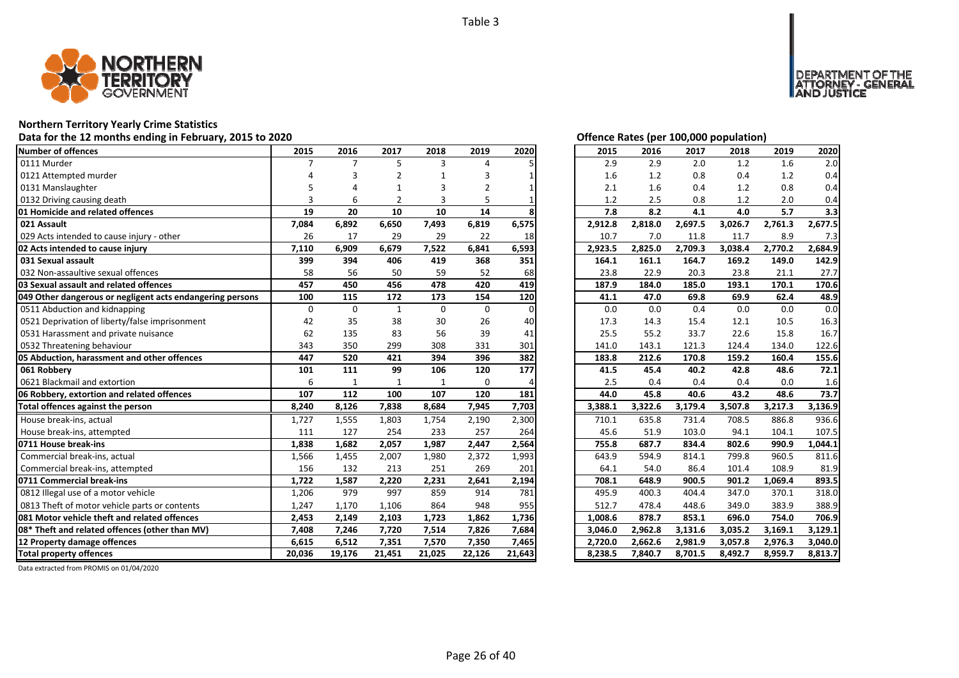

# **Northern Territory Yearly Crime Statistics**

# Data for the 12 months ending in February, 2015 to 2020<br>
Data for the 12 months ending in February, 2015 to 2020

| <b>Number of offences</b>                                 | 2015        | 2016           | 2017           | 2018         | 2019           | 2020     | 2015    | 2016    | 2017    | 2018    | 2019    | 2020    |
|-----------------------------------------------------------|-------------|----------------|----------------|--------------|----------------|----------|---------|---------|---------|---------|---------|---------|
| 0111 Murder                                               | 7           | $\overline{7}$ | 5              | 3            | 4              |          | 2.9     | 2.9     | 2.0     | 1.2     | 1.6     | 2.0     |
| 0121 Attempted murder                                     |             |                |                |              | 3              |          | 1.6     | 1.2     | 0.8     | 0.4     | 1.2     | 0.4     |
| 0131 Manslaughter                                         |             |                |                | 3            | $\overline{2}$ |          | 2.1     | 1.6     | 0.4     | 1.2     | 0.8     | 0.4     |
| 0132 Driving causing death                                |             | 6              | $\mathfrak{p}$ | 3            |                |          | 1.2     | 2.5     | 0.8     | 1.2     | 2.0     | 0.4     |
| 01 Homicide and related offences                          | 19          | 20             | 10             | 10           | 14             |          | 7.8     | 8.2     | 4.1     | 4.0     | 5.7     | 3.3     |
| 021 Assault                                               | 7,084       | 6,892          | 6,650          | 7,493        | 6,819          | 6,575    | 2,912.8 | 2,818.0 | 2,697.5 | 3,026.7 | 2,761.3 | 2,677.5 |
| 029 Acts intended to cause injury - other                 | 26          | 17             | 29             | 29           | 22             | 18       | 10.7    | 7.0     | 11.8    | 11.7    | 8.9     | 7.3     |
| 02 Acts intended to cause injury                          | 7,110       | 6,909          | 6,679          | 7,522        | 6,841          | 6,593    | 2,923.5 | 2,825.0 | 2,709.3 | 3,038.4 | 2,770.2 | 2,684.9 |
| 031 Sexual assault                                        | 399         | 394            | 406            | 419          | 368            | 351      | 164.1   | 161.1   | 164.7   | 169.2   | 149.0   | 142.9   |
| 032 Non-assaultive sexual offences                        | 58          | 56             | 50             | 59           | 52             | 68       | 23.8    | 22.9    | 20.3    | 23.8    | 21.1    | 27.7    |
| 03 Sexual assault and related offences                    | 457         | 450            | 456            | 478          | 420            | 419      | 187.9   | 184.0   | 185.0   | 193.1   | 170.1   | 170.6   |
| 049 Other dangerous or negligent acts endangering persons | 100         | 115            | 172            | 173          | 154            | 120      | 41.1    | 47.0    | 69.8    | 69.9    | 62.4    | 48.9    |
| 0511 Abduction and kidnapping                             | $\mathbf 0$ | $\mathbf 0$    | $\mathbf{1}$   | $\mathbf 0$  | $\mathbf 0$    | $\Omega$ | 0.0     | 0.0     | 0.4     | 0.0     | 0.0     | 0.0     |
| 0521 Deprivation of liberty/false imprisonment            | 42          | 35             | 38             | 30           | 26             | 40       | 17.3    | 14.3    | 15.4    | 12.1    | 10.5    | 16.3    |
| 0531 Harassment and private nuisance                      | 62          | 135            | 83             | 56           | 39             | 41       | 25.5    | 55.2    | 33.7    | 22.6    | 15.8    | 16.7    |
| 0532 Threatening behaviour                                | 343         | 350            | 299            | 308          | 331            | 301      | 141.0   | 143.1   | 121.3   | 124.4   | 134.0   | 122.6   |
| 05 Abduction, harassment and other offences               | 447         | 520            | 421            | 394          | 396            | 382      | 183.8   | 212.6   | 170.8   | 159.2   | 160.4   | 155.6   |
| 061 Robbery                                               | 101         | 111            | 99             | 106          | 120            | 177      | 41.5    | 45.4    | 40.2    | 42.8    | 48.6    | 72.1    |
| 0621 Blackmail and extortion                              | 6           | $\mathbf{1}$   | $\mathbf{1}$   | $\mathbf{1}$ | $\mathbf 0$    |          | 2.5     | 0.4     | 0.4     | 0.4     | 0.0     | 1.6     |
| 06 Robbery, extortion and related offences                | 107         | 112            | 100            | 107          | 120            | 181      | 44.0    | 45.8    | 40.6    | 43.2    | 48.6    | 73.7    |
| Total offences against the person                         | 8,240       | 8,126          | 7,838          | 8,684        | 7,945          | 7,703    | 3,388.1 | 3,322.6 | 3,179.4 | 3,507.8 | 3,217.3 | 3,136.9 |
| House break-ins, actual                                   | 1,727       | 1,555          | 1,803          | 1,754        | 2,190          | 2,300    | 710.1   | 635.8   | 731.4   | 708.5   | 886.8   | 936.6   |
| House break-ins, attempted                                | 111         | 127            | 254            | 233          | 257            | 264      | 45.6    | 51.9    | 103.0   | 94.1    | 104.1   | 107.5   |
| 0711 House break-ins                                      | 1,838       | 1,682          | 2,057          | 1,987        | 2,447          | 2,564    | 755.8   | 687.7   | 834.4   | 802.6   | 990.9   | 1,044.1 |
| Commercial break-ins, actual                              | 1,566       | 1,455          | 2,007          | 1,980        | 2,372          | 1,993    | 643.9   | 594.9   | 814.1   | 799.8   | 960.5   | 811.6   |
| Commercial break-ins, attempted                           | 156         | 132            | 213            | 251          | 269            | 201      | 64.1    | 54.0    | 86.4    | 101.4   | 108.9   | 81.9    |
| 0711 Commercial break-ins                                 | 1,722       | 1,587          | 2,220          | 2,231        | 2,641          | 2,194    | 708.1   | 648.9   | 900.5   | 901.2   | 1,069.4 | 893.5   |
| 0812 Illegal use of a motor vehicle                       | 1,206       | 979            | 997            | 859          | 914            | 781      | 495.9   | 400.3   | 404.4   | 347.0   | 370.1   | 318.0   |
| 0813 Theft of motor vehicle parts or contents             | 1,247       | 1,170          | 1,106          | 864          | 948            | 955      | 512.7   | 478.4   | 448.6   | 349.0   | 383.9   | 388.9   |
| 081 Motor vehicle theft and related offences              | 2,453       | 2,149          | 2,103          | 1,723        | 1,862          | 1,736    | 1,008.6 | 878.7   | 853.1   | 696.0   | 754.0   | 706.9   |
| 08* Theft and related offences (other than MV)            | 7,408       | 7,246          | 7,720          | 7,514        | 7,826          | 7,684    | 3,046.0 | 2,962.8 | 3,131.6 | 3,035.2 | 3,169.1 | 3,129.1 |
| 12 Property damage offences                               | 6,615       | 6,512          | 7,351          | 7,570        | 7,350          | 7,465    | 2,720.0 | 2,662.6 | 2,981.9 | 3,057.8 | 2,976.3 | 3,040.0 |
| <b>Total property offences</b>                            | 20,036      | 19,176         | 21,451         | 21,025       | 22,126         | 21,643   | 8,238.5 | 7,840.7 | 8,701.5 | 8,492.7 | 8,959.7 | 8,813.7 |

DEPARTMENT OF THE<br>ATTORNEY - GENERAL<br>AND JUSTICE

| 2015    | 2016    | 2017    | 2018    | 2019    | 2020    |
|---------|---------|---------|---------|---------|---------|
| 2.9     | 2.9     | 2.0     | 1.2     | 1.6     | 2.0     |
| 1.6     | 1.2     | 0.8     | 0.4     | 1.2     | 0.4     |
| 2.1     | 1.6     | 0.4     | 1.2     | 0.8     | 0.4     |
| 1.2     | 2.5     | 0.8     | 1.2     | 2.0     | 0.4     |
| 7.8     | 8.2     | 4.1     | 4.0     | 5.7     | 3.3     |
| 2,912.8 | 2,818.0 | 2,697.5 | 3,026.7 | 2,761.3 | 2,677.5 |
| 10.7    | 7.0     | 11.8    | 11.7    | 8.9     | 7.3     |
| 2,923.5 | 2,825.0 | 2,709.3 | 3,038.4 | 2,770.2 | 2,684.9 |
| 164.1   | 161.1   | 164.7   | 169.2   | 149.0   | 142.9   |
| 23.8    | 22.9    | 20.3    | 23.8    | 21.1    | 27.7    |
| 187.9   | 184.0   | 185.0   | 193.1   | 170.1   | 170.6   |
| 41.1    | 47.0    | 69.8    | 69.9    | 62.4    | 48.9    |
| 0.0     | 0.0     | 0.4     | 0.0     | 0.0     | 0.0     |
| 17.3    | 14.3    | 15.4    | 12.1    | 10.5    | 16.3    |
| 25.5    | 55.2    | 33.7    | 22.6    | 15.8    | 16.7    |
| 141.0   | 143.1   | 121.3   | 124.4   | 134.0   | 122.6   |
| 183.8   | 212.6   | 170.8   | 159.2   | 160.4   | 155.6   |
| 41.5    | 45.4    | 40.2    | 42.8    | 48.6    | 72.1    |
|         |         |         |         |         |         |
| 2.5     | 0.4     | 0.4     | 0.4     | 0.0     | 1.6     |
| 44.0    | 45.8    | 40.6    | 43.2    | 48.6    | 73.7    |
| 3,388.1 | 3,322.6 | 3,179.4 | 3,507.8 | 3,217.3 | 3,136.9 |
| 710.1   | 635.8   | 731.4   | 708.5   | 886.8   | 936.6   |
| 45.6    | 51.9    | 103.0   | 94.1    | 104.1   | 107.5   |
| 755.8   | 687.7   | 834.4   | 802.6   | 990.9   | 1,044.1 |
| 643.9   | 594.9   | 814.1   | 799.8   | 960.5   | 811.6   |
| 64.1    | 54.0    | 86.4    | 101.4   | 108.9   | 81.9    |
| 708.1   | 648.9   | 900.5   | 901.2   | 1,069.4 | 893.5   |
| 495.9   | 400.3   | 404.4   | 347.0   | 370.1   | 318.0   |
| 512.7   | 478.4   | 448.6   | 349.0   | 383.9   | 388.9   |
| 1,008.6 | 878.7   | 853.1   | 696.0   | 754.0   | 706.9   |
| 3,046.0 | 2,962.8 | 3,131.6 | 3,035.2 | 3,169.1 | 3,129.1 |
| 2,720.0 | 2,662.6 | 2,981.9 | 3,057.8 | 2,976.3 | 3,040.0 |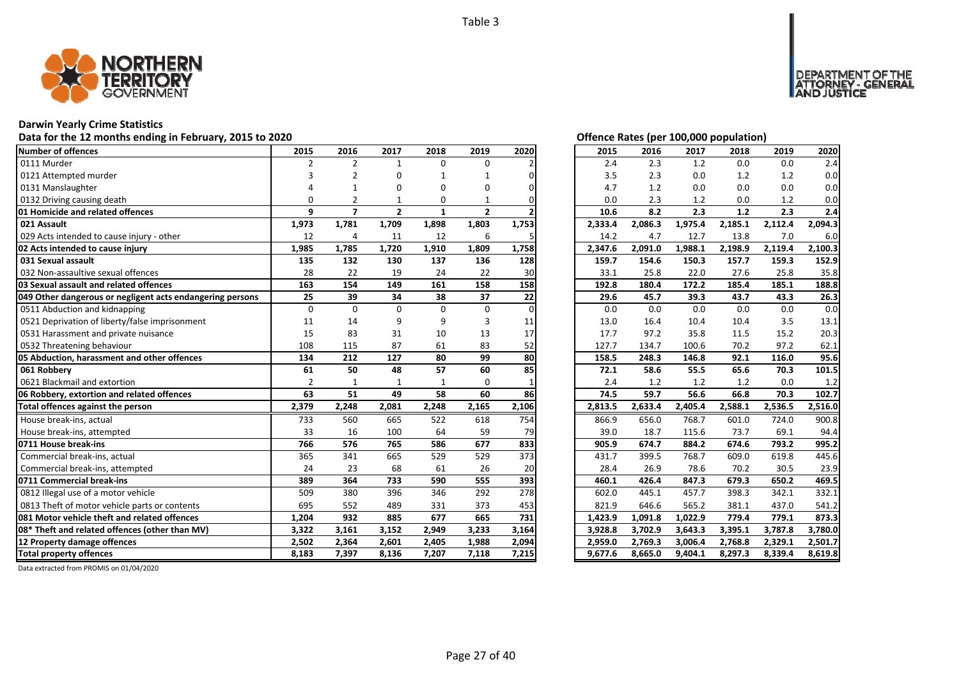

### **Darwin Yearly Crime Statistics**

# Data for the 12 months ending in February, 2015 to 2020<br>
Data for the 12 months ending in February, 2015 to 2020

| <b>Number of offences</b>                                 | 2015           | 2016           | 2017           | 2018         | 2019           | 2020  | 2015    | 2016    | 2017    | 2018    | 2019    | 2020    |
|-----------------------------------------------------------|----------------|----------------|----------------|--------------|----------------|-------|---------|---------|---------|---------|---------|---------|
| 0111 Murder                                               | $\overline{2}$ | $\overline{2}$ | $\mathbf{1}$   | $\Omega$     | 0              |       | 2.4     | 2.3     | 1.2     | 0.0     | 0.0     | 2.4     |
| 0121 Attempted murder                                     | 3              | $\mathfrak{p}$ | $\Omega$       |              |                |       | 3.5     | 2.3     | 0.0     | 1.2     | 1.2     | 0.0     |
| 0131 Manslaughter                                         |                |                | $\Omega$       | $\Omega$     | $\Omega$       |       | 4.7     | 1.2     | 0.0     | 0.0     | 0.0     | 0.0     |
| 0132 Driving causing death                                | $\Omega$       |                | 1              | 0            |                |       | 0.0     | 2.3     | 1.2     | 0.0     | 1.2     | 0.0     |
| 01 Homicide and related offences                          | 9              | $\overline{7}$ | $\overline{2}$ | $\mathbf{1}$ | $\overline{2}$ |       | 10.6    | 8.2     | 2.3     | 1.2     | 2.3     | 2.4     |
| 021 Assault                                               | 1,973          | 1,781          | 1,709          | 1,898        | 1,803          | 1,753 | 2,333.4 | 2,086.3 | 1,975.4 | 2,185.1 | 2,112.4 | 2,094.3 |
| 029 Acts intended to cause injury - other                 | 12             | $\overline{a}$ | 11             | 12           | 6              |       | 14.2    | 4.7     | 12.7    | 13.8    | 7.0     | 6.0     |
| 02 Acts intended to cause injury                          | 1,985          | 1,785          | 1,720          | 1,910        | 1,809          | 1,758 | 2,347.6 | 2,091.0 | 1,988.1 | 2,198.9 | 2,119.4 | 2,100.3 |
| 031 Sexual assault                                        | 135            | 132            | 130            | 137          | 136            | 128   | 159.7   | 154.6   | 150.3   | 157.7   | 159.3   | 152.9   |
| 032 Non-assaultive sexual offences                        | 28             | 22             | 19             | 24           | 22             | 30    | 33.1    | 25.8    | 22.0    | 27.6    | 25.8    | 35.8    |
| 03 Sexual assault and related offences                    | 163            | 154            | 149            | 161          | 158            | 158   | 192.8   | 180.4   | 172.2   | 185.4   | 185.1   | 188.8   |
| 049 Other dangerous or negligent acts endangering persons | 25             | 39             | 34             | 38           | 37             | 22    | 29.6    | 45.7    | 39.3    | 43.7    | 43.3    | 26.3    |
| 0511 Abduction and kidnapping                             | $\Omega$       | $\Omega$       | $\Omega$       | $\Omega$     | $\Omega$       | 0     | 0.0     | 0.0     | 0.0     | 0.0     | 0.0     | 0.0     |
| 0521 Deprivation of liberty/false imprisonment            | 11             | 14             | 9              | 9            | 3              | 11    | 13.0    | 16.4    | 10.4    | 10.4    | 3.5     | 13.1    |
| 0531 Harassment and private nuisance                      | 15             | 83             | 31             | 10           | 13             | 17    | 17.7    | 97.2    | 35.8    | 11.5    | 15.2    | 20.3    |
| 0532 Threatening behaviour                                | 108            | 115            | 87             | 61           | 83             | 52    | 127.7   | 134.7   | 100.6   | 70.2    | 97.2    | 62.1    |
| 05 Abduction, harassment and other offences               | 134            | 212            | 127            | 80           | 99             | 80    | 158.5   | 248.3   | 146.8   | 92.1    | 116.0   | 95.6    |
| 061 Robbery                                               | 61             | 50             | 48             | 57           | 60             | 85    | 72.1    | 58.6    | 55.5    | 65.6    | 70.3    | 101.5   |
| 0621 Blackmail and extortion                              | $\overline{2}$ | $\mathbf{1}$   | $\mathbf{1}$   |              | 0              |       | 2.4     | 1.2     | 1.2     | 1.2     | 0.0     | 1.2     |
| 06 Robbery, extortion and related offences                | 63             | 51             | 49             | 58           | 60             | 86    | 74.5    | 59.7    | 56.6    | 66.8    | 70.3    | 102.7   |
| Total offences against the person                         | 2,379          | 2,248          | 2,081          | 2,248        | 2,165          | 2,106 | 2,813.5 | 2,633.4 | 2,405.4 | 2,588.1 | 2,536.5 | 2,516.0 |
| House break-ins, actual                                   | 733            | 560            | 665            | 522          | 618            | 754   | 866.9   | 656.0   | 768.7   | 601.0   | 724.0   | 900.8   |
| House break-ins, attempted                                | 33             | 16             | 100            | 64           | 59             | 79    | 39.0    | 18.7    | 115.6   | 73.7    | 69.1    | 94.4    |
| 0711 House break-ins                                      | 766            | 576            | 765            | 586          | 677            | 833   | 905.9   | 674.7   | 884.2   | 674.6   | 793.2   | 995.2   |
| Commercial break-ins, actual                              | 365            | 341            | 665            | 529          | 529            | 373   | 431.7   | 399.5   | 768.7   | 609.0   | 619.8   | 445.6   |
| Commercial break-ins, attempted                           | 24             | 23             | 68             | 61           | 26             | 20    | 28.4    | 26.9    | 78.6    | 70.2    | 30.5    | 23.9    |
| 0711 Commercial break-ins                                 | 389            | 364            | 733            | 590          | 555            | 393   | 460.1   | 426.4   | 847.3   | 679.3   | 650.2   | 469.5   |
| 0812 Illegal use of a motor vehicle                       | 509            | 380            | 396            | 346          | 292            | 278   | 602.0   | 445.1   | 457.7   | 398.3   | 342.1   | 332.1   |
| 0813 Theft of motor vehicle parts or contents             | 695            | 552            | 489            | 331          | 373            | 453   | 821.9   | 646.6   | 565.2   | 381.1   | 437.0   | 541.2   |
| 081 Motor vehicle theft and related offences              | 1,204          | 932            | 885            | 677          | 665            | 731   | 1,423.9 | 1,091.8 | 1,022.9 | 779.4   | 779.1   | 873.3   |
| 08* Theft and related offences (other than MV)            | 3,322          | 3,161          | 3,152          | 2,949        | 3,233          | 3,164 | 3,928.8 | 3,702.9 | 3,643.3 | 3,395.1 | 3,787.8 | 3,780.0 |
| 12 Property damage offences                               | 2,502          | 2,364          | 2,601          | 2,405        | 1,988          | 2,094 | 2,959.0 | 2,769.3 | 3.006.4 | 2,768.8 | 2,329.1 | 2,501.7 |
| <b>Total property offences</b>                            | 8,183          | 7,397          | 8,136          | 7,207        | 7,118          | 7,215 | 9,677.6 | 8,665.0 | 9,404.1 | 8,297.3 | 8,339.4 | 8,619.8 |

DEPARTMENT OF THE<br>ATTORNEY - GENERAL ÜSTICE

| 2015    | 2016    | 2017    | 2018    | 2019    | 2020    |
|---------|---------|---------|---------|---------|---------|
| 2.4     | 2.3     | 1.2     | 0.0     | 0.0     | 2.4     |
| 3.5     | 2.3     | $0.0\,$ | 1.2     | 1.2     | 0.0     |
| 4.7     | 1.2     | 0.0     | 0.0     | 0.0     | 0.0     |
| 0.0     | 2.3     | 1.2     | 0.0     | 1.2     | 0.0     |
| 10.6    | 8.2     | 2.3     | 1.2     | 2.3     | 2.4     |
| 2,333.4 | 2,086.3 | 1,975.4 | 2,185.1 | 2,112.4 | 2,094.3 |
| 14.2    | 4.7     | 12.7    | 13.8    | 7.0     | 6.0     |
| 2,347.6 | 2,091.0 | 1,988.1 | 2,198.9 | 2,119.4 | 2,100.3 |
| 159.7   | 154.6   | 150.3   | 157.7   | 159.3   | 152.9   |
| 33.1    | 25.8    | 22.0    | 27.6    | 25.8    | 35.8    |
| 192.8   | 180.4   | 172.2   | 185.4   | 185.1   | 188.8   |
| 29.6    | 45.7    | 39.3    | 43.7    | 43.3    | 26.3    |
| 0.0     | 0.0     | 0.0     | 0.0     | 0.0     | 0.0     |
| 13.0    | 16.4    | 10.4    | 10.4    | 3.5     | 13.1    |
| 17.7    | 97.2    | 35.8    | 11.5    | 15.2    | 20.3    |
| 127.7   | 134.7   | 100.6   | 70.2    | 97.2    | 62.1    |
| 158.5   | 248.3   | 146.8   | 92.1    | 116.0   | 95.6    |
| 72.1    | 58.6    | 55.5    | 65.6    | 70.3    | 101.5   |
| 2.4     | 1.2     | 1.2     | 1.2     | 0.0     | 1.2     |
| 74.5    | 59.7    | 56.6    | 66.8    | 70.3    | 102.7   |
| 2,813.5 | 2,633.4 | 2,405.4 | 2,588.1 | 2,536.5 | 2,516.0 |
| 866.9   | 656.0   | 768.7   | 601.0   | 724.0   | 900.8   |
| 39.0    | 18.7    | 115.6   | 73.7    | 69.1    | 94.4    |
| 905.9   | 674.7   | 884.2   | 674.6   | 793.2   | 995.2   |
| 431.7   | 399.5   | 768.7   | 609.0   | 619.8   | 445.6   |
| 28.4    | 26.9    | 78.6    | 70.2    | 30.5    | 23.9    |
| 460.1   | 426.4   | 847.3   | 679.3   | 650.2   | 469.5   |
| 602.0   | 445.1   | 457.7   | 398.3   | 342.1   | 332.1   |
| 821.9   | 646.6   | 565.2   | 381.1   | 437.0   | 541.2   |
| 1,423.9 | 1,091.8 | 1,022.9 | 779.4   | 779.1   | 873.3   |
| 3,928.8 | 3,702.9 | 3,643.3 | 3,395.1 | 3,787.8 | 3,780.0 |
| 2,959.0 | 2,769.3 | 3,006.4 | 2,768.8 | 2,329.1 | 2,501.7 |
| 9,677.6 | 8,665.0 | 9,404.1 | 8,297.3 | 8,339.4 | 8,619.8 |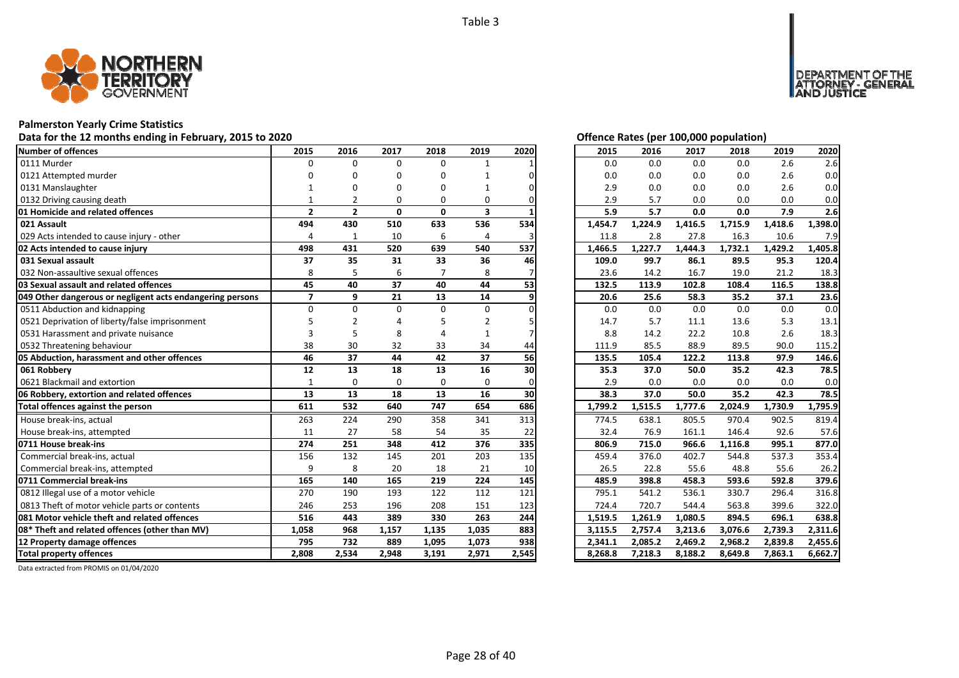

### **Palmerston Yearly Crime Statistics**

# Data for the 12 months ending in February, 2015 to 2020<br>
Data for the 12 months ending in February, 2015 to 2020

| <b>Number of offences</b>                                 | 2015           | 2016           | 2017         | 2018         | 2019           | 2020  | 2015    | 2016    | 2017    | 2018    | 2019    | 2020    |
|-----------------------------------------------------------|----------------|----------------|--------------|--------------|----------------|-------|---------|---------|---------|---------|---------|---------|
| 0111 Murder                                               | $\Omega$       | $\Omega$       | $\Omega$     | $\Omega$     | $\mathbf{1}$   |       | 0.0     | 0.0     | 0.0     | 0.0     | 2.6     | 2.6     |
| 0121 Attempted murder                                     | n              | ŋ              | O            | $\Omega$     |                |       | 0.0     | 0.0     | 0.0     | 0.0     | 2.6     | 0.0     |
| 0131 Manslaughter                                         |                | ŋ              | O            | ŋ            |                |       | 2.9     | 0.0     | 0.0     | 0.0     | 2.6     | 0.0     |
| 0132 Driving causing death                                |                |                | $\Omega$     | $\Omega$     | 0              |       | 2.9     | 5.7     | 0.0     | 0.0     | 0.0     | 0.0     |
| 01 Homicide and related offences                          | $\overline{2}$ | $\overline{2}$ | $\mathbf{0}$ | $\mathbf{0}$ | 3              |       | 5.9     | 5.7     | 0.0     | 0.0     | 7.9     | 2.6     |
| 021 Assault                                               | 494            | 430            | 510          | 633          | 536            | 534   | 1,454.7 | 1,224.9 | 1,416.5 | 1,715.9 | 1,418.6 | 1,398.0 |
| 029 Acts intended to cause injury - other                 | 4              | 1              | 10           | 6            | $\overline{4}$ |       | 11.8    | 2.8     | 27.8    | 16.3    | 10.6    | 7.9     |
| 02 Acts intended to cause injury                          | 498            | 431            | 520          | 639          | 540            | 537   | 1,466.5 | 1,227.7 | 1,444.3 | 1,732.1 | 1,429.2 | 1,405.8 |
| 031 Sexual assault                                        | 37             | 35             | 31           | 33           | 36             | 46    | 109.0   | 99.7    | 86.1    | 89.5    | 95.3    | 120.4   |
| 032 Non-assaultive sexual offences                        | 8              | 5              | 6            |              | 8              |       | 23.6    | 14.2    | 16.7    | 19.0    | 21.2    | 18.3    |
| 03 Sexual assault and related offences                    | 45             | 40             | 37           | 40           | 44             | 53    | 132.5   | 113.9   | 102.8   | 108.4   | 116.5   | 138.8   |
| 049 Other dangerous or negligent acts endangering persons | $\overline{7}$ | 9              | 21           | 13           | 14             | 9     | 20.6    | 25.6    | 58.3    | 35.2    | 37.1    | 23.6    |
| 0511 Abduction and kidnapping                             | $\Omega$       | $\Omega$       | $\Omega$     | $\Omega$     | $\Omega$       |       | 0.0     | 0.0     | 0.0     | 0.0     | 0.0     | 0.0     |
| 0521 Deprivation of liberty/false imprisonment            |                |                |              |              | $\overline{2}$ |       | 14.7    | 5.7     | 11.1    | 13.6    | 5.3     | 13.1    |
| 0531 Harassment and private nuisance                      | 3              |                | 8            |              |                |       | 8.8     | 14.2    | 22.2    | 10.8    | 2.6     | 18.3    |
| 0532 Threatening behaviour                                | 38             | 30             | 32           | 33           | 34             | 44    | 111.9   | 85.5    | 88.9    | 89.5    | 90.0    | 115.2   |
| 05 Abduction, harassment and other offences               | 46             | 37             | 44           | 42           | 37             | 56    | 135.5   | 105.4   | 122.2   | 113.8   | 97.9    | 146.6   |
| 061 Robbery                                               | 12             | 13             | 18           | 13           | 16             | 30    | 35.3    | 37.0    | 50.0    | 35.2    | 42.3    | 78.5    |
| 0621 Blackmail and extortion                              | $\mathbf{1}$   | $\mathbf 0$    | $\Omega$     | 0            | 0              |       | 2.9     | 0.0     | 0.0     | 0.0     | 0.0     | 0.0     |
| 06 Robbery, extortion and related offences                | 13             | 13             | 18           | 13           | 16             | 30    | 38.3    | 37.0    | 50.0    | 35.2    | 42.3    | 78.5    |
| Total offences against the person                         | 611            | 532            | 640          | 747          | 654            | 686   | 1,799.2 | 1,515.5 | 1,777.6 | 2,024.9 | 1,730.9 | 1,795.9 |
| House break-ins, actual                                   | 263            | 224            | 290          | 358          | 341            | 313   | 774.5   | 638.1   | 805.5   | 970.4   | 902.5   | 819.4   |
| House break-ins, attempted                                | 11             | 27             | 58           | 54           | 35             | 22    | 32.4    | 76.9    | 161.1   | 146.4   | 92.6    | 57.6    |
| 0711 House break-ins                                      | 274            | 251            | 348          | 412          | 376            | 335   | 806.9   | 715.0   | 966.6   | 1,116.8 | 995.1   | 877.0   |
| Commercial break-ins, actual                              | 156            | 132            | 145          | 201          | 203            | 135   | 459.4   | 376.0   | 402.7   | 544.8   | 537.3   | 353.4   |
| Commercial break-ins, attempted                           | 9              | 8              | 20           | 18           | 21             | 10    | 26.5    | 22.8    | 55.6    | 48.8    | 55.6    | 26.2    |
| 0711 Commercial break-ins                                 | 165            | 140            | 165          | 219          | 224            | 145   | 485.9   | 398.8   | 458.3   | 593.6   | 592.8   | 379.6   |
| 0812 Illegal use of a motor vehicle                       | 270            | 190            | 193          | 122          | 112            | 121   | 795.1   | 541.2   | 536.1   | 330.7   | 296.4   | 316.8   |
| 0813 Theft of motor vehicle parts or contents             | 246            | 253            | 196          | 208          | 151            | 123   | 724.4   | 720.7   | 544.4   | 563.8   | 399.6   | 322.0   |
| 081 Motor vehicle theft and related offences              | 516            | 443            | 389          | 330          | 263            | 244   | 1,519.5 | 1,261.9 | 1,080.5 | 894.5   | 696.1   | 638.8   |
| 08* Theft and related offences (other than MV)            | 1,058          | 968            | 1,157        | 1,135        | 1,035          | 883   | 3,115.5 | 2,757.4 | 3,213.6 | 3,076.6 | 2,739.3 | 2,311.6 |
| 12 Property damage offences                               | 795            | 732            | 889          | 1,095        | 1,073          | 938   | 2,341.1 | 2,085.2 | 2,469.2 | 2,968.2 | 2,839.8 | 2,455.6 |
| <b>Total property offences</b>                            | 2,808          | 2,534          | 2,948        | 3,191        | 2,971          | 2,545 | 8,268.8 | 7,218.3 | 8,188.2 | 8,649.8 | 7,863.1 | 6,662.7 |

NT OF THE<br>' - GENERAL

JSTICE

**DEPAR** 

| 2015    | 2016    | 2017    | 2018    | 2019    | 2020    |
|---------|---------|---------|---------|---------|---------|
| 0.0     | 0.0     | 0.0     | 0.0     | 2.6     | 2.6     |
| 0.0     | 0.0     | 0.0     | 0.0     | 2.6     | 0.0     |
| 2.9     | 0.0     | 0.0     | 0.0     | 2.6     | 0.0     |
| 2.9     | 5.7     | 0.0     | 0.0     | 0.0     | 0.0     |
| 5.9     | 5.7     | 0.0     | 0.0     | 7.9     | 2.6     |
| 1,454.7 | 1,224.9 | 1,416.5 | 1,715.9 | 1,418.6 | 1,398.0 |
| 11.8    | 2.8     | 27.8    | 16.3    | 10.6    | 7.9     |
| 1,466.5 | 1,227.7 | 1,444.3 | 1,732.1 | 1,429.2 | 1,405.8 |
| 109.0   | 99.7    | 86.1    | 89.5    | 95.3    | 120.4   |
| 23.6    | 14.2    | 16.7    | 19.0    | 21.2    | 18.3    |
| 132.5   | 113.9   | 102.8   | 108.4   | 116.5   | 138.8   |
| 20.6    | 25.6    | 58.3    | 35.2    | 37.1    | 23.6    |
| 0.0     | 0.0     | 0.0     | 0.0     | 0.0     | 0.0     |
| 14.7    | 5.7     | 11.1    | 13.6    | 5.3     | 13.1    |
| 8.8     | 14.2    | 22.2    | 10.8    | 2.6     | 18.3    |
| 111.9   | 85.5    | 88.9    | 89.5    | 90.0    | 115.2   |
| 135.5   | 105.4   | 122.2   | 113.8   | 97.9    | 146.6   |
| 35.3    | 37.0    | 50.0    | 35.2    | 42.3    | 78.5    |
| 2.9     | 0.0     | 0.0     | 0.0     | 0.0     | 0.0     |
| 38.3    | 37.0    | 50.0    | 35.2    | 42.3    | 78.5    |
| 1,799.2 | 1,515.5 | 1,777.6 | 2,024.9 | 1,730.9 | 1,795.9 |
| 774.5   | 638.1   | 805.5   | 970.4   | 902.5   | 819.4   |
| 32.4    | 76.9    | 161.1   | 146.4   | 92.6    | 57.6    |
| 806.9   | 715.0   | 966.6   | 1,116.8 | 995.1   | 877.0   |
| 459.4   | 376.0   | 402.7   | 544.8   | 537.3   | 353.4   |
| 26.5    | 22.8    | 55.6    | 48.8    | 55.6    | 26.2    |
| 485.9   | 398.8   | 458.3   | 593.6   | 592.8   | 379.6   |
| 795.1   | 541.2   | 536.1   | 330.7   | 296.4   | 316.8   |
| 724.4   | 720.7   | 544.4   | 563.8   | 399.6   | 322.0   |
| 1,519.5 | 1,261.9 | 1,080.5 | 894.5   | 696.1   | 638.8   |
| 3,115.5 | 2,757.4 | 3,213.6 | 3,076.6 | 2,739.3 | 2,311.6 |
| 2,341.1 | 2,085.2 | 2,469.2 | 2,968.2 | 2,839.8 | 2,455.6 |
| 8,268.8 | 7,218.3 | 8,188.2 | 8,649.8 | 7,863.1 | 6,662.7 |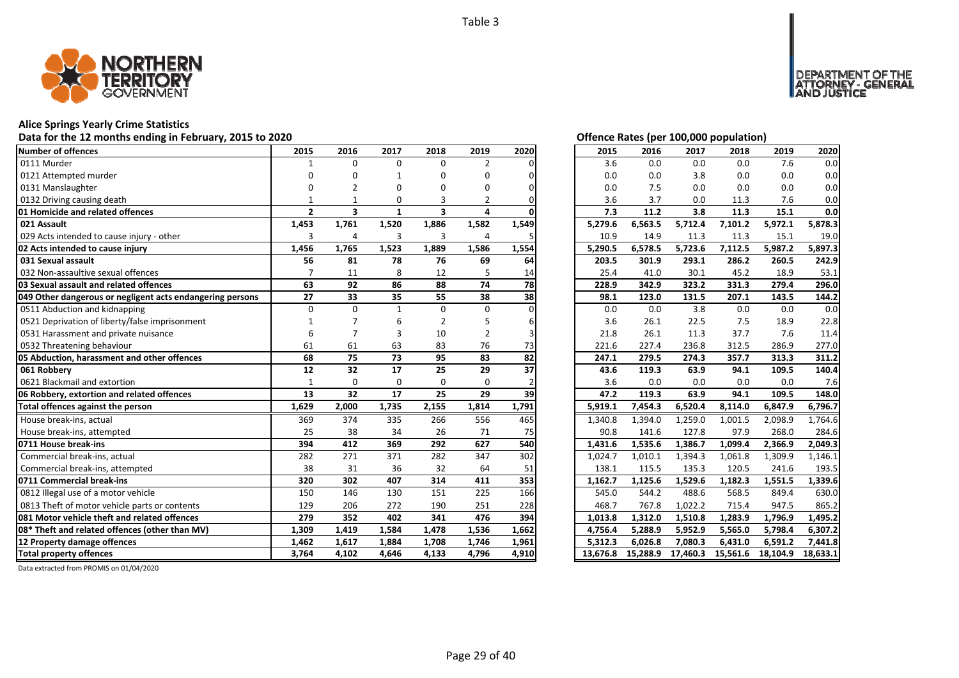

# **Alice Springs Yearly Crime Statistics**

# Data for the 12 months ending in February, 2015 to 2020<br>
Data for the 12 months ending in February, 2015 to 2020

| <b>Number of offences</b>                                 | 2015           | 2016                    | 2017           | 2018                    | 2019           | 2020  | 2015                 | 2016     | 2017     | 2018     | 2019     | 2020     |
|-----------------------------------------------------------|----------------|-------------------------|----------------|-------------------------|----------------|-------|----------------------|----------|----------|----------|----------|----------|
| 0111 Murder                                               | $\mathbf{1}$   | $\Omega$                | $\Omega$       | $\Omega$                | $\overline{2}$ |       | 3.6                  | 0.0      | 0.0      | 0.0      | 7.6      | 0.0      |
| 0121 Attempted murder                                     | n              | n                       |                | n                       | O              |       | 0.0                  | 0.0      | 3.8      | 0.0      | 0.0      | 0.0      |
| 0131 Manslaughter                                         |                |                         |                |                         | O              |       | 0.0                  | 7.5      | 0.0      | 0.0      | 0.0      | 0.0      |
| 0132 Driving causing death                                |                |                         | 0              | 3                       | 2              |       | 3.6                  | 3.7      | 0.0      | 11.3     | 7.6      | 0.0      |
| 01 Homicide and related offences                          | $\overline{2}$ | $\overline{\mathbf{3}}$ | $\mathbf{1}$   | $\overline{\mathbf{3}}$ | 4              |       | 7.3                  | 11.2     | 3.8      | 11.3     | 15.1     | 0.0      |
| 021 Assault                                               | 1,453          | 1,761                   | 1,520          | 1,886                   | 1,582          | 1,549 | 5,279.6              | 6,563.5  | 5,712.4  | 7,101.2  | 5,972.1  | 5,878.3  |
| 029 Acts intended to cause injury - other                 | 3              | 4                       | $\overline{3}$ | 3                       | 4              |       | 10.9                 | 14.9     | 11.3     | 11.3     | 15.1     | 19.0     |
| 02 Acts intended to cause injury                          | 1,456          | 1,765                   | 1,523          | 1,889                   | 1,586          | 1,554 | 5,290.5              | 6,578.5  | 5,723.6  | 7,112.5  | 5,987.2  | 5,897.3  |
| 031 Sexual assault                                        | 56             | 81                      | 78             | 76                      | 69             | 64    | 203.5                | 301.9    | 293.1    | 286.2    | 260.5    | 242.9    |
| 032 Non-assaultive sexual offences                        |                | 11                      | 8              | 12                      | 5              | 14    | 25.4                 | 41.0     | 30.1     | 45.2     | 18.9     | 53.1     |
| 03 Sexual assault and related offences                    | 63             | 92                      | 86             | 88                      | 74             | 78    | 228.9                | 342.9    | 323.2    | 331.3    | 279.4    | 296.0    |
| 049 Other dangerous or negligent acts endangering persons | 27             | 33                      | 35             | 55                      | 38             | 38    | 98.1                 | 123.0    | 131.5    | 207.1    | 143.5    | 144.2    |
| 0511 Abduction and kidnapping                             | $\Omega$       | $\Omega$                | $\mathbf{1}$   | $\Omega$                | $\Omega$       |       | 0.0                  | 0.0      | 3.8      | 0.0      | 0.0      | 0.0      |
| 0521 Deprivation of liberty/false imprisonment            |                |                         | 6              |                         | 5              |       | 3.6                  | 26.1     | 22.5     | 7.5      | 18.9     | 22.8     |
| 0531 Harassment and private nuisance                      | 6              |                         | 3              | 10                      | $\overline{2}$ |       | 21.8                 | 26.1     | 11.3     | 37.7     | 7.6      | 11.4     |
| 0532 Threatening behaviour                                | 61             | 61                      | 63             | 83                      | 76             | 73    | 221.6                | 227.4    | 236.8    | 312.5    | 286.9    | 277.0    |
| 05 Abduction, harassment and other offences               | 68             | $\overline{75}$         | 73             | 95                      | 83             | 82    | 247.1                | 279.5    | 274.3    | 357.7    | 313.3    | 311.2    |
| 061 Robbery                                               | 12             | 32                      | 17             | 25                      | 29             | 37    | 43.6                 | 119.3    | 63.9     | 94.1     | 109.5    | 140.4    |
| 0621 Blackmail and extortion                              |                | $\Omega$                | $\Omega$       | $\Omega$                | $\Omega$       |       | 3.6                  | 0.0      | 0.0      | 0.0      | 0.0      | 7.6      |
| 06 Robbery, extortion and related offences                | 13             | 32                      | 17             | 25                      | 29             | 39    | 47.2                 | 119.3    | 63.9     | 94.1     | 109.5    | 148.0    |
| Total offences against the person                         | 1,629          | 2,000                   | 1,735          | 2,155                   | 1,814          | 1,791 | 5,919.1              | 7,454.3  | 6,520.4  | 8,114.0  | 6,847.9  | 6,796.7  |
| House break-ins, actual                                   | 369            | 374                     | 335            | 266                     | 556            | 465   | $1,340.\overline{8}$ | 1,394.0  | 1,259.0  | 1,001.5  | 2,098.9  | 1.764.6  |
| House break-ins, attempted                                | 25             | 38                      | 34             | 26                      | 71             | 75    | 90.8                 | 141.6    | 127.8    | 97.9     | 268.0    | 284.6    |
| 0711 House break-ins                                      | 394            | 412                     | 369            | 292                     | 627            | 540   | 1,431.6              | 1,535.6  | 1,386.7  | 1,099.4  | 2,366.9  | 2,049.3  |
| Commercial break-ins, actual                              | 282            | 271                     | 371            | 282                     | 347            | 302   | 1,024.7              | 1,010.1  | 1,394.3  | 1,061.8  | 1,309.9  | 1,146.1  |
| Commercial break-ins, attempted                           | 38             | 31                      | 36             | 32                      | 64             | 51    | 138.1                | 115.5    | 135.3    | 120.5    | 241.6    | 193.5    |
| 0711 Commercial break-ins                                 | 320            | 302                     | 407            | 314                     | 411            | 353   | 1,162.7              | 1,125.6  | 1,529.6  | 1,182.3  | 1,551.5  | 1,339.6  |
| 0812 Illegal use of a motor vehicle                       | 150            | 146                     | 130            | 151                     | 225            | 166   | 545.0                | 544.2    | 488.6    | 568.5    | 849.4    | 630.0    |
| 0813 Theft of motor vehicle parts or contents             | 129            | 206                     | 272            | 190                     | 251            | 228   | 468.7                | 767.8    | 1,022.2  | 715.4    | 947.5    | 865.2    |
| 081 Motor vehicle theft and related offences              | 279            | 352                     | 402            | 341                     | 476            | 394   | 1,013.8              | 1,312.0  | 1,510.8  | 1,283.9  | 1,796.9  | 1,495.2  |
| 08* Theft and related offences (other than MV)            | 1,309          | 1,419                   | 1,584          | 1,478                   | 1,536          | 1,662 | 4,756.4              | 5,288.9  | 5,952.9  | 5,565.0  | 5,798.4  | 6,307.2  |
| 12 Property damage offences                               | 1,462          | 1,617                   | 1,884          | 1,708                   | 1,746          | 1,961 | 5,312.3              | 6,026.8  | 7,080.3  | 6,431.0  | 6,591.2  | 7,441.8  |
| <b>Total property offences</b>                            | 3,764          | 4,102                   | 4,646          | 4,133                   | 4,796          | 4,910 | 13.676.8             | 15,288.9 | 17,460.3 | 15,561.6 | 18,104.9 | 18,633.1 |

DEPARTMENT OF THE<br>ATTORNEY - GENERAL<br>AND JUSTICE

| 2015     | 2016     | 2017     | 2018     | 2019     | 2020     |
|----------|----------|----------|----------|----------|----------|
| 3.6      | 0.0      | 0.0      | 0.0      | 7.6      | 0.0      |
| 0.0      | 0.0      | 3.8      | 0.0      | 0.0      | 0.0      |
| 0.0      | 7.5      | 0.0      | 0.0      | 0.0      | 0.0      |
| 3.6      | 3.7      | 0.0      | 11.3     | 7.6      | 0.0      |
| 7.3      | 11.2     | 3.8      | 11.3     | 15.1     | 0.0      |
| 5,279.6  | 6,563.5  | 5,712.4  | 7,101.2  | 5,972.1  | 5,878.3  |
| 10.9     | 14.9     | 11.3     | 11.3     | 15.1     | 19.0     |
| 5,290.5  | 6,578.5  | 5,723.6  | 7,112.5  | 5,987.2  | 5,897.3  |
| 203.5    | 301.9    | 293.1    | 286.2    | 260.5    | 242.9    |
| 25.4     | 41.0     | 30.1     | 45.2     | 18.9     | 53.1     |
| 228.9    | 342.9    | 323.2    | 331.3    | 279.4    | 296.0    |
| 98.1     | 123.0    | 131.5    | 207.1    | 143.5    | 144.2    |
| 0.0      | 0.0      | 3.8      | 0.0      | 0.0      | 0.0      |
| 3.6      | 26.1     | 22.5     | 7.5      | 18.9     | 22.8     |
| 21.8     | 26.1     | 11.3     | 37.7     | 7.6      | 11.4     |
| 221.6    | 227.4    | 236.8    | 312.5    | 286.9    | 277.0    |
| 247.1    | 279.5    | 274.3    | 357.7    | 313.3    | 311.2    |
| 43.6     | 119.3    | 63.9     | 94.1     | 109.5    | 140.4    |
| 3.6      | 0.0      | 0.0      | 0.0      | 0.0      | 7.6      |
| 47.2     | 119.3    | 63.9     | 94.1     | 109.5    | 148.0    |
| 5,919.1  | 7,454.3  | 6,520.4  | 8,114.0  | 6,847.9  | 6,796.7  |
| 1,340.8  | 1,394.0  | 1,259.0  | 1,001.5  | 2,098.9  | 1,764.6  |
| 90.8     | 141.6    | 127.8    | 97.9     | 268.0    | 284.6    |
| 1,431.6  | 1,535.6  | 1,386.7  | 1,099.4  | 2,366.9  | 2,049.3  |
| 1,024.7  | 1,010.1  | 1,394.3  | 1,061.8  | 1,309.9  | 1,146.1  |
| 138.1    | 115.5    | 135.3    | 120.5    | 241.6    | 193.5    |
| 1,162.7  | 1,125.6  | 1,529.6  | 1,182.3  | 1,551.5  | 1,339.6  |
| 545.0    | 544.2    | 488.6    | 568.5    | 849.4    | 630.0    |
| 468.7    | 767.8    | 1,022.2  | 715.4    | 947.5    | 865.2    |
| 1,013.8  | 1,312.0  | 1,510.8  | 1,283.9  | 1,796.9  | 1,495.2  |
| 4,756.4  | 5,288.9  | 5,952.9  | 5,565.0  | 5,798.4  | 6,307.2  |
| 5,312.3  | 6,026.8  | 7,080.3  | 6,431.0  | 6,591.2  | 7,441.8  |
| 13,676.8 | 15,288.9 | 17,460.3 | 15,561.6 | 18,104.9 | 18,633.1 |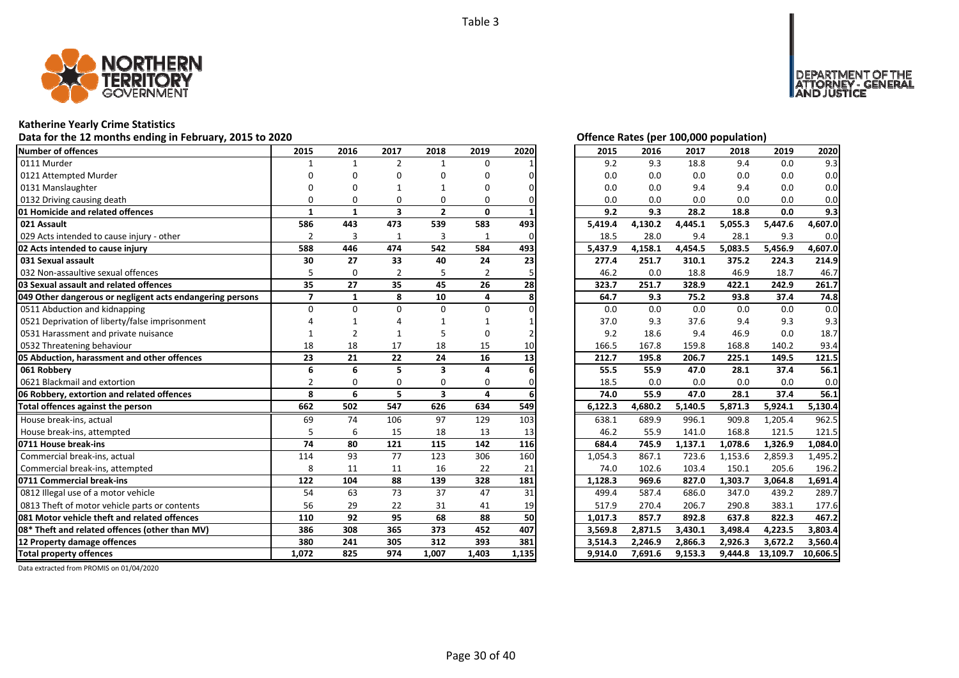

# **Katherine Yearly Crime Statistics**

# Data for the 12 months ending in February, 2015 to 2020<br>
Data for the 12 months ending in February, 2015 to 2020

| Number of offences                                        | 2015           | 2016           | 2017           | 2018                    | 2019           | 2020  | 2015    | 2016    | 2017    | 2018    | 2019     | 2020     |
|-----------------------------------------------------------|----------------|----------------|----------------|-------------------------|----------------|-------|---------|---------|---------|---------|----------|----------|
| 0111 Murder                                               | 1              | 1              | $\overline{2}$ | $\mathbf{1}$            | $\Omega$       |       | 9.2     | 9.3     | 18.8    | 9.4     | 0.0      | 9.3      |
| 0121 Attempted Murder                                     |                |                | n              | n                       | n              |       | 0.0     | 0.0     | 0.0     | 0.0     | 0.0      | 0.0      |
| 0131 Manslaughter                                         |                |                |                |                         |                |       | 0.0     | 0.0     | 9.4     | 9.4     | 0.0      | 0.0      |
| 0132 Driving causing death                                |                | O              | 0              | 0                       | o              |       | 0.0     | 0.0     | 0.0     | 0.0     | 0.0      | 0.0      |
| <b>01 Homicide and related offences</b>                   | $\mathbf{1}$   | $\mathbf{1}$   | 3              | $\overline{2}$          | 0              |       | 9.2     | 9.3     | 28.2    | 18.8    | 0.0      | 9.3      |
| 021 Assault                                               | 586            | 443            | 473            | 539                     | 583            | 493   | 5,419.4 | 4,130.2 | 4,445.1 | 5,055.3 | 5,447.6  | 4,607.0  |
| 029 Acts intended to cause injury - other                 | $\overline{2}$ | 3              | $\mathbf{1}$   | $\overline{3}$          | 1              | U     | 18.5    | 28.0    | 9.4     | 28.1    | 9.3      | 0.0      |
| 02 Acts intended to cause injury                          | 588            | 446            | 474            | 542                     | 584            | 493   | 5,437.9 | 4,158.1 | 4,454.5 | 5,083.5 | 5,456.9  | 4,607.0  |
| 031 Sexual assault                                        | 30             | 27             | 33             | 40                      | 24             | 23    | 277.4   | 251.7   | 310.1   | 375.2   | 224.3    | 214.9    |
| 032 Non-assaultive sexual offences                        |                | $\Omega$       | 2              | 5                       | $\overline{2}$ |       | 46.2    | 0.0     | 18.8    | 46.9    | 18.7     | 46.7     |
| <b>03 Sexual assault and related offences</b>             | 35             | 27             | 35             | 45                      | 26             | 28    | 323.7   | 251.7   | 328.9   | 422.1   | 242.9    | 261.7    |
| 049 Other dangerous or negligent acts endangering persons | $\overline{7}$ | $\mathbf{1}$   | 8              | 10                      | 4              |       | 64.7    | 9.3     | 75.2    | 93.8    | 37.4     | 74.8     |
| 0511 Abduction and kidnapping                             | $\Omega$       | $\Omega$       | $\Omega$       | $\Omega$                | $\Omega$       |       | 0.0     | 0.0     | 0.0     | 0.0     | 0.0      | 0.0      |
| 0521 Deprivation of liberty/false imprisonment            |                |                |                |                         |                |       | 37.0    | 9.3     | 37.6    | 9.4     | 9.3      | 9.3      |
| 0531 Harassment and private nuisance                      |                | $\overline{2}$ |                |                         | O              |       | 9.2     | 18.6    | 9.4     | 46.9    | 0.0      | 18.7     |
| 0532 Threatening behaviour                                | 18             | 18             | 17             | 18                      | 15             | 10    | 166.5   | 167.8   | 159.8   | 168.8   | 140.2    | 93.4     |
| 05 Abduction, harassment and other offences               | 23             | 21             | 22             | 24                      | 16             | 13    | 212.7   | 195.8   | 206.7   | 225.1   | 149.5    | 121.5    |
| 061 Robbery                                               | 6              | 6              | 5              | 3                       | Δ              |       | 55.5    | 55.9    | 47.0    | 28.1    | 37.4     | 56.1     |
| 0621 Blackmail and extortion                              | $\mathfrak{p}$ | O              | $\Omega$       | $\Omega$                | 0              |       | 18.5    | 0.0     | 0.0     | 0.0     | 0.0      | 0.0      |
| 06 Robbery, extortion and related offences                | 8              | 6              | 5              | $\overline{\mathbf{3}}$ | 4              |       | 74.0    | 55.9    | 47.0    | 28.1    | 37.4     | 56.1     |
| Total offences against the person                         | 662            | 502            | 547            | 626                     | 634            | 549   | 6,122.3 | 4,680.2 | 5,140.5 | 5,871.3 | 5,924.1  | 5,130.4  |
| House break-ins, actual                                   | 69             | 74             | 106            | 97                      | 129            | 103   | 638.1   | 689.9   | 996.1   | 909.8   | 1,205.4  | 962.5    |
| House break-ins, attempted                                | 5              | 6              | 15             | 18                      | 13             | 13    | 46.2    | 55.9    | 141.0   | 168.8   | 121.5    | 121.5    |
| 0711 House break-ins                                      | 74             | 80             | 121            | 115                     | 142            | 116   | 684.4   | 745.9   | 1,137.1 | 1,078.6 | 1,326.9  | 1,084.0  |
| Commercial break-ins, actual                              | 114            | 93             | 77             | 123                     | 306            | 160   | 1,054.3 | 867.1   | 723.6   | 1,153.6 | 2,859.3  | 1,495.2  |
| Commercial break-ins, attempted                           | 8              | 11             | 11             | 16                      | 22             | 21    | 74.0    | 102.6   | 103.4   | 150.1   | 205.6    | 196.2    |
| 0711 Commercial break-ins                                 | 122            | 104            | 88             | 139                     | 328            | 181   | 1,128.3 | 969.6   | 827.0   | 1,303.7 | 3,064.8  | 1,691.4  |
| 0812 Illegal use of a motor vehicle                       | 54             | 63             | 73             | 37                      | 47             | 31    | 499.4   | 587.4   | 686.0   | 347.0   | 439.2    | 289.7    |
| 0813 Theft of motor vehicle parts or contents             | 56             | 29             | 22             | 31                      | 41             | 19    | 517.9   | 270.4   | 206.7   | 290.8   | 383.1    | 177.6    |
| 081 Motor vehicle theft and related offences              | 110            | 92             | 95             | 68                      | 88             | 50    | 1,017.3 | 857.7   | 892.8   | 637.8   | 822.3    | 467.2    |
| 08* Theft and related offences (other than MV)            | 386            | 308            | 365            | 373                     | 452            | 407   | 3,569.8 | 2,871.5 | 3,430.1 | 3,498.4 | 4,223.5  | 3,803.4  |
| 12 Property damage offences                               | 380            | 241            | 305            | 312                     | 393            | 381   | 3,514.3 | 2,246.9 | 2,866.3 | 2,926.3 | 3,672.2  | 3,560.4  |
| <b>Total property offences</b>                            | 1,072          | 825            | 974            | 1,007                   | 1,403          | 1,135 | 9,914.0 | 7,691.6 | 9,153.3 | 9,444.8 | 13,109.7 | 10,606.5 |

DEPARTMENT OF THE<br>ATTORNEY - GENERAL ÜŠTICE

| 2015               | 2016               | 2017               | 2018               | 2019    | 2020                |
|--------------------|--------------------|--------------------|--------------------|---------|---------------------|
| 9.2                | 9.3                | 18.8               | 9.4                | 0.0     | 9.3                 |
| 0.0                | 0.0                | 0.0                | 0.0                | 0.0     | 0.0                 |
| 0.0                | 0.0                | 9.4                | 9.4                | 0.0     | 0.0                 |
| 0.0                | 0.0                | 0.0                | 0.0                | 0.0     | 0.0                 |
| 9.2                | 9.3                | 28.2               | 18.8               | 0.0     | 9.3                 |
| 5,419.4            | 4,130.2            | 4,445.1            | 5,055.3            | 5,447.6 | 4,607.0             |
| 18.5               | 28.0               | 9.4                | 28.1               | 9.3     | 0.0                 |
| 5,437.9            | 4,158.1            | 4,454.5            | 5,083.5            | 5,456.9 | 4,607.0             |
| 277.4              | 251.7              | 310.1              | 375.2              | 224.3   | 214.9               |
| 46.2               | 0.0                | 18.8               | 46.9               | 18.7    | 46.7                |
| 323.7              | 251.7              | 328.9              | 422.1              | 242.9   | 261.7               |
| 64.7               | 9.3                | 75.2               | 93.8               | 37.4    | 74.8                |
| 0.0                | 0.0                | 0.0                | 0.0                | 0.0     | 0.0                 |
| 37.0               | 9.3                | 37.6               | 9.4                | 9.3     | 9.3                 |
| 9.2                | 18.6               | 9.4                | 46.9               | 0.0     | 18.7                |
| 166.5              | 167.8              | 159.8              | 168.8              | 140.2   | 93.4                |
|                    |                    |                    |                    |         |                     |
| 212.7              | 195.8              | 206.7              | 225.1              | 149.5   | 121.5               |
| 55.5               | 55.9               | 47.0               | 28.1               | 37.4    | 56.1                |
| 18.5               | 0.0                | 0.0                | 0.0                | 0.0     | 0.0                 |
| 74.0               | 55.9               | 47.0               | 28.1               | 37.4    | 56.1                |
| 6,122.3            | 4,680.2            | 5,140.5            | 5,871.3            | 5,924.1 | 5,130.4             |
| 638.1              | 689.9              | 996.1              | 909.8              | 1,205.4 | 962.5               |
| 46.2               | 55.9               | 141.0              | 168.8              | 121.5   | 121.5               |
| 684.4              | 745.9              | 1,137.1            | 1,078.6            | 1,326.9 | 1,084.0             |
| 1,054.3            | 867.1              | 723.6              | 1,153.6            | 2,859.3 | 1,495.2             |
| 74.0               | 102.6              | 103.4              | 150.1              | 205.6   | 196.2               |
| 1,128.3            | 969.6              | 827.0              | 1,303.7            | 3,064.8 | 1,691.4             |
| 499.4              | 587.4              | 686.0              | 347.0              | 439.2   | 289.7               |
| 517.9              | 270.4              | 206.7              | 290.8              | 383.1   | 177.6               |
| 1,017.3            | 857.7              | 892.8              | 637.8              | 822.3   | 467.2               |
| 3,569.8            | 2,871.5            | 3,430.1            | 3,498.4            | 4,223.5 | 3,803.4             |
| 3,514.3<br>9,914.0 | 2,246.9<br>7,691.6 | 2,866.3<br>9,153.3 | 2,926.3<br>9,444.8 | 3,672.2 | 3,560.4<br>10,606.5 |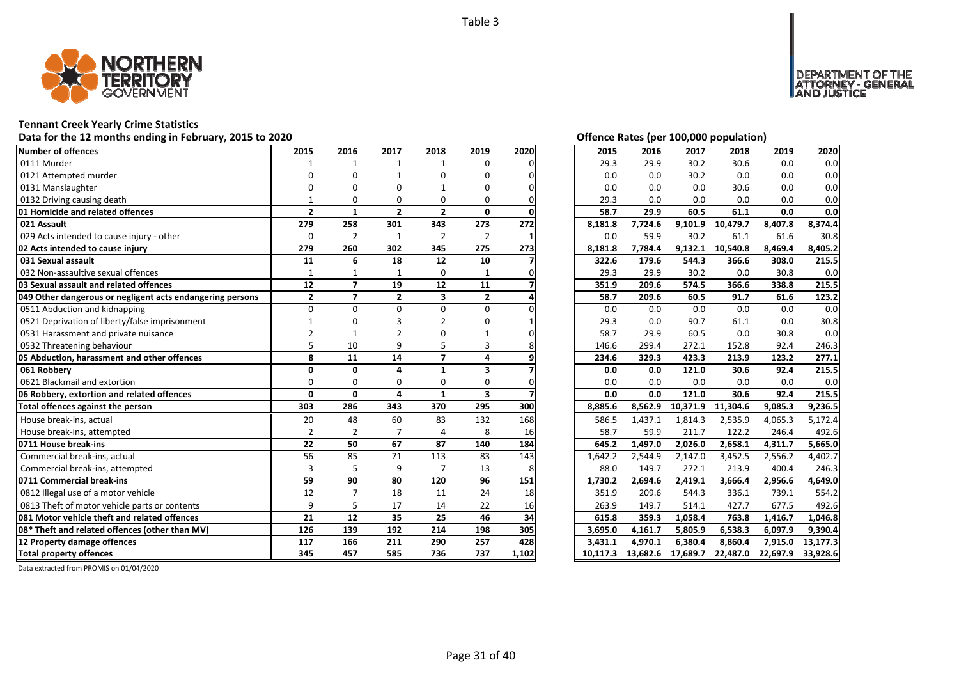

### **Tennant Creek Yearly Crime Statistics**

# Data for the 12 months ending in February, 2015 to 2020<br>
Data for the 12 months ending in February, 2015 to 2020

| <b>Number of offences</b>                                 | 2015           | 2016                     | 2017           | 2018                    | 2019           | 2020  | 2015     | 2016     | 2017     | 2018     | 2019     | 2020     |
|-----------------------------------------------------------|----------------|--------------------------|----------------|-------------------------|----------------|-------|----------|----------|----------|----------|----------|----------|
| 0111 Murder                                               |                | $\mathbf{1}$             | $\mathbf{1}$   | $\mathbf{1}$            | $\Omega$       |       | 29.3     | 29.9     | 30.2     | 30.6     | 0.0      | 0.0      |
| 0121 Attempted murder                                     | n              | ŋ                        |                | ŋ                       | O              |       | 0.0      | 0.0      | 30.2     | 0.0      | 0.0      | 0.0      |
| 0131 Manslaughter                                         |                | ŋ                        | n              |                         | O              |       | 0.0      | 0.0      | 0.0      | 30.6     | 0.0      | 0.0      |
| 0132 Driving causing death                                |                | $\Omega$                 | $\Omega$       | $\Omega$                | 0              |       | 29.3     | 0.0      | 0.0      | 0.0      | 0.0      | 0.0      |
| 01 Homicide and related offences                          | $\overline{2}$ | $\mathbf{1}$             | $\overline{2}$ | $\overline{2}$          | $\mathbf{0}$   |       | 58.7     | 29.9     | 60.5     | 61.1     | 0.0      | 0.0      |
| 021 Assault                                               | 279            | 258                      | 301            | 343                     | 273            | 272   | 8,181.8  | 7,724.6  | 9,101.9  | 10,479.7 | 8,407.8  | 8,374.4  |
| 029 Acts intended to cause injury - other                 | $\Omega$       | $\overline{2}$           | $\mathbf{1}$   | $\overline{2}$          | $\overline{2}$ |       | 0.0      | 59.9     | 30.2     | 61.1     | 61.6     | 30.8     |
| 02 Acts intended to cause injury                          | 279            | 260                      | 302            | 345                     | 275            | 273   | 8,181.8  | 7,784.4  | 9,132.1  | 10,540.8 | 8,469.4  | 8,405.2  |
| 031 Sexual assault                                        | 11             | 6                        | 18             | 12                      | 10             |       | 322.6    | 179.6    | 544.3    | 366.6    | 308.0    | 215.5    |
| 032 Non-assaultive sexual offences                        | 1              | 1                        | 1              | 0                       |                |       | 29.3     | 29.9     | 30.2     | 0.0      | 30.8     | 0.0      |
| 03 Sexual assault and related offences                    | 12             | $\overline{ }$           | 19             | 12                      | 11             |       | 351.9    | 209.6    | 574.5    | 366.6    | 338.8    | 215.5    |
| 049 Other dangerous or negligent acts endangering persons | $\mathbf{2}$   | $\overline{ }$           | $\overline{2}$ | $\overline{\mathbf{3}}$ | $\overline{2}$ |       | 58.7     | 209.6    | 60.5     | 91.7     | 61.6     | 123.2    |
| 0511 Abduction and kidnapping                             | $\Omega$       | O                        | $\Omega$       | $\Omega$                | 0              |       | 0.0      | 0.0      | 0.0      | 0.0      | 0.0      | 0.0      |
| 0521 Deprivation of liberty/false imprisonment            |                |                          |                |                         | n              |       | 29.3     | 0.0      | 90.7     | 61.1     | 0.0      | 30.8     |
| 0531 Harassment and private nuisance                      |                |                          |                |                         |                |       | 58.7     | 29.9     | 60.5     | 0.0      | 30.8     | 0.0      |
| 0532 Threatening behaviour                                |                | 10                       | q              | 5                       | 3              |       | 146.6    | 299.4    | 272.1    | 152.8    | 92.4     | 246.3    |
| 05 Abduction, harassment and other offences               | 8              | 11                       | 14             | $\overline{\mathbf{z}}$ | 4              |       | 234.6    | 329.3    | 423.3    | 213.9    | 123.2    | 277.1    |
| 061 Robberv                                               | O              | $\Omega$                 | $\Delta$       | $\mathbf{1}$            | 3              |       | 0.0      | 0.0      | 121.0    | 30.6     | 92.4     | 215.5    |
| 0621 Blackmail and extortion                              | $\Omega$       | $\Omega$                 | $\Omega$       | 0                       | $\Omega$       |       | 0.0      | 0.0      | 0.0      | 0.0      | 0.0      | 0.0      |
| 06 Robbery, extortion and related offences                | $\mathbf{0}$   | $\Omega$                 | 4              | $\mathbf{1}$            | 3              |       | 0.0      | 0.0      | 121.0    | 30.6     | 92.4     | 215.5    |
| Total offences against the person                         | 303            | 286                      | 343            | 370                     | 295            | 300   | 8,885.6  | 8,562.9  | 10,371.9 | 11,304.6 | 9,085.3  | 9,236.5  |
| House break-ins, actual                                   | 20             | 48                       | 60             | 83                      | 132            | 168   | 586.5    | 1,437.1  | 1,814.3  | 2,535.9  | 4,065.3  | 5,172.4  |
| House break-ins, attempted                                | $\overline{2}$ | $\overline{\phantom{a}}$ | $\overline{7}$ | $\Delta$                | 8              | 16    | 58.7     | 59.9     | 211.7    | 122.2    | 246.4    | 492.6    |
| 0711 House break-ins                                      | 22             | 50                       | 67             | 87                      | 140            | 184   | 645.2    | 1,497.0  | 2,026.0  | 2,658.1  | 4,311.7  | 5,665.0  |
| Commercial break-ins, actual                              | 56             | 85                       | 71             | 113                     | 83             | 143   | 1,642.2  | 2,544.9  | 2,147.0  | 3,452.5  | 2,556.2  | 4.402.7  |
| Commercial break-ins, attempted                           | 3              | 5                        | 9              |                         | 13             | 8     | 88.0     | 149.7    | 272.1    | 213.9    | 400.4    | 246.3    |
| 0711 Commercial break-ins                                 | 59             | 90                       | 80             | 120                     | 96             | 151   | 1,730.2  | 2.694.6  | 2,419.1  | 3.666.4  | 2,956.6  | 4.649.0  |
| 0812 Illegal use of a motor vehicle                       | 12             | $\overline{7}$           | 18             | 11                      | 24             | 18    | 351.9    | 209.6    | 544.3    | 336.1    | 739.1    | 554.2    |
| 0813 Theft of motor vehicle parts or contents             | 9              | 5                        | 17             | 14                      | 22             | 16    | 263.9    | 149.7    | 514.1    | 427.7    | 677.5    | 492.6    |
| 081 Motor vehicle theft and related offences              | 21             | 12                       | 35             | 25                      | 46             | 34    | 615.8    | 359.3    | 1,058.4  | 763.8    | 1,416.7  | 1,046.8  |
| 08* Theft and related offences (other than MV)            | 126            | 139                      | 192            | 214                     | 198            | 305   | 3,695.0  | 4,161.7  | 5,805.9  | 6,538.3  | 6,097.9  | 9,390.4  |
| 12 Property damage offences                               | 117            | 166                      | 211            | 290                     | 257            | 428   | 3,431.1  | 4,970.1  | 6,380.4  | 8,860.4  | 7,915.0  | 13,177.3 |
| <b>Total property offences</b>                            | 345            | 457                      | 585            | 736                     | 737            | 1,102 | 10.117.3 | 13,682.6 | 17,689.7 | 22,487.0 | 22,697.9 | 33,928.6 |

DEPARTMENT OF THE<br>ATTORNEY - GENERAL<br>AND JUSTICE

| 2015     | 2016     | 2017     | 2018     | 2019     | 2020     |
|----------|----------|----------|----------|----------|----------|
| 29.3     | 29.9     | 30.2     | 30.6     | 0.0      | 0.0      |
| 0.0      | 0.0      | 30.2     | 0.0      | 0.0      | 0.0      |
| 0.0      | 0.0      | 0.0      | 30.6     | 0.0      | 0.0      |
| 29.3     | 0.0      | 0.0      | 0.0      | 0.0      | 0.0      |
| 58.7     | 29.9     | 60.5     | 61.1     | 0.0      | 0.0      |
| 8,181.8  | 7,724.6  | 9,101.9  | 10,479.7 | 8,407.8  | 8,374.4  |
| 0.0      | 59.9     | 30.2     | 61.1     | 61.6     | 30.8     |
| 8,181.8  | 7,784.4  | 9,132.1  | 10,540.8 | 8,469.4  | 8,405.2  |
| 322.6    | 179.6    | 544.3    | 366.6    | 308.0    | 215.5    |
| 29.3     | 29.9     | 30.2     | 0.0      | 30.8     | 0.0      |
| 351.9    | 209.6    | 574.5    | 366.6    | 338.8    | 215.5    |
| 58.7     | 209.6    | 60.5     | 91.7     | 61.6     | 123.2    |
| 0.0      | 0.0      | 0.0      | 0.0      | 0.0      | 0.0      |
| 29.3     | 0.0      | 90.7     | 61.1     | 0.0      | 30.8     |
| 58.7     | 29.9     | 60.5     | 0.0      | 30.8     | 0.0      |
| 146.6    | 299.4    | 272.1    | 152.8    | 92.4     | 246.3    |
| 234.6    | 329.3    | 423.3    | 213.9    | 123.2    | 277.1    |
| 0.0      | 0.0      | 121.0    | 30.6     | 92.4     | 215.5    |
| 0.0      | 0.0      | 0.0      | 0.0      | 0.0      | 0.0      |
| 0.0      | 0.0      | 121.0    | 30.6     | 92.4     | 215.5    |
| 8,885.6  | 8,562.9  | 10,371.9 | 11,304.6 | 9,085.3  | 9,236.5  |
| 586.5    | 1,437.1  | 1,814.3  | 2,535.9  | 4,065.3  | 5,172.4  |
| 58.7     | 59.9     | 211.7    | 122.2    | 246.4    | 492.6    |
| 645.2    | 1,497.0  | 2,026.0  | 2,658.1  | 4,311.7  | 5,665.0  |
| 1,642.2  | 2,544.9  | 2,147.0  | 3,452.5  | 2,556.2  | 4,402.7  |
| 88.0     | 149.7    | 272.1    | 213.9    | 400.4    | 246.3    |
| 1,730.2  | 2,694.6  | 2,419.1  | 3,666.4  | 2,956.6  | 4,649.0  |
| 351.9    | 209.6    | 544.3    | 336.1    | 739.1    | 554.2    |
| 263.9    | 149.7    | 514.1    | 427.7    | 677.5    | 492.6    |
| 615.8    | 359.3    | 1,058.4  | 763.8    | 1,416.7  | 1,046.8  |
| 3,695.0  | 4,161.7  | 5,805.9  | 6,538.3  | 6,097.9  | 9,390.4  |
| 3,431.1  | 4,970.1  | 6,380.4  | 8,860.4  | 7,915.0  | 13,177.3 |
| 10,117.3 | 13,682.6 | 17,689.7 | 22,487.0 | 22,697.9 | 33,928.6 |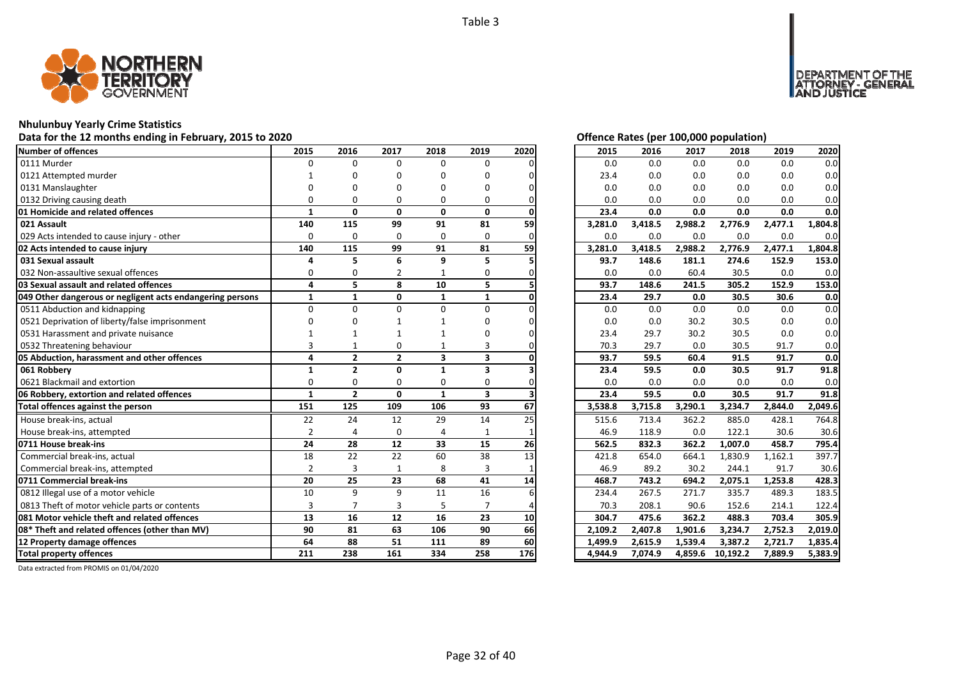

# **Nhulunbuy Yearly Crime Statistics**

# Data for the 12 months ending in February, 2015 to 2020<br>
Data for the 12 months ending in February, 2015 to 2020

| <b>Number of offences</b>                                 | 2015           | 2016           | 2017           | 2018                    | 2019                    | 2020 | 2015    | 2016    | 2017    | 2018     | 2019    | 2020    |
|-----------------------------------------------------------|----------------|----------------|----------------|-------------------------|-------------------------|------|---------|---------|---------|----------|---------|---------|
| 0111 Murder                                               | $\Omega$       | $\Omega$       | $\Omega$       | 0                       | 0                       |      | 0.0     | 0.0     | 0.0     | 0.0      | 0.0     | 0.0     |
| 0121 Attempted murder                                     |                | n              | O              | O                       | O                       |      | 23.4    | 0.0     | 0.0     | 0.0      | 0.0     | 0.0     |
| 0131 Manslaughter                                         |                | n              | n              | n                       | O                       |      | 0.0     | 0.0     | 0.0     | 0.0      | 0.0     | 0.0     |
| 0132 Driving causing death                                | U              | 0              | O              | 0                       | 0                       |      | 0.0     | 0.0     | 0.0     | 0.0      | 0.0     | 0.0     |
| 01 Homicide and related offences                          | 1              | $\mathbf{0}$   | $\mathbf{0}$   | $\mathbf{0}$            | $\mathbf{0}$            |      | 23.4    | 0.0     | 0.0     | 0.0      | 0.0     | 0.0     |
| 021 Assault                                               | 140            | 115            | 99             | 91                      | 81                      | 59   | 3,281.0 | 3,418.5 | 2,988.2 | 2,776.9  | 2,477.1 | 1,804.8 |
| 029 Acts intended to cause injury - other                 | $\Omega$       | $\mathbf 0$    | 0              | 0                       | 0                       |      | 0.0     | 0.0     | 0.0     | 0.0      | 0.0     | 0.0     |
| 02 Acts intended to cause injury                          | 140            | 115            | 99             | 91                      | 81                      | 59   | 3,281.0 | 3,418.5 | 2,988.2 | 2,776.9  | 2,477.1 | 1,804.8 |
| 031 Sexual assault                                        | 4              | 5              | 6              | 9                       | 5                       |      | 93.7    | 148.6   | 181.1   | 274.6    | 152.9   | 153.0   |
| 032 Non-assaultive sexual offences                        | $\Omega$       | 0              | 2              |                         | 0                       |      | 0.0     | 0.0     | 60.4    | 30.5     | 0.0     | 0.0     |
| 03 Sexual assault and related offences                    | 4              | 5              | 8              | 10                      | 5                       |      | 93.7    | 148.6   | 241.5   | 305.2    | 152.9   | 153.0   |
| 049 Other dangerous or negligent acts endangering persons | $\mathbf{1}$   | $\mathbf{1}$   | $\mathbf{0}$   | $\mathbf{1}$            | $\mathbf{1}$            |      | 23.4    | 29.7    | 0.0     | 30.5     | 30.6    | 0.0     |
| 0511 Abduction and kidnapping                             | $\Omega$       | $\Omega$       | $\Omega$       | 0                       | $\Omega$                |      | 0.0     | 0.0     | 0.0     | 0.0      | 0.0     | 0.0     |
| 0521 Deprivation of liberty/false imprisonment            |                |                |                |                         | n                       |      | 0.0     | 0.0     | 30.2    | 30.5     | 0.0     | 0.0     |
| 0531 Harassment and private nuisance                      |                |                |                |                         |                         |      | 23.4    | 29.7    | 30.2    | 30.5     | 0.0     | 0.0     |
| 0532 Threatening behaviour                                |                |                | 0              |                         |                         |      | 70.3    | 29.7    | 0.0     | 30.5     | 91.7    | 0.0     |
| 05 Abduction, harassment and other offences               | 4              | $\overline{2}$ | $\overline{2}$ | $\overline{\mathbf{3}}$ | 3                       |      | 93.7    | 59.5    | 60.4    | 91.5     | 91.7    | 0.0     |
| 061 Robbery                                               | 1              | $\overline{2}$ | $\mathbf{0}$   | $\mathbf{1}$            | 3                       |      | 23.4    | 59.5    | 0.0     | 30.5     | 91.7    | 91.8    |
| 0621 Blackmail and extortion                              | $\Omega$       | $\Omega$       | $\Omega$       | $\Omega$                | 0                       |      | 0.0     | 0.0     | 0.0     | 0.0      | 0.0     | 0.0     |
| 06 Robbery, extortion and related offences                | $\mathbf{1}$   | $\overline{2}$ | $\Omega$       | $\mathbf{1}$            | $\overline{\mathbf{3}}$ |      | 23.4    | 59.5    | 0.0     | 30.5     | 91.7    | 91.8    |
| Total offences against the person                         | 151            | 125            | 109            | 106                     | 93                      | 67   | 3,538.8 | 3,715.8 | 3,290.1 | 3,234.7  | 2,844.0 | 2,049.6 |
| House break-ins, actual                                   | 22             | 24             | 12             | 29                      | 14                      | 25   | 515.6   | 713.4   | 362.2   | 885.0    | 428.1   | 764.8   |
| House break-ins, attempted                                | $\overline{2}$ | $\overline{4}$ | $\Omega$       | $\Delta$                | $\mathbf{1}$            |      | 46.9    | 118.9   | 0.0     | 122.1    | 30.6    | 30.6    |
| 0711 House break-ins                                      | 24             | 28             | 12             | 33                      | 15                      | 26   | 562.5   | 832.3   | 362.2   | 1,007.0  | 458.7   | 795.4   |
| Commercial break-ins, actual                              | 18             | 22             | 22             | 60                      | 38                      | 13   | 421.8   | 654.0   | 664.1   | 1,830.9  | 1,162.1 | 397.7   |
| Commercial break-ins, attempted                           | $\overline{2}$ | 3              | 1              | 8                       | 3                       |      | 46.9    | 89.2    | 30.2    | 244.1    | 91.7    | 30.6    |
| 0711 Commercial break-ins                                 | 20             | 25             | 23             | 68                      | 41                      | 14   | 468.7   | 743.2   | 694.2   | 2,075.1  | 1,253.8 | 428.3   |
| 0812 Illegal use of a motor vehicle                       | 10             | 9              | $\mathsf{q}$   | 11                      | 16                      |      | 234.4   | 267.5   | 271.7   | 335.7    | 489.3   | 183.5   |
| 0813 Theft of motor vehicle parts or contents             | $\overline{3}$ | $\overline{7}$ | 3              | 5                       | $\overline{7}$          |      | 70.3    | 208.1   | 90.6    | 152.6    | 214.1   | 122.4   |
| 081 Motor vehicle theft and related offences              | 13             | 16             | 12             | 16                      | 23                      | 10   | 304.7   | 475.6   | 362.2   | 488.3    | 703.4   | 305.9   |
| 08* Theft and related offences (other than MV)            | 90             | 81             | 63             | 106                     | 90                      | 66   | 2,109.2 | 2,407.8 | 1,901.6 | 3,234.7  | 2,752.3 | 2,019.0 |
| 12 Property damage offences                               | 64             | 88             | 51             | 111                     | 89                      | 60   | 1,499.9 | 2,615.9 | 1,539.4 | 3,387.2  | 2,721.7 | 1,835.4 |
| <b>Total property offences</b>                            | 211            | 238            | 161            | 334                     | 258                     | 176  | 4,944.9 | 7,074.9 | 4,859.6 | 10,192.2 | 7,889.9 | 5,383.9 |

DEPARTMENT OF THE<br>ATTORNEY - GENERAL ÜŠTICE

| 2015    | 2016    | 2017    | 2018     | 2019                 | 2020    |
|---------|---------|---------|----------|----------------------|---------|
| 0.0     | 0.0     | 0.0     | 0.0      | 0.0                  | 0.0     |
| 23.4    | 0.0     | 0.0     | 0.0      | 0.0                  | 0.0     |
| 0.0     | 0.0     | 0.0     | 0.0      | 0.0                  | 0.0     |
| 0.0     | 0.0     | 0.0     | 0.0      | 0.0                  | 0.0     |
| 23.4    | 0.0     | 0.0     | 0.0      | 0.0                  | 0.0     |
| 3,281.0 | 3,418.5 | 2,988.2 | 2,776.9  | 2,477.1              | 1,804.8 |
| 0.0     | 0.0     | 0.0     | 0.0      | 0.0                  | 0.0     |
| 3,281.0 | 3,418.5 | 2,988.2 | 2,776.9  | 2,477.1              | 1,804.8 |
| 93.7    | 148.6   | 181.1   | 274.6    | 152.9                | 153.0   |
| 0.0     | 0.0     | 60.4    | 30.5     | 0.0                  | 0.0     |
| 93.7    | 148.6   | 241.5   | 305.2    | 152.9                | 153.0   |
| 23.4    | 29.7    | 0.0     | 30.5     | 30.6                 | 0.0     |
| 0.0     | 0.0     | 0.0     | 0.0      | 0.0                  | 0.0     |
| 0.0     | 0.0     | 30.2    | 30.5     | 0.0                  | 0.0     |
| 23.4    | 29.7    | 30.2    | 30.5     | 0.0                  | 0.0     |
| 70.3    | 29.7    | 0.0     | 30.5     | 91.7                 | 0.0     |
| 93.7    | 59.5    | 60.4    | 91.5     | 91.7                 | 0.0     |
| 23.4    | 59.5    | 0.0     | 30.5     | 91.7                 | 91.8    |
| 0.0     | 0.0     | 0.0     | 0.0      | 0.0                  | 0.0     |
| 23.4    | 59.5    | 0.0     | 30.5     | 91.7                 | 91.8    |
| 3,538.8 | 3,715.8 | 3,290.1 | 3,234.7  | 2,844.0              | 2,049.6 |
| 515.6   | 713.4   | 362.2   | 885.0    | 428.1                | 764.8   |
| 46.9    | 118.9   | 0.0     | 122.1    | 30.6                 | 30.6    |
| 562.5   | 832.3   | 362.2   | 1,007.0  | 458.7                | 795.4   |
| 421.8   | 654.0   | 664.1   | 1,830.9  | 1,162.1              | 397.7   |
| 46.9    | 89.2    | 30.2    | 244.1    | 91.7                 | 30.6    |
| 468.7   | 743.2   | 694.2   | 2,075.1  | $\overline{1,}253.8$ | 428.3   |
| 234.4   | 267.5   | 271.7   | 335.7    | 489.3                | 183.5   |
| 70.3    | 208.1   | 90.6    | 152.6    | 214.1                | 122.4   |
| 304.7   | 475.6   | 362.2   | 488.3    | 703.4                | 305.9   |
| 2,109.2 | 2,407.8 | 1,901.6 | 3,234.7  | 2,752.3              | 2,019.0 |
| 1,499.9 | 2,615.9 | 1,539.4 | 3,387.2  | 2,721.7              | 1,835.4 |
| 4,944.9 | 7,074.9 | 4,859.6 | 10,192.2 | 7,889.9              | 5,383.9 |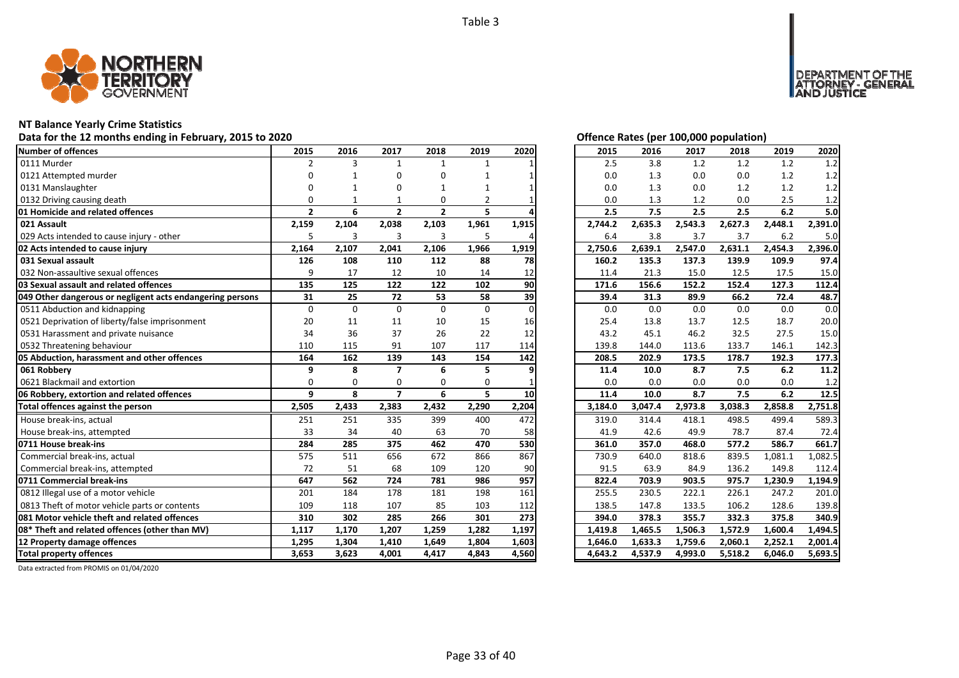

### **NT Balance Yearly Crime Statistics**

# Data for the 12 months ending in February, 2015 to 2020 *Data for the 12 months ending in February, 2015 to 2020*

| Number of offences                                        | 2015           | 2016     | 2017           | 2018           | 2019         | 2020     | 2015    | 2016    | 2017    | 2018    | 2019    | 2020    |
|-----------------------------------------------------------|----------------|----------|----------------|----------------|--------------|----------|---------|---------|---------|---------|---------|---------|
| 0111 Murder                                               | $\overline{2}$ | 3        | $\mathbf{1}$   | $\mathbf{1}$   | $\mathbf{1}$ |          | 2.5     | 3.8     | 1.2     | 1.2     | 1.2     | 1.2     |
| 0121 Attempted murder                                     | $\Omega$       |          | n              | U              |              |          | 0.0     | 1.3     | 0.0     | 0.0     | 1.2     | 1.2     |
| 0131 Manslaughter                                         |                |          |                |                |              |          | 0.0     | 1.3     | 0.0     | 1.2     | 1.2     | 1.2     |
| 0132 Driving causing death                                | 0              |          |                | $\Omega$       | 2            |          | 0.0     | 1.3     | 1.2     | 0.0     | 2.5     | 1.2     |
| 01 Homicide and related offences                          | $\mathbf{2}$   | 6        | $\overline{2}$ | $\overline{2}$ | 5            |          | 2.5     | 7.5     | 2.5     | 2.5     | 6.2     | 5.0     |
| 021 Assault                                               | 2,159          | 2,104    | 2,038          | 2,103          | 1,961        | 1,915    | 2,744.2 | 2,635.3 | 2,543.3 | 2,627.3 | 2,448.1 | 2,391.0 |
| 029 Acts intended to cause injury - other                 | 5              | 3        | 3              | 3              | 5            |          | 6.4     | 3.8     | 3.7     | 3.7     | 6.2     | 5.0     |
| 02 Acts intended to cause injury                          | 2,164          | 2,107    | 2,041          | 2,106          | 1,966        | 1,919    | 2,750.6 | 2,639.1 | 2,547.0 | 2,631.1 | 2,454.3 | 2,396.0 |
| 031 Sexual assault                                        | 126            | 108      | 110            | 112            | 88           | 78       | 160.2   | 135.3   | 137.3   | 139.9   | 109.9   | 97.4    |
| 032 Non-assaultive sexual offences                        | 9              | 17       | 12             | 10             | 14           | 12       | 11.4    | 21.3    | 15.0    | 12.5    | 17.5    | 15.0    |
| 03 Sexual assault and related offences                    | 135            | 125      | 122            | 122            | 102          | 90       | 171.6   | 156.6   | 152.2   | 152.4   | 127.3   | 112.4   |
| 049 Other dangerous or negligent acts endangering persons | 31             | 25       | 72             | 53             | 58           | 39       | 39.4    | 31.3    | 89.9    | 66.2    | 72.4    | 48.7    |
| 0511 Abduction and kidnapping                             | $\Omega$       | $\Omega$ | $\Omega$       | $\Omega$       | $\mathbf{0}$ | $\Omega$ | 0.0     | 0.0     | 0.0     | 0.0     | 0.0     | 0.0     |
| 0521 Deprivation of liberty/false imprisonment            | 20             | 11       | 11             | 10             | 15           | 16       | 25.4    | 13.8    | 13.7    | 12.5    | 18.7    | 20.0    |
| 0531 Harassment and private nuisance                      | 34             | 36       | 37             | 26             | 22           | 12       | 43.2    | 45.1    | 46.2    | 32.5    | 27.5    | 15.0    |
| 0532 Threatening behaviour                                | 110            | 115      | 91             | 107            | 117          | 114      | 139.8   | 144.0   | 113.6   | 133.7   | 146.1   | 142.3   |
| 05 Abduction, harassment and other offences               | 164            | 162      | 139            | 143            | 154          | 142      | 208.5   | 202.9   | 173.5   | 178.7   | 192.3   | 177.3   |
| 061 Robberv                                               | 9              | 8        | $\overline{ }$ | 6              | 5            |          | 11.4    | 10.0    | 8.7     | 7.5     | 6.2     | 11.2    |
| 0621 Blackmail and extortion                              | $\Omega$       | $\Omega$ | $\Omega$       | $\Omega$       | $\Omega$     |          | 0.0     | 0.0     | 0.0     | 0.0     | 0.0     | 1.2     |
| 06 Robbery, extortion and related offences                | 9              | 8        | $\overline{7}$ | 6              | 5            | 10       | 11.4    | 10.0    | 8.7     | 7.5     | 6.2     | 12.5    |
| Total offences against the person                         | 2,505          | 2,433    | 2,383          | 2,432          | 2,290        | 2,204    | 3,184.0 | 3,047.4 | 2,973.8 | 3,038.3 | 2,858.8 | 2,751.8 |
| House break-ins, actual                                   | 251            | 251      | 335            | 399            | 400          | 472      | 319.0   | 314.4   | 418.1   | 498.5   | 499.4   | 589.3   |
| House break-ins, attempted                                | 33             | 34       | 40             | 63             | 70           | 58       | 41.9    | 42.6    | 49.9    | 78.7    | 87.4    | 72.4    |
| 0711 House break-ins                                      | 284            | 285      | 375            | 462            | 470          | 530      | 361.0   | 357.0   | 468.0   | 577.2   | 586.7   | 661.7   |
| Commercial break-ins, actual                              | 575            | 511      | 656            | 672            | 866          | 867      | 730.9   | 640.0   | 818.6   | 839.5   | 1,081.1 | 1,082.5 |
| Commercial break-ins, attempted                           | 72             | 51       | 68             | 109            | 120          | 90       | 91.5    | 63.9    | 84.9    | 136.2   | 149.8   | 112.4   |
| 0711 Commercial break-ins                                 | 647            | 562      | 724            | 781            | 986          | 957      | 822.4   | 703.9   | 903.5   | 975.7   | 1,230.9 | 1,194.9 |
| 0812 Illegal use of a motor vehicle                       | 201            | 184      | 178            | 181            | 198          | 161      | 255.5   | 230.5   | 222.1   | 226.1   | 247.2   | 201.0   |
| 0813 Theft of motor vehicle parts or contents             | 109            | 118      | 107            | 85             | 103          | 112      | 138.5   | 147.8   | 133.5   | 106.2   | 128.6   | 139.8   |
| 081 Motor vehicle theft and related offences              | 310            | 302      | 285            | 266            | 301          | 273      | 394.0   | 378.3   | 355.7   | 332.3   | 375.8   | 340.9   |
| 08* Theft and related offences (other than MV)            | 1,117          | 1,170    | 1,207          | 1,259          | 1,282        | 1,197    | 1,419.8 | 1,465.5 | 1,506.3 | 1,572.9 | 1,600.4 | 1,494.5 |
| 12 Property damage offences                               | 1,295          | 1,304    | 1,410          | 1,649          | 1,804        | 1,603    | 1,646.0 | 1,633.3 | 1,759.6 | 2,060.1 | 2,252.1 | 2,001.4 |
| <b>Total property offences</b>                            | 3.653          | 3,623    | 4,001          | 4,417          | 4,843        | 4,560    | 4,643.2 | 4,537.9 | 4,993.0 | 5,518.2 | 6,046.0 | 5,693.5 |

DEPARTMENT OF THE<br>ATTORNEY - GENERAL<br>AND JUSTICE

| 2015    | 2016    | 2017    | 2018    | 2019    | 2020    |
|---------|---------|---------|---------|---------|---------|
| 2.5     | 3.8     | 1.2     | 1.2     | 1.2     | 1.2     |
| 0.0     | 1.3     | 0.0     | 0.0     | 1.2     | 1.2     |
| 0.0     | 1.3     | 0.0     | 1.2     | 1.2     | $1.2\,$ |
| 0.0     | 1.3     | 1.2     | 0.0     | 2.5     | 1.2     |
| 2.5     | 7.5     | 2.5     | 2.5     | 6.2     | 5.0     |
| 2,744.2 | 2,635.3 | 2,543.3 | 2,627.3 | 2,448.1 | 2,391.0 |
| 6.4     | 3.8     | 3.7     | 3.7     | 6.2     | 5.0     |
| 2,750.6 | 2,639.1 | 2,547.0 | 2,631.1 | 2,454.3 | 2,396.0 |
| 160.2   | 135.3   | 137.3   | 139.9   | 109.9   | 97.4    |
| 11.4    | 21.3    | 15.0    | 12.5    | 17.5    | 15.0    |
| 171.6   | 156.6   | 152.2   | 152.4   | 127.3   | 112.4   |
| 39.4    | 31.3    | 89.9    | 66.2    | 72.4    | 48.7    |
| 0.0     | 0.0     | 0.0     | 0.0     | 0.0     | 0.0     |
| 25.4    | 13.8    | 13.7    | 12.5    | 18.7    | 20.0    |
| 43.2    | 45.1    | 46.2    | 32.5    | 27.5    | 15.0    |
| 139.8   | 144.0   | 113.6   | 133.7   | 146.1   | 142.3   |
| 208.5   | 202.9   | 173.5   | 178.7   | 192.3   | 177.3   |
|         |         |         |         |         |         |
| 11.4    | 10.0    | 8.7     | 7.5     | 6.2     | 11.2    |
| 0.0     | 0.0     | 0.0     | 0.0     | 0.0     | 1.2     |
| 11.4    | 10.0    | 8.7     | 7.5     | 6.2     | 12.5    |
| 3,184.0 | 3,047.4 | 2,973.8 | 3,038.3 | 2,858.8 | 2,751.8 |
| 319.0   | 314.4   | 418.1   | 498.5   | 499.4   | 589.3   |
| 41.9    | 42.6    | 49.9    | 78.7    | 87.4    | 72.4    |
| 361.0   | 357.0   | 468.0   | 577.2   | 586.7   | 661.7   |
| 730.9   | 640.0   | 818.6   | 839.5   | 1,081.1 | 1,082.5 |
| 91.5    | 63.9    | 84.9    | 136.2   | 149.8   | 112.4   |
| 822.4   | 703.9   | 903.5   | 975.7   | 1,230.9 | 1,194.9 |
| 255.5   | 230.5   | 222.1   | 226.1   | 247.2   | 201.0   |
| 138.5   | 147.8   | 133.5   | 106.2   | 128.6   | 139.8   |
| 394.0   | 378.3   | 355.7   | 332.3   | 375.8   | 340.9   |
| 1,419.8 | 1,465.5 | 1,506.3 | 1,572.9 | 1,600.4 | 1,494.5 |
| 1,646.0 | 1,633.3 | 1,759.6 | 2,060.1 | 2,252.1 | 2,001.4 |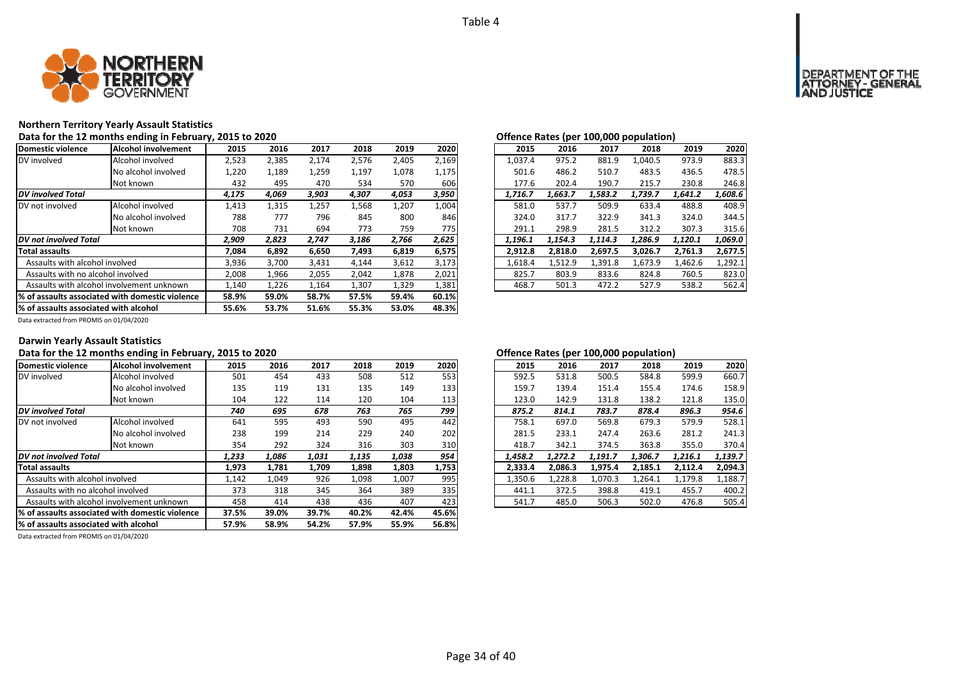

### **Northern Territory Yearly Assault Statistics**

Data for the 12 months ending in February, 2015 to 2020<br> **Data for the 12 months ending in February, 2015 to 2020** 

| Domestic violence                     | <b>Alcohol involvement</b>                       | 2015  | 2016  | 2017  | 2018  | 2019  | 2020  | 2015    | 2016    | 2017    | 2018    | 2019    | 2020    |
|---------------------------------------|--------------------------------------------------|-------|-------|-------|-------|-------|-------|---------|---------|---------|---------|---------|---------|
| DV involved                           | Alcohol involved                                 | 2,523 | 2,385 | 2,174 | 2,576 | 2,405 | 2,169 | 1.037.4 | 975.2   | 881.9   | 1,040.5 | 973.9   | 883.3   |
|                                       | No alcohol involved                              | 1,220 | 1,189 | 1,259 | 1,197 | 1,078 | 1,175 | 501.6   | 486.2   | 510.7   | 483.5   | 436.5   | 478.5   |
|                                       | Not known                                        | 432   | 495   | 470   | 534   | 570   | 606   | 177.6   | 202.4   | 190.7   | 215.7   | 230.8   | 246.8   |
| <b>DV</b> involved Total              |                                                  | 4,175 | 4,069 | 3,903 | 4,307 | 4,053 | 3,950 | 1,716.7 | 1,663.7 | 1,583.2 | 1,739.7 | 1,641.2 | 1,608.6 |
| DV not involved                       | Alcohol involved                                 | 1,413 | 1,315 | 1,257 | 1,568 | 1,207 | 1,004 | 581.0   | 537.7   | 509.9   | 633.4   | 488.8   | 408.9   |
|                                       | No alcohol involved                              | 788   | 777   | 796   | 845   | 800   | 846   | 324.0   | 317.7   | 322.9   | 341.3   | 324.0   | 344.5   |
|                                       | Not known                                        | 708   | 731   | 694   | 773   | 759   | 775   | 291.1   | 298.9   | 281.5   | 312.2   | 307.3   | 315.6   |
| DV not involved Total                 |                                                  | 2,909 | 2,823 | 2.747 | 3,186 | 2,766 | 2,625 | 1.196.1 | 1.154.3 | 1.114.3 | 1.286.9 | 1,120.1 | 1,069.0 |
| <b>Total assaults</b>                 |                                                  | 7,084 | 6,892 | 6,650 | 7,493 | 6,819 | 6,575 | 2,912.8 | 2,818.0 | 2,697.5 | 3,026.7 | 2,761.3 | 2,677.5 |
| Assaults with alcohol involved        |                                                  | 3,936 | 3,700 | 3,431 | 4,144 | 3,612 | 3,173 | 1,618.4 | 1,512.9 | 1,391.8 | 1,673.9 | 1,462.6 | 1,292.1 |
| Assaults with no alcohol involved     |                                                  | 2,008 | 1,966 | 2,055 | 2,042 | 1,878 | 2,021 | 825.7   | 803.9   | 833.6   | 824.8   | 760.5   | 823.0   |
|                                       | Assaults with alcohol involvement unknown        | 1,140 | 1,226 | 1,164 | 1,307 | 1,329 | 1,381 | 468.7   | 501.3   | 472.2   | 527.9   | 538.2   | 562.4   |
|                                       | 1% of assaults associated with domestic violence | 58.9% | 59.0% | 58.7% | 57.5% | 59.4% | 60.1% |         |         |         |         |         |         |
| % of assaults associated with alcohol |                                                  | 55.6% | 53.7% | 51.6% | 55.3% | 53.0% | 48.3% |         |         |         |         |         |         |

| ישוועוועל ווענכט נפלו<br>TAANIAA KARAINIINII |         |         |         |         |         |  |  |  |  |  |  |
|----------------------------------------------|---------|---------|---------|---------|---------|--|--|--|--|--|--|
| 2015                                         | 2016    | 2017    | 2018    | 2019    | 2020    |  |  |  |  |  |  |
| 1,037.4                                      | 975.2   | 881.9   | 1.040.5 | 973.9   | 883.3   |  |  |  |  |  |  |
| 501.6                                        | 486.2   | 510.7   | 483.5   | 436.5   | 478.5   |  |  |  |  |  |  |
| 177.6                                        | 202.4   | 190.7   | 215.7   | 230.8   | 246.8   |  |  |  |  |  |  |
| 1.716.7                                      | 1.663.7 | 1.583.2 | 1.739.7 | 1.641.2 | 1.608.6 |  |  |  |  |  |  |
| 581.0                                        | 537.7   | 509.9   | 633.4   | 488.8   | 408.9   |  |  |  |  |  |  |
| 324.0                                        | 317.7   | 322.9   | 341.3   | 324.0   | 344.5   |  |  |  |  |  |  |
| 291.1                                        | 298.9   | 281.5   | 312.2   | 307.3   | 315.6   |  |  |  |  |  |  |
| 1,196.1                                      | 1,154.3 | 1.114.3 | 1,286.9 | 1,120.1 | 1.069.0 |  |  |  |  |  |  |
| 2,912.8                                      | 2,818.0 | 2,697.5 | 3,026.7 | 2,761.3 | 2,677.5 |  |  |  |  |  |  |
| 1,618.4                                      | 1,512.9 | 1,391.8 | 1,673.9 | 1,462.6 | 1,292.1 |  |  |  |  |  |  |
| 825.7                                        | 803.9   | 833.6   | 824.8   | 760.5   | 823.0   |  |  |  |  |  |  |
| 468.7                                        | 501.3   | 472.2   | 527.9   | 538.2   | 562.4   |  |  |  |  |  |  |

Data extracted from PROMIS on 01/04/2020

### **Darwin Yearly Assault Statistics**

### Data for the 12 months ending in February, 2015 to 2020<br> **Data for the 12 months ending in February, 2015 to 2020**

| Domestic violence                               | Alcohol involvement                       | 2015  | 2016  | 2017  | 2018  | 2019  | 2020  | 2015    | 2016    | 2017    | 2018    | 2019    | 2020    |
|-------------------------------------------------|-------------------------------------------|-------|-------|-------|-------|-------|-------|---------|---------|---------|---------|---------|---------|
| DV involved                                     | Alcohol involved                          | 501   | 454   | 433   | 508   | 512   | 553   | 592.5   | 531.8   | 500.5   | 584.8   | 599.9   | 660.7   |
|                                                 | No alcohol involved                       | 135   | 119   | 131   | 135   | 149   | 133   | 159.7   | 139.4   | 151.4   | 155.4   | 174.6   | 158.9   |
|                                                 | Not known                                 | 104   | 122   | 114   | 120   | 104   | 113   | 123.0   | 142.9   | 131.8   | 138.2   | 121.8   | 135.0   |
| <b>DV</b> involved Total                        |                                           | 740   | 695   | 678   | 763   | 765   | 799   | 875.2   | 814.1   | 783.7   | 878.4   | 896.3   | 954.6   |
| IDV not involved                                | Alcohol involved                          | 641   | 595   | 493   | 590   | 495   | 442   | 758.1   | 697.0   | 569.8   | 679.3   | 579.9   | 528.1   |
|                                                 | No alcohol involved                       | 238   | 199   | 214   | 229   | 240   | 202   | 281.5   | 233.1   | 247.4   | 263.6   | 281.2   | 241.3   |
|                                                 | Not known                                 | 354   | 292   | 324   | 316   | 303   | 310   | 418.7   | 342.1   | 374.5   | 363.8   | 355.0   | 370.4   |
| <b>DV</b> not involved Total                    |                                           | 1,233 | 1,086 | 1,031 | 1,135 | 1,038 | 954   | 1,458.2 | 1.272.2 | 1,191.7 | 1,306.7 | 1,216.1 | 1,139.7 |
| <b>Total assaults</b>                           |                                           | 1,973 | 1,781 | 1,709 | 1,898 | 1,803 | 1,753 | 2,333.4 | 2,086.3 | 1,975.4 | 2,185.1 | 2,112.4 | 2,094.3 |
| Assaults with alcohol involved                  |                                           | 1,142 | 1,049 | 926   | 1,098 | 1,007 | 995   | 1,350.6 | 1,228.8 | 1,070.3 | 1,264.1 | 1,179.8 | 1,188.7 |
| Assaults with no alcohol involved               |                                           | 373   | 318   | 345   | 364   | 389   | 335   | 441.1   | 372.5   | 398.8   | 419.1   | 455.7   | 400.2   |
|                                                 | Assaults with alcohol involvement unknown | 458   | 414   | 438   | 436   | 407   | 423   | 541.7   | 485.0   | 506.3   | 502.0   | 476.8   | 505.4   |
| % of assaults associated with domestic violence |                                           | 37.5% | 39.0% | 39.7% | 40.2% | 42.4% | 45.6% |         |         |         |         |         |         |
| % of assaults associated with alcohol           |                                           | 57.9% | 58.9% | 54.2% | 57.9% | 55.9% | 56.8% |         |         |         |         |         |         |

| .5             | 2016  | 2017  | 2018  | 2019  | 2020  | 2015    | 2016    | 2017    | 2018    | 2019    | 2020    |
|----------------|-------|-------|-------|-------|-------|---------|---------|---------|---------|---------|---------|
| 1              | 454   | 433   | 508   | 512   | 553   | 592.5   | 531.8   | 500.5   | 584.8   | 599.9   | 660.7   |
| 15             | 119   | 131   | 135   | 149   | 133   | 159.7   | 139.4   | 151.4   | 155.4   | 174.6   | 158.9   |
| 14             | 122   | 114   | 120   | 104   | 113   | 123.0   | 142.9   | 131.8   | 138.2   | 121.8   | 135.0   |
| 0              | 695   | 678   | 763   | 765   | 799   | 875.2   | 814.1   | 783.7   | 878.4   | 896.3   | 954.6   |
| $\mathbf{1}$   | 595   | 493   | 590   | 495   | 442   | 758.1   | 697.0   | 569.8   | 679.3   | 579.9   | 528.1   |
| 18             | 199   | 214   | 229   | 240   | 202   | 281.5   | 233.1   | 247.4   | 263.6   | 281.2   | 241.3   |
| ۰4             | 292   | 324   | 316   | 303   | 310   | 418.7   | 342.1   | 374.5   | 363.8   | 355.0   | 370.4   |
| 3              | 1,086 | 1.031 | 1.135 | 1,038 | 954   | 1.458.2 | 1.272.2 | 1.191.7 | 1.306.7 | 1.216.1 | 1.139.7 |
| '3             | 1,781 | 1.709 | 1,898 | 1,803 | 1,753 | 2.333.4 | 2.086.3 | 1,975.4 | 2,185.1 | 2,112.4 | 2,094.3 |
| $\overline{2}$ | 1.049 | 926   | 1.098 | 1,007 | 995   | 1.350.6 | 1.228.8 | 1.070.3 | 1.264.1 | 1.179.8 | 1,188.7 |
| '3             | 318   | 345   | 364   | 389   | 335   | 441.1   | 372.5   | 398.8   | 419.1   | 455.7   | 400.2   |
| 58             | 414   | 438   | 436   | 407   | 423   | 541.7   | 485.0   | 506.3   | 502.0   | 476.8   | 505.4   |
|                |       |       |       |       |       |         |         |         |         |         |         |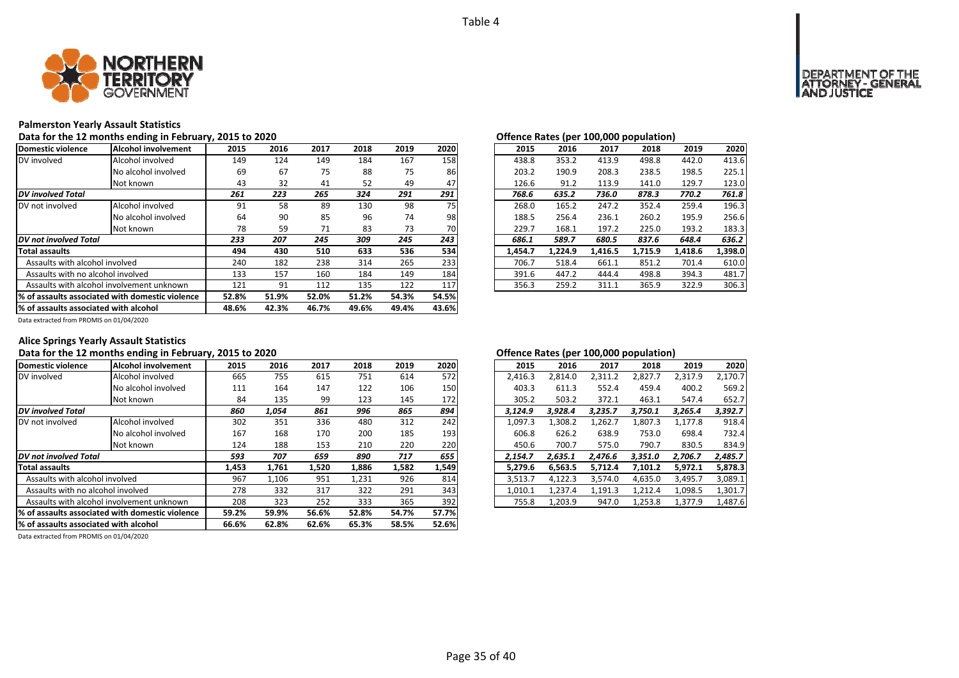

### **Palmerston Yearly Assault Statistics**

Data for the 12 months ending in February, 2015 to 2020<br> **Data for the 12 months ending in February, 2015 to 2020** 

| Domestic violence                     | Alcohol involvement                              | 2015  | 2016  | 2017  | 2018  | 2019  | 2020  | 2015    | 2016    | 2017    | 2018    | 2019    | 2020    |
|---------------------------------------|--------------------------------------------------|-------|-------|-------|-------|-------|-------|---------|---------|---------|---------|---------|---------|
| DV involved                           | Alcohol involved                                 | 149   | 124   | 149   | 184   | 167   | 158   | 438.8   | 353.2   | 413.9   | 498.8   | 442.0   | 413.6   |
|                                       | No alcohol involved                              | 69    | 67    | 75    | 88    | 75    | 86    | 203.2   | 190.9   | 208.3   | 238.5   | 198.5   | 225.1   |
|                                       | Not known                                        | 43    | 32    | 41    | 52    | 49    | 47    | 126.6   | 91.2    | 113.9   | 141.0   | 129.7   | 123.0   |
| <b>DV</b> involved Total              |                                                  | 261   | 223   | 265   | 324   | 291   | 291   | 768.6   | 635.2   | 736.0   | 878.3   | 770.2   | 761.8   |
| DV not involved                       | Alcohol involved                                 | 91    | 58    | 89    | 130   | 98    | 75    | 268.0   | 165.2   | 247.2   | 352.4   | 259.4   | 196.3   |
|                                       | No alcohol involved                              | 64    | 90    | 85    | 96    | 74    | 98    | 188.5   | 256.4   | 236.1   | 260.2   | 195.9   | 256.6   |
|                                       | Not known                                        | 78    | 59    | 71    | 83    | 73    | 70    | 229.7   | 168.1   | 197.2   | 225.0   | 193.2   | 183.3   |
| DV not involved Total                 |                                                  | 233   | 207   | 245   | 309   | 245   | 243   | 686.1   | 589.7   | 680.5   | 837.6   | 648.4   | 636.2   |
| <b>Total assaults</b>                 |                                                  | 494   | 430   | 510   | 633   | 536   | 534   | 1,454.7 | 1,224.9 | 1,416.5 | 1,715.9 | 1,418.6 | 1,398.0 |
| Assaults with alcohol involved        |                                                  | 240   | 182   | 238   | 314   | 265   | 233   | 706.7   | 518.4   | 661.1   | 851.2   | 701.4   | 610.0   |
| Assaults with no alcohol involved     |                                                  | 133   | 157   | 160   | 184   | 149   | 184   | 391.6   | 447.2   | 444.4   | 498.8   | 394.3   | 481.7   |
|                                       | Assaults with alcohol involvement unknown        | 121   | 91    | 112   | 135   | 122   | 117   | 356.3   | 259.2   | 311.1   | 365.9   | 322.9   | 306.3   |
|                                       | 1% of assaults associated with domestic violence | 52.8% | 51.9% | 52.0% | 51.2% | 54.3% | 54.5% |         |         |         |         |         |         |
| % of assaults associated with alcohol |                                                  | 48.6% | 42.3% | 46.7% | 49.6% | 49.4% | 43.6% |         |         |         |         |         |         |

| Onchec nates (per 100,000 population) |         |         |         |         |         |  |  |  |  |  |  |  |  |
|---------------------------------------|---------|---------|---------|---------|---------|--|--|--|--|--|--|--|--|
| 2015                                  | 2016    | 2017    | 2018    | 2019    | 2020    |  |  |  |  |  |  |  |  |
| 438.8                                 | 353.2   | 413.9   | 498.8   | 442.0   | 413.6   |  |  |  |  |  |  |  |  |
| 203.2                                 | 190.9   | 208.3   | 238.5   | 198.5   | 225.1   |  |  |  |  |  |  |  |  |
| 126.6                                 | 91.2    | 113.9   | 141.0   | 129.7   | 123.0   |  |  |  |  |  |  |  |  |
| 768.6                                 | 635.2   | 736.0   | 878.3   | 770.2   | 761.8   |  |  |  |  |  |  |  |  |
| 268.0                                 | 165.2   | 247.2   | 352.4   | 259.4   | 196.3   |  |  |  |  |  |  |  |  |
| 188.5                                 | 256.4   | 236.1   | 260.2   | 195.9   | 256.6   |  |  |  |  |  |  |  |  |
| 229.7                                 | 168.1   | 197.2   | 225.0   | 193.2   | 183.3   |  |  |  |  |  |  |  |  |
| 686.1                                 | 589.7   | 680.5   | 837.6   | 648.4   | 636.2   |  |  |  |  |  |  |  |  |
| 1,454.7                               | 1,224.9 | 1,416.5 | 1,715.9 | 1,418.6 | 1,398.0 |  |  |  |  |  |  |  |  |
| 706.7                                 | 518.4   | 661.1   | 851.2   | 701.4   | 610.0   |  |  |  |  |  |  |  |  |
| 391.6                                 | 447.2   | 444.4   | 498.8   | 394.3   | 481.7   |  |  |  |  |  |  |  |  |
| 356.3                                 | 259.2   | 311.1   | 365.9   | 322.9   | 306.3   |  |  |  |  |  |  |  |  |
|                                       |         |         |         |         |         |  |  |  |  |  |  |  |  |

Data extracted from PROMIS on 01/04/2020

### **Alice Springs Yearly Assault Statistics**

### Data for the 12 months ending in February, 2015 to 2020<br> **Data for the 12 months ending in February, 2015 to 2020**

| Domestic violence                                | Alcohol involvement                       | 2015  | 2016  | 2017  | 2018  | 2019  | 2020  | 2015    | 2016    | 2017    | 2018    | 2019    | 2020    |
|--------------------------------------------------|-------------------------------------------|-------|-------|-------|-------|-------|-------|---------|---------|---------|---------|---------|---------|
| DV involved                                      | Alcohol involved                          | 665   | 755   | 615   | 751   | 614   | 572   | 2,416.3 | 2,814.0 | 2,311.2 | 2,827.7 | 2,317.9 | 2,170.7 |
|                                                  | No alcohol involved                       | 111   | 164   | 147   | 122   | 106   | 150   | 403.3   | 611.3   | 552.4   | 459.4   | 400.2   | 569.2   |
|                                                  | Not known                                 | 84    | 135   | 99    | 123   | 145   | 172   | 305.2   | 503.2   | 372.1   | 463.1   | 547.4   | 652.7   |
| <b>DV</b> involved Total                         |                                           |       | 1.054 | 861   | 996   | 865   | 894   | 3.124.9 | 3.928.4 | 3.235.7 | 3.750.1 | 3,265.4 | 3,392.7 |
| DV not involved                                  | Alcohol involved                          | 302   | 351   | 336   | 480   | 312   | 242   | 1,097.3 | 1,308.2 | 1,262.7 | 1,807.3 | 1,177.8 | 918.4   |
|                                                  | No alcohol involved                       | 167   | 168   | 170   | 200   | 185   | 193   | 606.8   | 626.2   | 638.9   | 753.0   | 698.4   | 732.4   |
|                                                  | Not known                                 | 124   | 188   | 153   | 210   | 220   | 220   | 450.6   | 700.7   | 575.0   | 790.7   | 830.5   | 834.9   |
| DV not involved Total                            |                                           | 593   | 707   | 659   | 890   | 717   | 655   | 2.154.7 | 2.635.1 | 2.476.6 | 3,351.0 | 2.706.7 | 2.485.7 |
| <b>Total assaults</b>                            |                                           | 1,453 | 1,761 | 1,520 | 1,886 | 1,582 | 1,549 | 5.279.6 | 6.563.5 | 5.712.4 | 7,101.2 | 5,972.1 | 5,878.3 |
| Assaults with alcohol involved                   |                                           | 967   | 1,106 | 951   | 1,231 | 926   | 814   | 3,513.7 | 4,122.3 | 3,574.0 | 4,635.0 | 3,495.7 | 3,089.1 |
| Assaults with no alcohol involved                |                                           | 278   | 332   | 317   | 322   | 291   | 343   | 1,010.1 | 1,237.4 | 1,191.3 | 1,212.4 | 1,098.5 | 1,301.7 |
|                                                  | Assaults with alcohol involvement unknown | 208   | 323   | 252   | 333   | 365   | 392   | 755.8   | 1,203.9 | 947.0   | 1,253.8 | 1,377.9 | 1,487.6 |
| 1% of assaults associated with domestic violence |                                           | 59.2% | 59.9% | 56.6% | 52.8% | 54.7% | 57.7% |         |         |         |         |         |         |
| % of assaults associated with alcohol            |                                           | 66.6% | 62.8% | 62.6% | 65.3% | 58.5% | 52.6% |         |         |         |         |         |         |

| .5  | 2016  | 2017  | 2018  | 2019  | 2020  | 2015    | 2016    | 2017    | 2018    | 2019    | 2020    |
|-----|-------|-------|-------|-------|-------|---------|---------|---------|---------|---------|---------|
| 55  | 755   | 615   | 751   | 614   | 572   | 2.416.3 | 2,814.0 | 2,311.2 | 2,827.7 | 2,317.9 | 2,170.7 |
| .1  | 164   | 147   | 122   | 106   | 150   | 403.3   | 611.3   | 552.4   | 459.4   | 400.2   | 569.2   |
| 34  | 135   | 99    | 123   | 145   | 172   | 305.2   | 503.2   | 372.1   | 463.1   | 547.4   | 652.7   |
| 0   | 1,054 | 861   | 996   | 865   | 894   | 3.124.9 | 3.928.4 | 3.235.7 | 3.750.1 | 3.265.4 | 3.392.7 |
| 12  | 351   | 336   | 480   | 312   | 242   | 1.097.3 | 1,308.2 | 1,262.7 | 1,807.3 | 1,177.8 | 918.4   |
| 57  | 168   | 170   | 200   | 185   | 193   | 606.8   | 626.2   | 638.9   | 753.0   | 698.4   | 732.4   |
| '4  | 188   | 153   | 210   | 220   | 220   | 450.6   | 700.7   | 575.0   | 790.7   | 830.5   | 834.9   |
| 3   | 707   | 659   | 890   | 717   | 655   | 2.154.7 | 2,635.1 | 2,476.6 | 3,351.0 | 2,706.7 | 2,485.7 |
| іЗ. | 1.761 | 1.520 | 1.886 | 1.582 | 1,549 | 5.279.6 | 6.563.5 | 5.712.4 | 7.101.2 | 5.972.1 | 5,878.3 |
| 57  | 1.106 | 951   | 1,231 | 926   | 814   | 3.513.7 | 4,122.3 | 3.574.0 | 4.635.0 | 3,495.7 | 3,089.1 |
| '8  | 332   | 317   | 322   | 291   | 343   | 1.010.1 | 1.237.4 | 1.191.3 | 1.212.4 | 1.098.5 | 1,301.7 |
| 18  | 323   | 252   | 333   | 365   | 392   | 755.8   | 1.203.9 | 947.0   | 1,253.8 | 1,377.9 | 1,487.6 |
|     |       |       |       |       |       |         |         |         |         |         |         |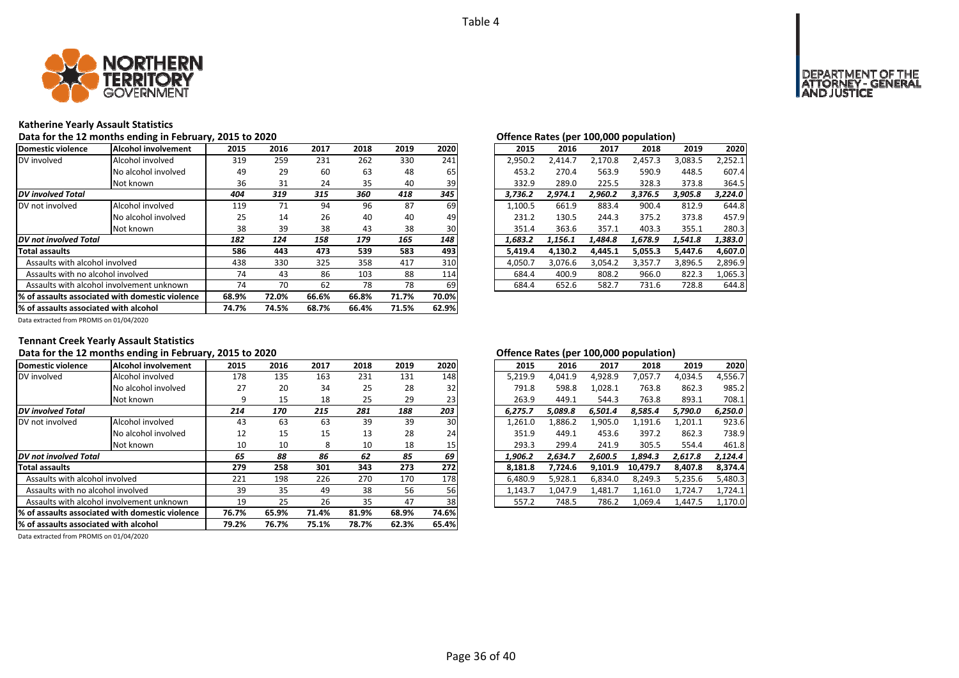

### **Katherine Yearly Assault Statistics**

Data for the 12 months ending in February, 2015 to 2020<br> **Data for the 12 months ending in February, 2015 to 2020** 

| Domestic violence                         | lAlcohol involvement                             | 2015  | 2016  | 2017  | 2018  | 2019  | 2020  | 2015    | 2016    | 2017    | 2018    | 2019    | 2020    |
|-------------------------------------------|--------------------------------------------------|-------|-------|-------|-------|-------|-------|---------|---------|---------|---------|---------|---------|
| DV involved                               | Alcohol involved                                 | 319   | 259   | 231   | 262   | 330   | 241   | 2,950.2 | 2,414.7 | 2.170.8 | 2,457.3 | 3,083.5 | 2,252.1 |
|                                           | No alcohol involved                              | 49    | 29    | 60    | 63    | 48    | 65    | 453.2   | 270.4   | 563.9   | 590.9   | 448.5   | 607.4   |
|                                           | Not known                                        | 36    | 31    | 24    | 35    | 40    | 39    | 332.9   | 289.0   | 225.5   | 328.3   | 373.8   | 364.5   |
| <b>DV</b> involved Total                  |                                                  | 404   | 319   | 315   | 360   | 418   | 345   | 3.736.2 | 2.974.1 | 2.960.2 | 3.376.5 | 3,905.8 | 3.224.0 |
| DV not involved                           | Alcohol involved                                 | 119   | 71    | 94    | 96    | 87    | 69    | 1,100.5 | 661.9   | 883.4   | 900.4   | 812.9   | 644.8   |
|                                           | No alcohol involved                              | 25    | 14    | 26    | 40    | 40    | 49    | 231.2   | 130.5   | 244.3   | 375.2   | 373.8   | 457.9   |
|                                           | Not known                                        | 38    | 39    | 38    | 43    | 38    | 30    | 351.4   | 363.6   | 357.1   | 403.3   | 355.1   | 280.3   |
| DV not involved Total                     |                                                  | 182   | 124   | 158   | 179   | 165   | 148   | 1.683.2 | 1.156.1 | 1.484.8 | 1.678.9 | 1,541.8 | 1.383.0 |
| <b>Total assaults</b>                     |                                                  | 586   | 443   | 473   | 539   | 583   | 493   | 5.419.4 | 4.130.2 | 4.445.1 | 5,055.3 | 5.447.6 | 4.607.0 |
| Assaults with alcohol involved            |                                                  | 438   | 330   | 325   | 358   | 417   | 310   | 4,050.7 | 3,076.6 | 3,054.2 | 3,357.7 | 3,896.5 | 2,896.9 |
| Assaults with no alcohol involved         |                                                  | 74    | 43    | 86    | 103   | 88    | 114   | 684.4   | 400.9   | 808.2   | 966.0   | 822.3   | 1,065.3 |
| Assaults with alcohol involvement unknown |                                                  | 74    | 70    | 62    | 78    | 78    | 69    | 684.4   | 652.6   | 582.7   | 731.6   | 728.8   | 644.8   |
|                                           | 1% of assaults associated with domestic violence | 68.9% | 72.0% | 66.6% | 66.8% | 71.7% | 70.0% |         |         |         |         |         |         |
| % of assaults associated with alcohol     |                                                  | 74.7% | 74.5% | 68.7% | 66.4% | 71.5% | 62.9% |         |         |         |         |         |         |

| $\mathbf{r}$ |         |         |         |         |
|--------------|---------|---------|---------|---------|
| 2016         | 2017    | 2018    | 2019    | 2020    |
| 2.414.7      | 2.170.8 | 2.457.3 | 3.083.5 | 2,252.1 |
| 270.4        | 563.9   | 590.9   | 448.5   | 607.4   |
| 289.0        | 225.5   | 328.3   | 373.8   | 364.5   |
| 2,974.1      | 2,960.2 | 3,376.5 | 3,905.8 | 3,224.0 |
| 661.9        | 883.4   | 900.4   | 812.9   | 644.8   |
| 130.5        | 244.3   | 375.2   | 373.8   | 457.9   |
| 363.6        | 357.1   | 403.3   | 355.1   | 280.3   |
| 1,156.1      | 1.484.8 | 1.678.9 | 1.541.8 | 1,383.0 |
| 4,130.2      | 4,445.1 | 5,055.3 | 5,447.6 | 4,607.0 |
| 3.076.6      | 3.054.2 | 3.357.7 | 3.896.5 | 2,896.9 |
| 400.9        | 808.2   | 966.0   | 822.3   | 1,065.3 |
| 652.6        | 582.7   | 731.6   | 728.8   | 644.8   |
|              |         |         |         |         |

Data extracted from PROMIS on 01/04/2020

### **Tennant Creek Yearly Assault Statistics**

### Data for the 12 months ending in February, 2015 to 2020<br> **Data for the 12 months ending in February, 2015 to 2020**

| Domestic violence                     | Alcohol involvement                              | 2015  | 2016  | 2017  | 2018  | 2019  | 2020  | 2015    | 2016    | 2017    | 2018     | 2019    | 2020    |
|---------------------------------------|--------------------------------------------------|-------|-------|-------|-------|-------|-------|---------|---------|---------|----------|---------|---------|
| DV involved                           | Alcohol involved                                 | 178   | 135   | 163   | 231   | 131   | 148   | 5,219.9 | 4,041.9 | 4,928.9 | 7,057.7  | 4,034.5 | 4,556.7 |
|                                       | No alcohol involved                              | 27    | 20    | 34    | 25    | 28    | 32    | 791.8   | 598.8   | 1,028.1 | 763.8    | 862.3   | 985.2   |
|                                       | Not known                                        |       | 15    | 18    | 25    | 29    | 23    | 263.9   | 449.1   | 544.3   | 763.8    | 893.1   | 708.1   |
| <b>DV</b> involved Total              |                                                  | 214   | 170   | 215   | 281   | 188   | 203   | 6,275.7 | 5,089.8 | 6,501.4 | 8,585.4  | 5,790.0 | 6,250.0 |
| DV not involved                       | Alcohol involved                                 | 43    | 63    | 63    | 39    | 39    | 30    | 1,261.0 | 1,886.2 | 1,905.0 | 1,191.6  | 1,201.1 | 923.6   |
|                                       | No alcohol involved                              | 12    | 15    | 15    | 13    | 28    | 24    | 351.9   | 449.1   | 453.6   | 397.2    | 862.3   | 738.9   |
|                                       | Not known                                        | 10    | 10    | 8     | 10    | 18    | 15    | 293.3   | 299.4   | 241.9   | 305.5    | 554.4   | 461.8   |
| DV not involved Total                 |                                                  | 65    | 88    | 86    | 62    | 85    | 69    | 1,906.2 | 2.634.7 | 2.600.5 | 1,894.3  | 2,617.8 | 2,124.4 |
| <b>Total assaults</b>                 |                                                  | 279   | 258   | 301   | 343   | 273   | 272   | 8,181.8 | 7,724.6 | 9,101.9 | 10,479.7 | 8,407.8 | 8,374.4 |
| Assaults with alcohol involved        |                                                  | 221   | 198   | 226   | 270   | 170   | 178   | 6,480.9 | 5,928.1 | 6,834.0 | 8,249.3  | 5,235.6 | 5,480.3 |
| Assaults with no alcohol involved     |                                                  | 39    | 35    | 49    | 38    | 56    | 56    | 1,143.7 | 1,047.9 | 1,481.7 | 1,161.0  | 1,724.7 | 1,724.1 |
|                                       | Assaults with alcohol involvement unknown        | 19    | 25    | 26    | 35    | 47    | 38    | 557.2   | 748.5   | 786.2   | 1,069.4  | 1,447.5 | 1,170.0 |
|                                       | 1% of assaults associated with domestic violence | 76.7% | 65.9% | 71.4% | 81.9% | 68.9% | 74.6% |         |         |         |          |         |         |
| % of assaults associated with alcohol |                                                  | 79.2% | 76.7% | 75.1% | 78.7% | 62.3% | 65.4% |         |         |         |          |         |         |

| 2016    | 2017    | 2018     | 2019    | 2020    |
|---------|---------|----------|---------|---------|
| 4,041.9 | 4,928.9 | 7,057.7  | 4,034.5 | 4,556.7 |
| 598.8   | 1,028.1 | 763.8    | 862.3   | 985.2   |
| 449.1   | 544.3   | 763.8    | 893.1   | 708.1   |
| 5,089.8 | 6,501.4 | 8,585.4  | 5,790.0 | 6,250.0 |
| 1,886.2 | 1,905.0 | 1,191.6  | 1,201.1 | 923.6   |
| 449.1   | 453.6   | 397.2    | 862.3   | 738.9   |
| 299.4   | 241.9   | 305.5    | 554.4   | 461.8   |
| 2,634.7 | 2,600.5 | 1.894.3  | 2,617.8 | 2.124.4 |
| 7,724.6 | 9,101.9 | 10,479.7 | 8,407.8 | 8,374.4 |
| 5,928.1 | 6,834.0 | 8,249.3  | 5,235.6 | 5,480.3 |
| 1,047.9 | 1,481.7 | 1,161.0  | 1,724.7 | 1,724.1 |
| 748.5   | 786.2   | 1,069.4  | 1,447.5 | 1,170.0 |
|         |         |          |         |         |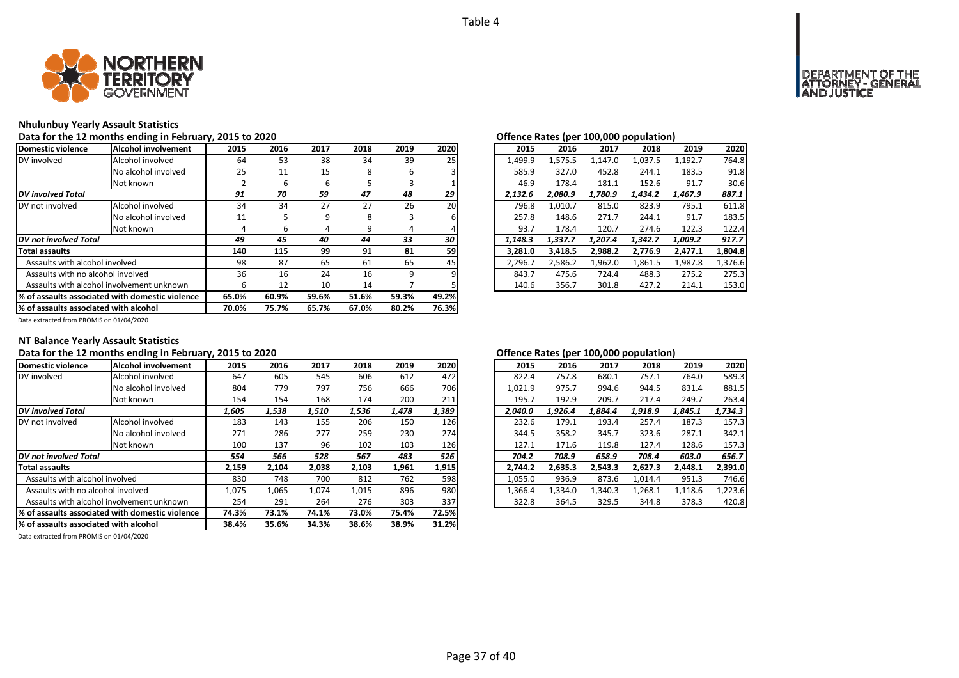

### **Nhulunbuy Yearly Assault Statistics**

Data for the 12 months ending in February, 2015 to 2020<br> **Data for the 12 months ending in February, 2015 to 2020** 

| Domestic violence                                | Alcohol involvement                       | 2015  | 2016  | 2017  | 2018  | 2019  | 2020  | 2015    | 2016    | 2017    | 2018    | 2019    | 2020    |
|--------------------------------------------------|-------------------------------------------|-------|-------|-------|-------|-------|-------|---------|---------|---------|---------|---------|---------|
| DV involved                                      | Alcohol involved                          | 64    | 53    | 38    | 34    | 39    | 25    | 1,499.9 | 1,575.5 | 1,147.0 | 1,037.5 | 1,192.7 | 764.8   |
|                                                  | No alcohol involved                       | 25    | 11    | 15    | 8     | 6     |       | 585.9   | 327.0   | 452.8   | 244.1   | 183.5   | 91.8    |
|                                                  | Not known                                 |       | 6     | ь     | ּ     |       |       | 46.9    | 178.4   | 181.1   | 152.6   | 91.7    | 30.6    |
| <b>DV</b> involved Total                         |                                           | 91    | 70    | 59    | 47    | 48    | 29    | 2.132.6 | 2.080.9 | 1.780.9 | 1.434.2 | 1.467.9 | 887.1   |
| DV not involved                                  | Alcohol involved                          | 34    | 34    | 27    | 27    | 26    | 20    | 796.8   | 1.010.7 | 815.0   | 823.9   | 795.1   | 611.8   |
|                                                  | No alcohol involved                       | 11    |       | 9     | 8     | 3     |       | 257.8   | 148.6   | 271.7   | 244.1   | 91.7    | 183.5   |
|                                                  | Not known                                 | 4     | b     | 4     | 9     | 4     |       | 93.7    | 178.4   | 120.7   | 274.6   | 122.3   | 122.4   |
| DV not involved Total                            |                                           | 49    | 45    | 40    | 44    | 33    | 30    | 1.148.3 | 1.337.7 | 1.207.4 | 1,342.7 | 1,009.2 | 917.7   |
| <b>Total assaults</b>                            |                                           | 140   | 115   | 99    | 91    | 81    | 59    | 3.281.0 | 3,418.5 | 2.988.2 | 2,776.9 | 2,477.1 | 1,804.8 |
| Assaults with alcohol involved                   |                                           | 98    | 87    | 65    | 61    | 65    | 45    | 2,296.7 | 2,586.2 | 1,962.0 | 1,861.5 | 1,987.8 | 1,376.6 |
| Assaults with no alcohol involved                |                                           | 36    | 16    | 24    | 16    | 9     |       | 843.7   | 475.6   | 724.4   | 488.3   | 275.2   | 275.3   |
|                                                  | Assaults with alcohol involvement unknown | ь     | 12    | 10    | 14    |       |       | 140.6   | 356.7   | 301.8   | 427.2   | 214.1   | 153.0   |
| 1% of assaults associated with domestic violence |                                           | 65.0% | 60.9% | 59.6% | 51.6% | 59.3% | 49.2% |         |         |         |         |         |         |
| % of assaults associated with alcohol            |                                           | 70.0% | 75.7% | 65.7% | 67.0% | 80.2% | 76.3% |         |         |         |         |         |         |

| 2015    | 2016    | 2017    | 2018    | 2019    | 2020    |
|---------|---------|---------|---------|---------|---------|
| 1,499.9 | 1,575.5 | 1.147.0 | 1,037.5 | 1,192.7 | 764.8   |
| 585.9   | 327.0   | 452.8   | 244.1   | 183.5   | 91.8    |
| 46.9    | 178.4   | 181.1   | 152.6   | 91.7    | 30.6    |
| 2,132.6 | 2,080.9 | 1,780.9 | 1,434.2 | 1,467.9 | 887.1   |
| 796.8   | 1.010.7 | 815.0   | 823.9   | 795.1   | 611.8   |
| 257.8   | 148.6   | 271.7   | 244.1   | 91.7    | 183.5   |
| 93.7    | 178.4   | 120.7   | 274.6   | 122.3   | 122.4   |
| 1.148.3 | 1.337.7 | 1.207.4 | 1.342.7 | 1.009.2 | 917.7   |
| 3,281.0 | 3,418.5 | 2,988.2 | 2,776.9 | 2,477.1 | 1,804.8 |
| 2,296.7 | 2,586.2 | 1,962.0 | 1,861.5 | 1,987.8 | 1,376.6 |
| 843.7   | 475.6   | 724.4   | 488.3   | 275.2   | 275.3   |
| 140.6   | 356.7   | 301.8   | 427.2   | 214.1   | 153.0   |

Data extracted from PROMIS on 01/04/2020

### **NT Balance Yearly Assault Statistics**

### Data for the 12 months ending in February, 2015 to 2020<br> **Data for the 12 months ending in February, 2015 to 2020**

| Domestic violence                               | Alcohol involvement | 2015  | 2016  | 2017  | 2018  | 2019  | 2020  | 2015    | 2016    | 2017    | 2018    | 2019    | 2020    |
|-------------------------------------------------|---------------------|-------|-------|-------|-------|-------|-------|---------|---------|---------|---------|---------|---------|
| DV involved                                     | Alcohol involved    | 647   | 605   | 545   | 606   | 612   | 472   | 822.4   | 757.8   | 680.1   | 757.1   | 764.0   | 589.3   |
|                                                 | No alcohol involved | 804   | 779   | 797   | 756   | 666   | 706   | 1,021.9 | 975.7   | 994.6   | 944.5   | 831.4   | 881.5   |
|                                                 | Not known           | 154   | 154   | 168   | 174   | 200   | 211   | 195.7   | 192.9   | 209.7   | 217.4   | 249.7   | 263.4   |
| <b>DV</b> involved Total                        |                     | 1,605 | 1,538 | 1,510 | 1,536 | 1,478 | 1,389 | 2,040.0 | 1.926.4 | 1,884.4 | 1,918.9 | 1,845.1 | 1,734.3 |
| DV not involved                                 | Alcohol involved    | 183   | 143   | 155   | 206   | 150   | 126   | 232.6   | 179.1   | 193.4   | 257.4   | 187.3   | 157.3   |
|                                                 | No alcohol involved | 271   | 286   | 277   | 259   | 230   | 274   | 344.5   | 358.2   | 345.7   | 323.6   | 287.1   | 342.1   |
|                                                 | Not known           | 100   | 137   | 96    | 102   | 103   | 126   | 127.1   | 171.6   | 119.8   | 127.4   | 128.6   | 157.3   |
| DV not involved Total                           |                     | 554   | 566   | 528   | 567   | 483   | 526   | 704.2   | 708.9   | 658.9   | 708.4   | 603.0   | 656.7   |
| <b>Total assaults</b>                           |                     | 2,159 | 2,104 | 2,038 | 2,103 | 1,961 | 1,915 | 2.744.2 | 2,635.3 | 2,543.3 | 2,627.3 | 2,448.1 | 2.391.0 |
| Assaults with alcohol involved                  |                     | 830   | 748   | 700   | 812   | 762   | 598   | 1,055.0 | 936.9   | 873.6   | 1,014.4 | 951.3   | 746.6   |
| Assaults with no alcohol involved               |                     | 1,075 | 1,065 | 1.074 | 1,015 | 896   | 980   | 1,366.4 | 1,334.0 | 1,340.3 | 1,268.1 | 1,118.6 | 1,223.6 |
| Assaults with alcohol involvement unknown       |                     | 254   | 291   | 264   | 276   | 303   | 337   | 322.8   | 364.5   | 329.5   | 344.8   | 378.3   | 420.8   |
| % of assaults associated with domestic violence |                     | 74.3% | 73.1% | 74.1% | 73.0% | 75.4% | 72.5% |         |         |         |         |         |         |
| % of assaults associated with alcohol           |                     | 38.4% | 35.6% | 34.3% | 38.6% | 38.9% | 31.2% |         |         |         |         |         |         |

| 2016    | 2017    | 2018    | 2019    | 2020    |
|---------|---------|---------|---------|---------|
| 757.8   | 680.1   | 757.1   | 764.0   | 589.3   |
| 975.7   | 994.6   | 944.5   | 831.4   | 881.5   |
| 192.9   | 209.7   | 217.4   | 249.7   | 263.4   |
| 1.926.4 | 1.884.4 | 1,918.9 | 1.845.1 | 1,734.3 |
| 179.1   | 193.4   | 257.4   | 187.3   | 157.3   |
| 358.2   | 345.7   | 323.6   | 287.1   | 342.1   |
| 171.6   | 119.8   | 127.4   | 128.6   | 157.3   |
| 708.9   | 658.9   | 708.4   | 603.0   | 656.7   |
| 2,635.3 | 2,543.3 | 2,627.3 | 2,448.1 | 2,391.0 |
| 936.9   | 873.6   | 1.014.4 | 951.3   | 746.6   |
| 1,334.0 | 1,340.3 | 1,268.1 | 1,118.6 | 1,223.6 |
| 364.5   | 329.5   | 344.8   | 378.3   | 420.8   |
|         |         |         |         |         |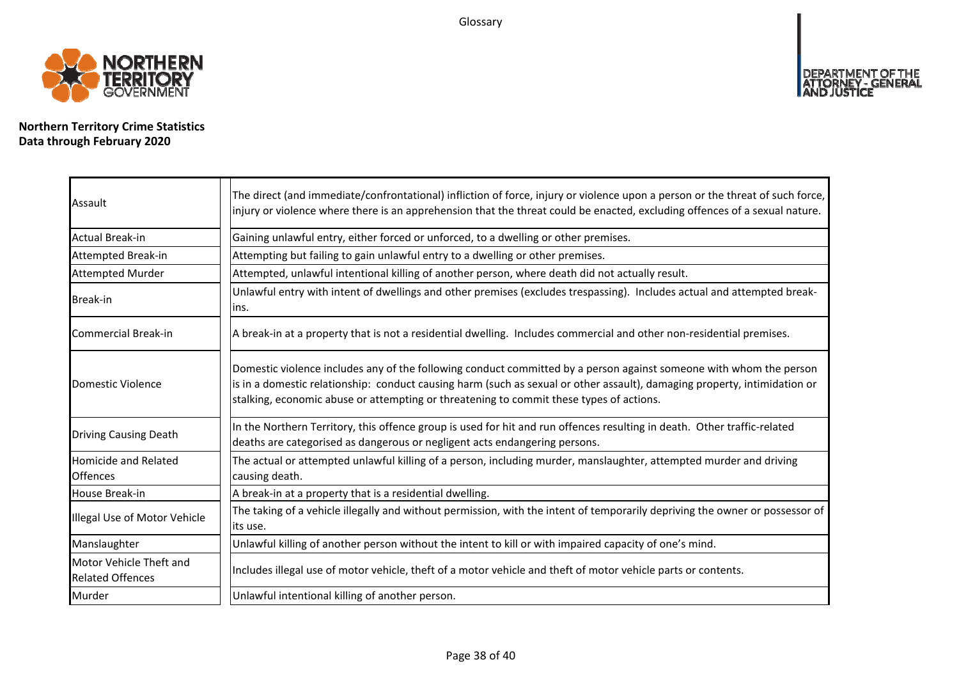Glossary



**Northern Territory Crime Statistics Data through February 2020**

| Assault                                            | The direct (and immediate/confrontational) infliction of force, injury or violence upon a person or the threat of such force,<br>injury or violence where there is an apprehension that the threat could be enacted, excluding offences of a sexual nature.                                                                                |
|----------------------------------------------------|--------------------------------------------------------------------------------------------------------------------------------------------------------------------------------------------------------------------------------------------------------------------------------------------------------------------------------------------|
| <b>Actual Break-in</b>                             | Gaining unlawful entry, either forced or unforced, to a dwelling or other premises.                                                                                                                                                                                                                                                        |
| Attempted Break-in                                 | Attempting but failing to gain unlawful entry to a dwelling or other premises.                                                                                                                                                                                                                                                             |
| Attempted Murder                                   | Attempted, unlawful intentional killing of another person, where death did not actually result.                                                                                                                                                                                                                                            |
| <b>Break-in</b>                                    | Unlawful entry with intent of dwellings and other premises (excludes trespassing). Includes actual and attempted break-<br>ins.                                                                                                                                                                                                            |
| <b>Commercial Break-in</b>                         | A break-in at a property that is not a residential dwelling. Includes commercial and other non-residential premises.                                                                                                                                                                                                                       |
| Domestic Violence                                  | Domestic violence includes any of the following conduct committed by a person against someone with whom the person<br>is in a domestic relationship: conduct causing harm (such as sexual or other assault), damaging property, intimidation or<br>stalking, economic abuse or attempting or threatening to commit these types of actions. |
| <b>Driving Causing Death</b>                       | In the Northern Territory, this offence group is used for hit and run offences resulting in death. Other traffic-related<br>deaths are categorised as dangerous or negligent acts endangering persons.                                                                                                                                     |
| Homicide and Related<br><b>Offences</b>            | The actual or attempted unlawful killing of a person, including murder, manslaughter, attempted murder and driving<br>causing death.                                                                                                                                                                                                       |
| House Break-in                                     | A break-in at a property that is a residential dwelling.                                                                                                                                                                                                                                                                                   |
| Illegal Use of Motor Vehicle                       | The taking of a vehicle illegally and without permission, with the intent of temporarily depriving the owner or possessor of<br>its use.                                                                                                                                                                                                   |
| Manslaughter                                       | Unlawful killing of another person without the intent to kill or with impaired capacity of one's mind.                                                                                                                                                                                                                                     |
| Motor Vehicle Theft and<br><b>Related Offences</b> | Includes illegal use of motor vehicle, theft of a motor vehicle and theft of motor vehicle parts or contents.                                                                                                                                                                                                                              |
| Murder                                             | Unlawful intentional killing of another person.                                                                                                                                                                                                                                                                                            |

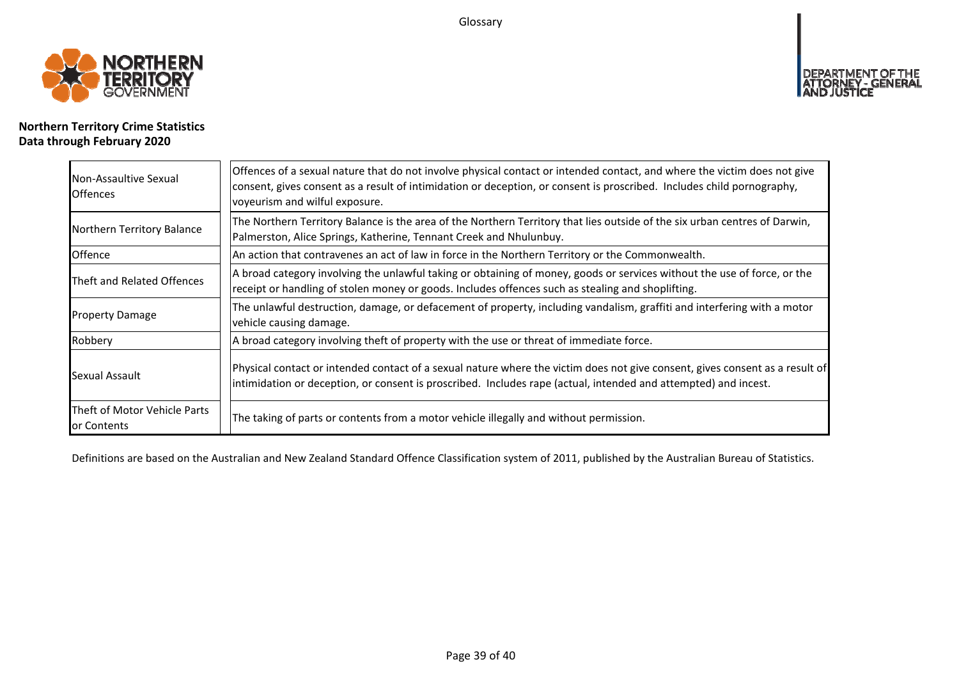Glossary



# **Northern Territory Crime Statistics Data through February 2020**

| Non-Assaultive Sexual<br><b>Offences</b>    | Offences of a sexual nature that do not involve physical contact or intended contact, and where the victim does not give<br>consent, gives consent as a result of intimidation or deception, or consent is proscribed. Includes child pornography,<br>voyeurism and wilful exposure. |  |  |  |  |  |  |
|---------------------------------------------|--------------------------------------------------------------------------------------------------------------------------------------------------------------------------------------------------------------------------------------------------------------------------------------|--|--|--|--|--|--|
| Northern Territory Balance                  | The Northern Territory Balance is the area of the Northern Territory that lies outside of the six urban centres of Darwin,<br>Palmerston, Alice Springs, Katherine, Tennant Creek and Nhulunbuy.                                                                                     |  |  |  |  |  |  |
| Offence                                     | An action that contravenes an act of law in force in the Northern Territory or the Commonwealth.                                                                                                                                                                                     |  |  |  |  |  |  |
| Theft and Related Offences                  | A broad category involving the unlawful taking or obtaining of money, goods or services without the use of force, or the<br>receipt or handling of stolen money or goods. Includes offences such as stealing and shoplifting.                                                        |  |  |  |  |  |  |
| <b>Property Damage</b>                      | The unlawful destruction, damage, or defacement of property, including vandalism, graffiti and interfering with a motor<br>vehicle causing damage.                                                                                                                                   |  |  |  |  |  |  |
| Robbery                                     | A broad category involving theft of property with the use or threat of immediate force.                                                                                                                                                                                              |  |  |  |  |  |  |
| Sexual Assault                              | Physical contact or intended contact of a sexual nature where the victim does not give consent, gives consent as a result of<br>intimidation or deception, or consent is proscribed. Includes rape (actual, intended and attempted) and incest.                                      |  |  |  |  |  |  |
| Theft of Motor Vehicle Parts<br>or Contents | The taking of parts or contents from a motor vehicle illegally and without permission.                                                                                                                                                                                               |  |  |  |  |  |  |

Definitions are based on the Australian and New Zealand Standard Offence Classification system of 2011, published by the Australian Bureau of Statistics.